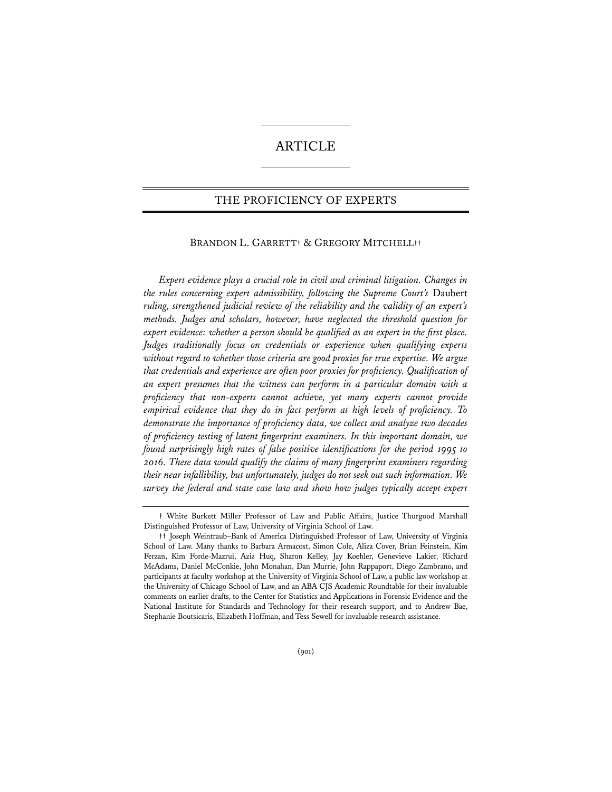# ARTICLE

## THE PROFICIENCY OF EXPERTS

## BRANDON L. GARRETT**†** & GREGORY MITCHELL**††**

*Expert evidence plays a crucial role in civil and criminal litigation. Changes in the rules concerning expert admissibility, following the Supreme Court's* Daubert *ruling, strengthened judicial review of the reliability and the validity of an expert's methods. Judges and scholars, however, have neglected the threshold question for expert evidence: whether a person should be qualified as an expert in the first place. Judges traditionally focus on credentials or experience when qualifying experts without regard to whether those criteria are good proxies for true expertise. We argue that credentials and experience are often poor proxies for proficiency. Qualification of an expert presumes that the witness can perform in a particular domain with a proficiency that non-experts cannot achieve, yet many experts cannot provide empirical evidence that they do in fact perform at high levels of proficiency. To demonstrate the importance of proficiency data, we collect and analyze two decades of proficiency testing of latent fingerprint examiners. In this important domain, we found surprisingly high rates of false positive identifications for the period 1995 to 2016. These data would qualify the claims of many fingerprint examiners regarding their near infallibility, but unfortunately, judges do not seek out such information. We survey the federal and state case law and show how judges typically accept expert* 

**<sup>†</sup>** White Burkett Miller Professor of Law and Public Affairs, Justice Thurgood Marshall Distinguished Professor of Law, University of Virginia School of Law.

**<sup>††</sup>** Joseph Weintraub–Bank of America Distinguished Professor of Law, University of Virginia School of Law. Many thanks to Barbara Armacost, Simon Cole, Aliza Cover, Brian Feinstein, Kim Ferzan, Kim Forde-Mazrui, Aziz Huq, Sharon Kelley, Jay Koehler, Genevieve Lakier, Richard McAdams, Daniel McConkie, John Monahan, Dan Murrie, John Rappaport, Diego Zambrano, and participants at faculty workshop at the University of Virginia School of Law, a public law workshop at the University of Chicago School of Law, and an ABA CJS Academic Roundtable for their invaluable comments on earlier drafts, to the Center for Statistics and Applications in Forensic Evidence and the National Institute for Standards and Technology for their research support, and to Andrew Bae, Stephanie Boutsicaris, Elizabeth Hoffman, and Tess Sewell for invaluable research assistance.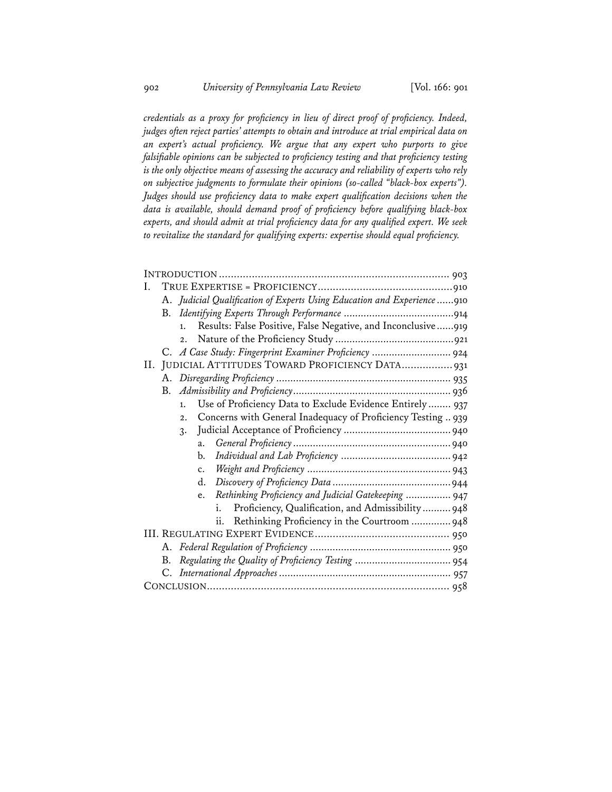*credentials as a proxy for proficiency in lieu of direct proof of proficiency. Indeed, judges often reject parties' attempts to obtain and introduce at trial empirical data on an expert's actual proficiency. We argue that any expert who purports to give falsifiable opinions can be subjected to proficiency testing and that proficiency testing is the only objective means of assessing the accuracy and reliability of experts who rely on subjective judgments to formulate their opinions (so-called "black-box experts"). Judges should use proficiency data to make expert qualification decisions when the data is available, should demand proof of proficiency before qualifying black-box experts, and should admit at trial proficiency data for any qualified expert. We seek to revitalize the standard for qualifying experts: expertise should equal proficiency.* 

| A. Judicial Qualification of Experts Using Education and Experience 910          |
|----------------------------------------------------------------------------------|
|                                                                                  |
| Results: False Positive, False Negative, and Inconclusive919<br>1.               |
| 2.                                                                               |
| C. A Case Study: Fingerprint Examiner Proficiency  924                           |
| II. JUDICIAL ATTITUDES TOWARD PROFICIENCY DATA 931                               |
|                                                                                  |
|                                                                                  |
| Use of Proficiency Data to Exclude Evidence Entirely  937<br>1.                  |
| Concerns with General Inadequacy of Proficiency Testing  939<br>$\overline{2}$ . |
| $\mathcal{R}$ .                                                                  |
| a.                                                                               |
| b.                                                                               |
|                                                                                  |
| d.                                                                               |
| Rethinking Proficiency and Judicial Gatekeeping  947<br>e.                       |
| Proficiency, Qualification, and Admissibility  948                               |
| ii. Rethinking Proficiency in the Courtroom 948                                  |
|                                                                                  |
|                                                                                  |
| B.                                                                               |
|                                                                                  |
|                                                                                  |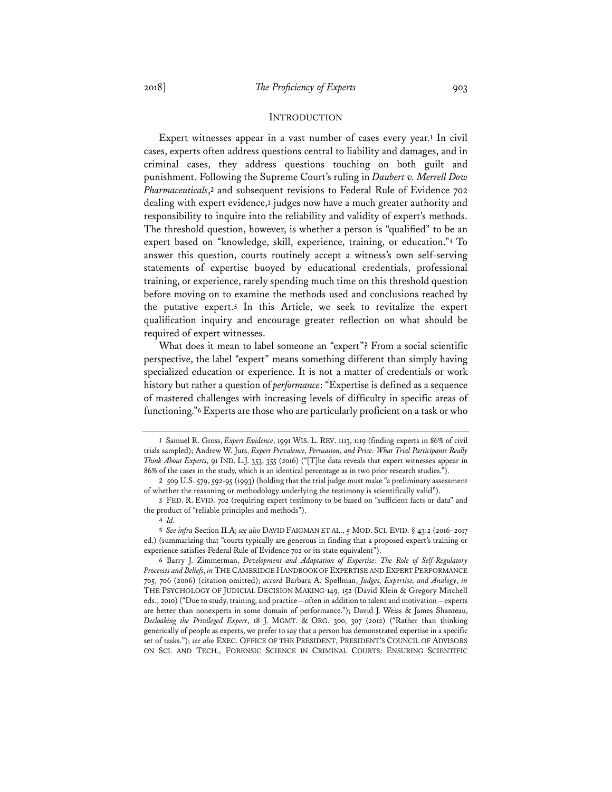#### INTRODUCTION

Expert witnesses appear in a vast number of cases every year.**1** In civil cases, experts often address questions central to liability and damages, and in criminal cases, they address questions touching on both guilt and punishment. Following the Supreme Court's ruling in *Daubert v. Merrell Dow Pharmaceuticals*,**<sup>2</sup>** and subsequent revisions to Federal Rule of Evidence 702 dealing with expert evidence,**3** judges now have a much greater authority and responsibility to inquire into the reliability and validity of expert's methods. The threshold question, however, is whether a person is "qualified" to be an expert based on "knowledge, skill, experience, training, or education."**4** To answer this question, courts routinely accept a witness's own self-serving statements of expertise buoyed by educational credentials, professional training, or experience, rarely spending much time on this threshold question before moving on to examine the methods used and conclusions reached by the putative expert.**5** In this Article, we seek to revitalize the expert qualification inquiry and encourage greater reflection on what should be required of expert witnesses.

What does it mean to label someone an "expert"? From a social scientific perspective, the label "expert" means something different than simply having specialized education or experience. It is not a matter of credentials or work history but rather a question of *performance*: "Expertise is defined as a sequence of mastered challenges with increasing levels of difficulty in specific areas of functioning."**6** Experts are those who are particularly proficient on a task or who

**<sup>1</sup>** Samuel R. Gross, *Expert Evidence*, 1991 WIS. L. REV. 1113, 1119 (finding experts in 86% of civil trials sampled); Andrew W. Jurs, *Expert Prevalence, Persuasion, and Price: What Trial Participants Really Think About Experts*, 91 IND. L.J. 353, 355 (2016) ("[T]he data reveals that expert witnesses appear in 86% of the cases in the study, which is an identical percentage as in two prior research studies.").

**<sup>2</sup>** 509 U.S. 579, 592-95 (1993) (holding that the trial judge must make "a preliminary assessment of whether the reasoning or methodology underlying the testimony is scientifically valid").

**<sup>3</sup>** FED. R. EVID. 702 (requiring expert testimony to be based on "sufficient facts or data" and the product of "reliable principles and methods").

**<sup>4</sup>** *Id.*

**<sup>5</sup>** *See infra* Section II.A; *see also* DAVID FAIGMAN ET AL., 5 MOD. SCI. EVID. § 43:2 (2016–2017 ed.) (summarizing that "courts typically are generous in finding that a proposed expert's training or experience satisfies Federal Rule of Evidence 702 or its state equivalent").

**<sup>6</sup>** Barry J. Zimmerman, *Development and Adaptation of Expertise: The Role of Self-Regulatory Processes and Beliefs*, *in* THE CAMBRIDGE HANDBOOK OF EXPERTISE AND EXPERT PERFORMANCE 705, 706 (2006) (citation omitted); *accord* Barbara A. Spellman, *Judges, Expertise, and Analogy*, *in* THE PSYCHOLOGY OF JUDICIAL DECISION MAKING 149, 152 (David Klein & Gregory Mitchell eds., 2010) ("Due to study, training, and practice—often in addition to talent and motivation—experts are better than nonexperts in some domain of performance."); David J. Weiss & James Shanteau, *Decloaking the Privileged Expert*, 18 J. MGMT. & ORG. 300, 307 (2012) ("Rather than thinking generically of people as experts, we prefer to say that a person has demonstrated expertise in a specific set of tasks."); *see also* EXEC. OFFICE OF THE PRESIDENT, PRESIDENT'S COUNCIL OF ADVISORS ON SCI. AND TECH., FORENSIC SCIENCE IN CRIMINAL COURTS: ENSURING SCIENTIFIC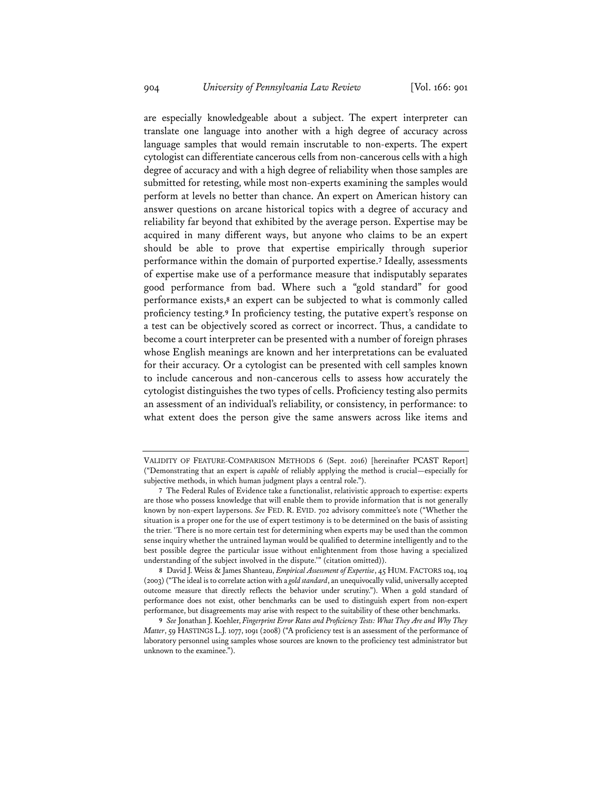are especially knowledgeable about a subject. The expert interpreter can translate one language into another with a high degree of accuracy across language samples that would remain inscrutable to non-experts. The expert cytologist can differentiate cancerous cells from non-cancerous cells with a high degree of accuracy and with a high degree of reliability when those samples are submitted for retesting, while most non-experts examining the samples would perform at levels no better than chance. An expert on American history can answer questions on arcane historical topics with a degree of accuracy and reliability far beyond that exhibited by the average person. Expertise may be acquired in many different ways, but anyone who claims to be an expert should be able to prove that expertise empirically through superior performance within the domain of purported expertise.**7** Ideally, assessments of expertise make use of a performance measure that indisputably separates good performance from bad. Where such a "gold standard" for good performance exists,**8** an expert can be subjected to what is commonly called proficiency testing.**9** In proficiency testing, the putative expert's response on a test can be objectively scored as correct or incorrect. Thus, a candidate to become a court interpreter can be presented with a number of foreign phrases whose English meanings are known and her interpretations can be evaluated for their accuracy. Or a cytologist can be presented with cell samples known to include cancerous and non-cancerous cells to assess how accurately the cytologist distinguishes the two types of cells. Proficiency testing also permits an assessment of an individual's reliability, or consistency, in performance: to what extent does the person give the same answers across like items and

VALIDITY OF FEATURE-COMPARISON METHODS 6 (Sept. 2016) [hereinafter PCAST Report] ("Demonstrating that an expert is *capable* of reliably applying the method is crucial—especially for subjective methods, in which human judgment plays a central role.").

**<sup>7</sup>** The Federal Rules of Evidence take a functionalist, relativistic approach to expertise: experts are those who possess knowledge that will enable them to provide information that is not generally known by non-expert laypersons. *See* FED. R. EVID. 702 advisory committee's note ("Whether the situation is a proper one for the use of expert testimony is to be determined on the basis of assisting the trier. 'There is no more certain test for determining when experts may be used than the common sense inquiry whether the untrained layman would be qualified to determine intelligently and to the best possible degree the particular issue without enlightenment from those having a specialized understanding of the subject involved in the dispute.'" (citation omitted)).

**<sup>8</sup>** David J. Weiss & James Shanteau, *Empirical Assessment of Expertise*, 45 HUM. FACTORS 104, 104 (2003) ("The ideal is to correlate action with a *gold standard*, an unequivocally valid, universally accepted outcome measure that directly reflects the behavior under scrutiny."). When a gold standard of performance does not exist, other benchmarks can be used to distinguish expert from non-expert performance, but disagreements may arise with respect to the suitability of these other benchmarks.

**<sup>9</sup>** *See* Jonathan J. Koehler, *Fingerprint Error Rates and Proficiency Tests: What They Are and Why They Matter*, 59 HASTINGS L.J. 1077, 1091 (2008) ("A proficiency test is an assessment of the performance of laboratory personnel using samples whose sources are known to the proficiency test administrator but unknown to the examinee.").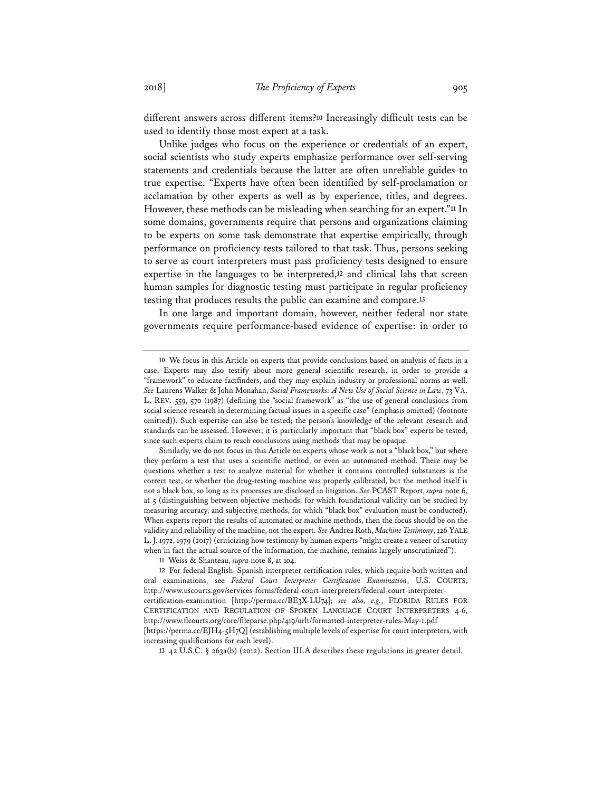different answers across different items?**10** Increasingly difficult tests can be used to identify those most expert at a task.

Unlike judges who focus on the experience or credentials of an expert, social scientists who study experts emphasize performance over self-serving statements and credentials because the latter are often unreliable guides to true expertise. "Experts have often been identified by self-proclamation or acclamation by other experts as well as by experience, titles, and degrees. However, these methods can be misleading when searching for an expert."**11** In some domains, governments require that persons and organizations claiming to be experts on some task demonstrate that expertise empirically, through performance on proficiency tests tailored to that task. Thus, persons seeking to serve as court interpreters must pass proficiency tests designed to ensure expertise in the languages to be interpreted,**12** and clinical labs that screen human samples for diagnostic testing must participate in regular proficiency testing that produces results the public can examine and compare.**13**

In one large and important domain, however, neither federal nor state governments require performance-based evidence of expertise: in order to

**13** 42 U.S.C. § 263a(b) (2012). Section III.A describes these regulations in greater detail.

**<sup>10</sup>** We focus in this Article on experts that provide conclusions based on analysis of facts in a case. Experts may also testify about more general scientific research, in order to provide a "framework" to educate factfinders, and they may explain industry or professional norms as well. *See* Laurens Walker & John Monahan, *Social Frameworks: A New Use of Social Science in Law*, 73 VA. L. REV. 559, 570 (1987) (defining the "social framework" as "the use of general conclusions from social science research in determining factual issues in a specific case" (emphasis omitted) (footnote omitted)). Such expertise can also be tested; the person's knowledge of the relevant research and standards can be assessed. However, it is particularly important that "black box" experts be tested, since such experts claim to reach conclusions using methods that may be opaque.

Similarly, we do not focus in this Article on experts whose work is not a "black box," but where they perform a test that uses a scientific method, or even an automated method. There may be questions whether a test to analyze material for whether it contains controlled substances is the correct test, or whether the drug-testing machine was properly calibrated, but the method itself is not a black box, so long as its processes are disclosed in litigation. *See* PCAST Report, *supra* note 6, at 5 (distinguishing between objective methods, for which foundational validity can be studied by measuring accuracy, and subjective methods, for which "black box" evaluation must be conducted). When experts report the results of automated or machine methods, then the focus should be on the validity and reliability of the machine, not the expert. *See* Andrea Roth, *Machine Testimony*, 126 YALE L. J. 1972, 1979 (2017) (criticizing how testimony by human experts "might create a veneer of scrutiny when in fact the actual source of the information, the machine, remains largely unscrutinized").

**<sup>11</sup>** Weiss & Shanteau, *supra* note 8, at 104.

**<sup>12</sup>** For federal English–Spanish interpreter certification rules, which require both written and oral examinations, see *Federal Court Interpreter Certification Examination*, U.S. COURTS, http://www.uscourts.gov/services-forms/federal-court-interpreters/federal-court-interpretercertification-examination [http://perma.cc/BE3X-LU74]; *see also, e.g.*, FLORIDA RULES FOR CERTIFICATION AND REGULATION OF SPOKEN LANGUAGE COURT INTERPRETERS 4-6, http://www.flcourts.org/core/fileparse.php/419/urlt/formatted-interpreter-rules-May-1.pdf [https://perma.cc/EJH4-5H7Q] (establishing multiple levels of expertise for court interpreters, with increasing qualifications for each level).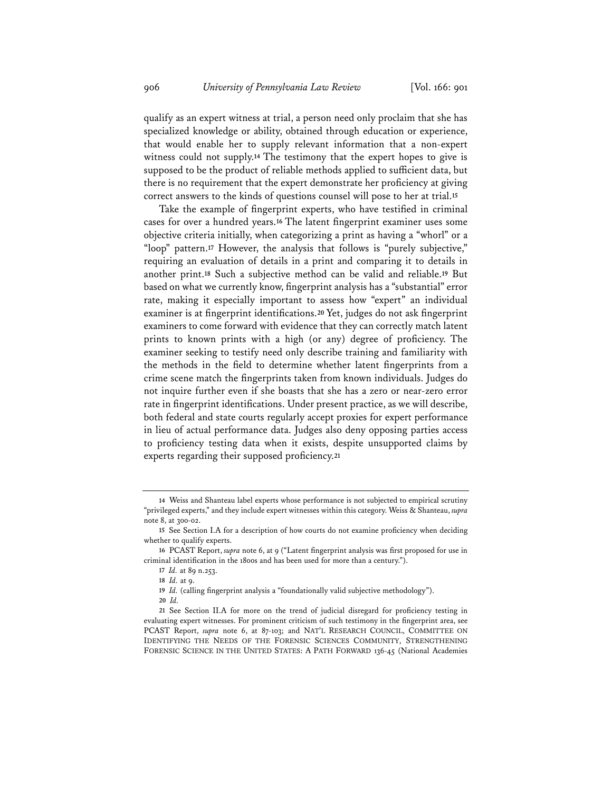qualify as an expert witness at trial, a person need only proclaim that she has specialized knowledge or ability, obtained through education or experience, that would enable her to supply relevant information that a non-expert witness could not supply.**14** The testimony that the expert hopes to give is supposed to be the product of reliable methods applied to sufficient data, but there is no requirement that the expert demonstrate her proficiency at giving correct answers to the kinds of questions counsel will pose to her at trial.**15**

Take the example of fingerprint experts, who have testified in criminal cases for over a hundred years.**16** The latent fingerprint examiner uses some objective criteria initially, when categorizing a print as having a "whorl" or a "loop" pattern.**17** However, the analysis that follows is "purely subjective," requiring an evaluation of details in a print and comparing it to details in another print.**18** Such a subjective method can be valid and reliable.**19** But based on what we currently know, fingerprint analysis has a "substantial" error rate, making it especially important to assess how "expert" an individual examiner is at fingerprint identifications.**20** Yet, judges do not ask fingerprint examiners to come forward with evidence that they can correctly match latent prints to known prints with a high (or any) degree of proficiency. The examiner seeking to testify need only describe training and familiarity with the methods in the field to determine whether latent fingerprints from a crime scene match the fingerprints taken from known individuals. Judges do not inquire further even if she boasts that she has a zero or near-zero error rate in fingerprint identifications. Under present practice, as we will describe, both federal and state courts regularly accept proxies for expert performance in lieu of actual performance data. Judges also deny opposing parties access to proficiency testing data when it exists, despite unsupported claims by experts regarding their supposed proficiency.**21**

**<sup>14</sup>** Weiss and Shanteau label experts whose performance is not subjected to empirical scrutiny "privileged experts," and they include expert witnesses within this category. Weiss & Shanteau, *supra* note 8, at 300-02.

**<sup>15</sup>** See Section I.A for a description of how courts do not examine proficiency when deciding whether to qualify experts.

**<sup>16</sup>** PCAST Report, *supra* note 6, at 9 ("Latent fingerprint analysis was first proposed for use in criminal identification in the 1800s and has been used for more than a century.").

**<sup>17</sup>** *Id.* at 89 n.253.

**<sup>18</sup>** *Id.* at 9.

**<sup>19</sup>** *Id.* (calling fingerprint analysis a "foundationally valid subjective methodology").

**<sup>20</sup>** *Id.*

**<sup>21</sup>** See Section II.A for more on the trend of judicial disregard for proficiency testing in evaluating expert witnesses. For prominent criticism of such testimony in the fingerprint area, see PCAST Report, *supra* note 6, at 87-103; and NAT'L RESEARCH COUNCIL, COMMITTEE ON IDENTIFYING THE NEEDS OF THE FORENSIC SCIENCES COMMUNITY, STRENGTHENING FORENSIC SCIENCE IN THE UNITED STATES: A PATH FORWARD 136-45 (National Academies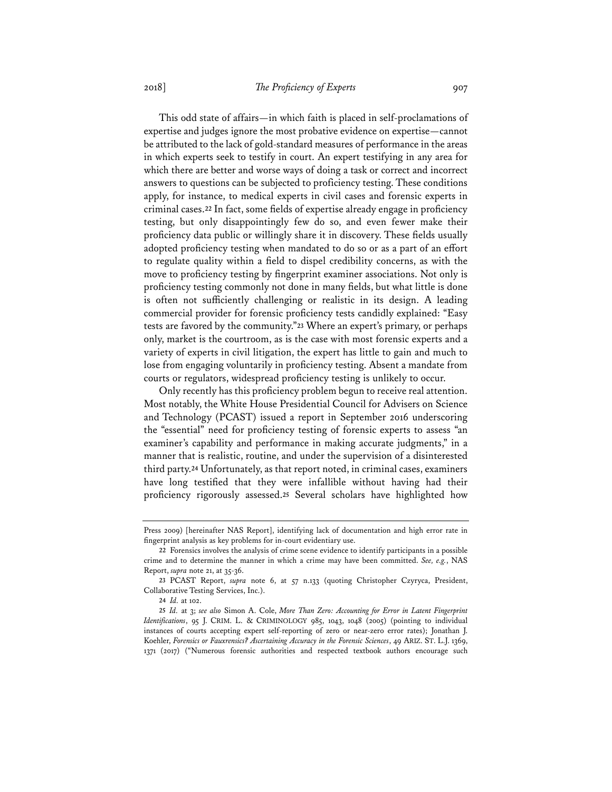This odd state of affairs—in which faith is placed in self-proclamations of expertise and judges ignore the most probative evidence on expertise—cannot be attributed to the lack of gold-standard measures of performance in the areas in which experts seek to testify in court. An expert testifying in any area for which there are better and worse ways of doing a task or correct and incorrect answers to questions can be subjected to proficiency testing. These conditions apply, for instance, to medical experts in civil cases and forensic experts in criminal cases.**22** In fact, some fields of expertise already engage in proficiency testing, but only disappointingly few do so, and even fewer make their proficiency data public or willingly share it in discovery. These fields usually adopted proficiency testing when mandated to do so or as a part of an effort to regulate quality within a field to dispel credibility concerns, as with the move to proficiency testing by fingerprint examiner associations. Not only is proficiency testing commonly not done in many fields, but what little is done is often not sufficiently challenging or realistic in its design. A leading commercial provider for forensic proficiency tests candidly explained: "Easy tests are favored by the community."**23** Where an expert's primary, or perhaps only, market is the courtroom, as is the case with most forensic experts and a variety of experts in civil litigation, the expert has little to gain and much to lose from engaging voluntarily in proficiency testing. Absent a mandate from courts or regulators, widespread proficiency testing is unlikely to occur.

Only recently has this proficiency problem begun to receive real attention. Most notably, the White House Presidential Council for Advisers on Science and Technology (PCAST) issued a report in September 2016 underscoring the "essential" need for proficiency testing of forensic experts to assess "an examiner's capability and performance in making accurate judgments," in a manner that is realistic, routine, and under the supervision of a disinterested third party.**24** Unfortunately, as that report noted, in criminal cases, examiners have long testified that they were infallible without having had their proficiency rigorously assessed.**25** Several scholars have highlighted how

Press 2009) [hereinafter NAS Report], identifying lack of documentation and high error rate in fingerprint analysis as key problems for in-court evidentiary use.

**<sup>22</sup>** Forensics involves the analysis of crime scene evidence to identify participants in a possible crime and to determine the manner in which a crime may have been committed. *See, e.g.*, NAS Report, *supra* note 21, at 35-36.

**<sup>23</sup>** PCAST Report, *supra* note 6, at 57 n.133 (quoting Christopher Czyryca, President, Collaborative Testing Services, Inc.).

**<sup>24</sup>** *Id.* at 102.

**<sup>25</sup>** *Id.* at 3; *see also* Simon A. Cole, *More Than Zero: Accounting for Error in Latent Fingerprint Identifications*, 95 J. CRIM. L. & CRIMINOLOGY 985, 1043, 1048 (2005) (pointing to individual instances of courts accepting expert self-reporting of zero or near-zero error rates); Jonathan J. Koehler, *Forensics or Fauxrensics? Ascertaining Accuracy in the Forensic Sciences*, 49 ARIZ. ST. L.J. 1369, 1371 (2017) ("Numerous forensic authorities and respected textbook authors encourage such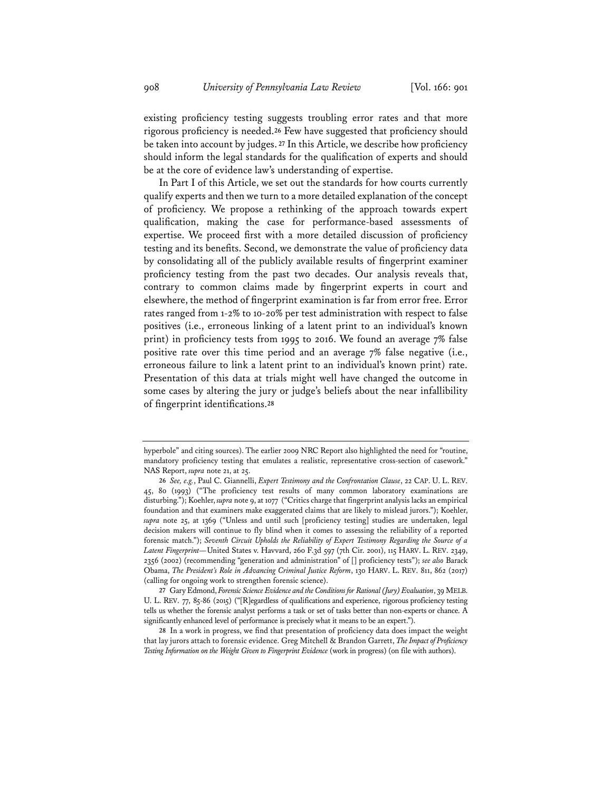existing proficiency testing suggests troubling error rates and that more rigorous proficiency is needed.**26** Few have suggested that proficiency should be taken into account by judges. **27** In this Article, we describe how proficiency should inform the legal standards for the qualification of experts and should be at the core of evidence law's understanding of expertise.

In Part I of this Article, we set out the standards for how courts currently qualify experts and then we turn to a more detailed explanation of the concept of proficiency. We propose a rethinking of the approach towards expert qualification, making the case for performance-based assessments of expertise. We proceed first with a more detailed discussion of proficiency testing and its benefits. Second, we demonstrate the value of proficiency data by consolidating all of the publicly available results of fingerprint examiner proficiency testing from the past two decades. Our analysis reveals that, contrary to common claims made by fingerprint experts in court and elsewhere, the method of fingerprint examination is far from error free. Error rates ranged from 1-2% to 10-20% per test administration with respect to false positives (i.e., erroneous linking of a latent print to an individual's known print) in proficiency tests from 1995 to 2016. We found an average 7% false positive rate over this time period and an average 7% false negative (i.e., erroneous failure to link a latent print to an individual's known print) rate. Presentation of this data at trials might well have changed the outcome in some cases by altering the jury or judge's beliefs about the near infallibility of fingerprint identifications.**28**

hyperbole" and citing sources). The earlier 2009 NRC Report also highlighted the need for "routine, mandatory proficiency testing that emulates a realistic, representative cross-section of casework." NAS Report, *supra* note 21, at 25.

**<sup>26</sup>** *See, e.g.*, Paul C. Giannelli, *Expert Testimony and the Confrontation Clause*, 22 CAP. U. L. REV. 45, 80 (1993) ("The proficiency test results of many common laboratory examinations are disturbing."); Koehler, *supra* note 9, at 1077 ("Critics charge that fingerprint analysis lacks an empirical foundation and that examiners make exaggerated claims that are likely to mislead jurors."); Koehler, *supra* note 25, at 1369 ("Unless and until such [proficiency testing] studies are undertaken, legal decision makers will continue to fly blind when it comes to assessing the reliability of a reported forensic match."); *Seventh Circuit Upholds the Reliability of Expert Testimony Regarding the Source of a Latent Fingerprint—*United States v. Havvard, 260 F.3d 597 (7th Cir. 2001), 115 HARV. L. REV. 2349, 2356 (2002) (recommending "generation and administration" of [] proficiency tests"); *see also* Barack Obama, *The President's Role in Advancing Criminal Justice Reform*, 130 HARV. L. REV. 811, 862 (2017) (calling for ongoing work to strengthen forensic science).

**<sup>27</sup>** Gary Edmond, *Forensic Science Evidence and the Conditions for Rational (Jury) Evaluation*, 39 MELB. U. L. REV. 77, 85-86 (2015) ("[R]egardless of qualifications and experience, rigorous proficiency testing tells us whether the forensic analyst performs a task or set of tasks better than non-experts or chance. A significantly enhanced level of performance is precisely what it means to be an expert.").

**<sup>28</sup>** In a work in progress, we find that presentation of proficiency data does impact the weight that lay jurors attach to forensic evidence. Greg Mitchell & Brandon Garrett, *The Impact of Proficiency Testing Information on the Weight Given to Fingerprint Evidence* (work in progress) (on file with authors).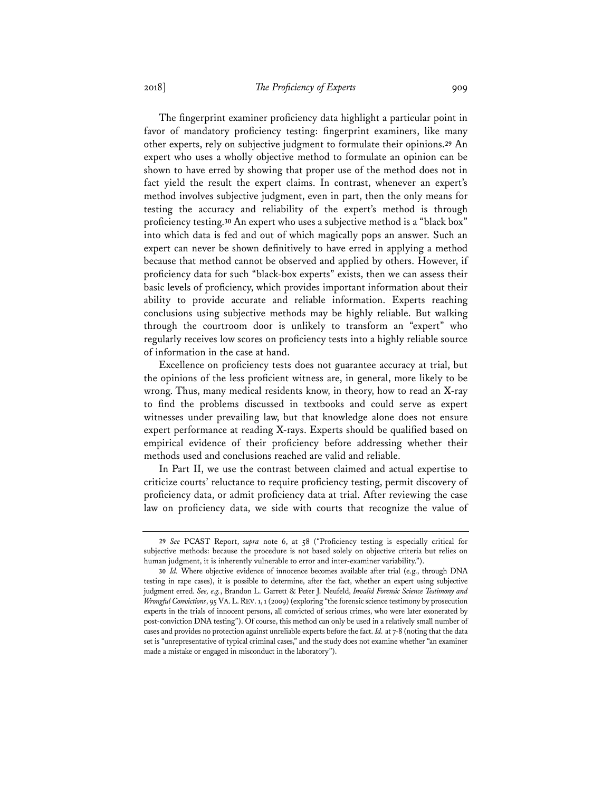The fingerprint examiner proficiency data highlight a particular point in favor of mandatory proficiency testing: fingerprint examiners, like many other experts, rely on subjective judgment to formulate their opinions.**29** An expert who uses a wholly objective method to formulate an opinion can be shown to have erred by showing that proper use of the method does not in fact yield the result the expert claims. In contrast, whenever an expert's method involves subjective judgment, even in part, then the only means for testing the accuracy and reliability of the expert's method is through proficiency testing.**30** An expert who uses a subjective method is a "black box" into which data is fed and out of which magically pops an answer. Such an expert can never be shown definitively to have erred in applying a method because that method cannot be observed and applied by others. However, if proficiency data for such "black-box experts" exists, then we can assess their basic levels of proficiency, which provides important information about their ability to provide accurate and reliable information. Experts reaching conclusions using subjective methods may be highly reliable. But walking through the courtroom door is unlikely to transform an "expert" who regularly receives low scores on proficiency tests into a highly reliable source of information in the case at hand.

Excellence on proficiency tests does not guarantee accuracy at trial, but the opinions of the less proficient witness are, in general, more likely to be wrong. Thus, many medical residents know, in theory, how to read an X-ray to find the problems discussed in textbooks and could serve as expert witnesses under prevailing law, but that knowledge alone does not ensure expert performance at reading X-rays. Experts should be qualified based on empirical evidence of their proficiency before addressing whether their methods used and conclusions reached are valid and reliable.

In Part II, we use the contrast between claimed and actual expertise to criticize courts' reluctance to require proficiency testing, permit discovery of proficiency data, or admit proficiency data at trial. After reviewing the case law on proficiency data, we side with courts that recognize the value of

**<sup>29</sup>** *See* PCAST Report, *supra* note 6, at 58 ("Proficiency testing is especially critical for subjective methods: because the procedure is not based solely on objective criteria but relies on human judgment, it is inherently vulnerable to error and inter-examiner variability.").

**<sup>30</sup>** *Id.* Where objective evidence of innocence becomes available after trial (e.g., through DNA testing in rape cases), it is possible to determine, after the fact, whether an expert using subjective judgment erred. *See, e.g.*, Brandon L. Garrett & Peter J. Neufeld, *Invalid Forensic Science Testimony and Wrongful Convictions*, 95 VA.L.REV. 1, 1 (2009) (exploring "the forensic science testimony by prosecution experts in the trials of innocent persons, all convicted of serious crimes, who were later exonerated by post-conviction DNA testing"). Of course, this method can only be used in a relatively small number of cases and provides no protection against unreliable experts before the fact. *Id.* at 7-8 (noting that the data set is "unrepresentative of typical criminal cases," and the study does not examine whether "an examiner made a mistake or engaged in misconduct in the laboratory").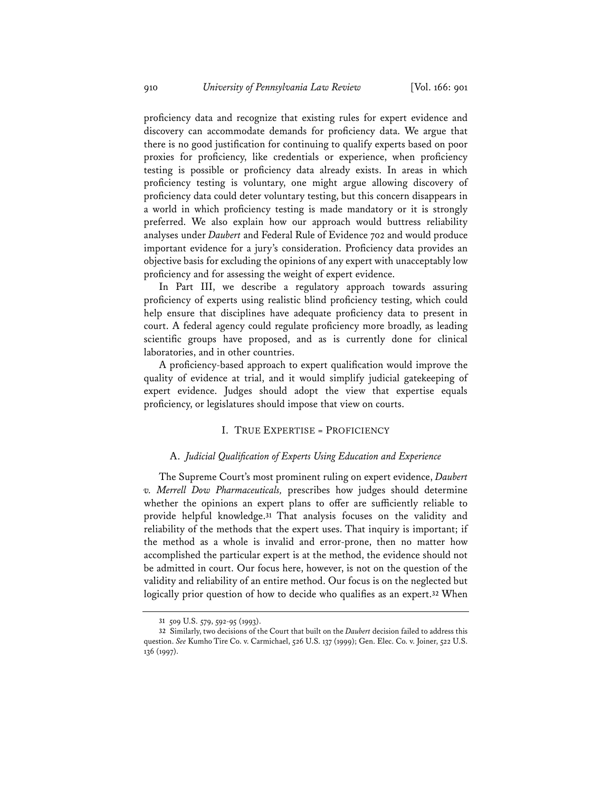proficiency data and recognize that existing rules for expert evidence and discovery can accommodate demands for proficiency data. We argue that there is no good justification for continuing to qualify experts based on poor proxies for proficiency, like credentials or experience, when proficiency testing is possible or proficiency data already exists. In areas in which proficiency testing is voluntary, one might argue allowing discovery of proficiency data could deter voluntary testing, but this concern disappears in a world in which proficiency testing is made mandatory or it is strongly preferred. We also explain how our approach would buttress reliability analyses under *Daubert* and Federal Rule of Evidence 702 and would produce important evidence for a jury's consideration. Proficiency data provides an objective basis for excluding the opinions of any expert with unacceptably low proficiency and for assessing the weight of expert evidence.

In Part III, we describe a regulatory approach towards assuring proficiency of experts using realistic blind proficiency testing, which could help ensure that disciplines have adequate proficiency data to present in court. A federal agency could regulate proficiency more broadly, as leading scientific groups have proposed, and as is currently done for clinical laboratories, and in other countries.

A proficiency-based approach to expert qualification would improve the quality of evidence at trial, and it would simplify judicial gatekeeping of expert evidence. Judges should adopt the view that expertise equals proficiency, or legislatures should impose that view on courts.

## I. TRUE EXPERTISE = PROFICIENCY

## A. *Judicial Qualification of Experts Using Education and Experience*

The Supreme Court's most prominent ruling on expert evidence, *Daubert v. Merrell Dow Pharmaceuticals,* prescribes how judges should determine whether the opinions an expert plans to offer are sufficiently reliable to provide helpful knowledge.**31** That analysis focuses on the validity and reliability of the methods that the expert uses. That inquiry is important; if the method as a whole is invalid and error-prone, then no matter how accomplished the particular expert is at the method, the evidence should not be admitted in court. Our focus here, however, is not on the question of the validity and reliability of an entire method. Our focus is on the neglected but logically prior question of how to decide who qualifies as an expert.**32** When

**<sup>31</sup>** 509 U.S. 579, 592-95 (1993).

**<sup>32</sup>** Similarly, two decisions of the Court that built on the *Daubert* decision failed to address this question. *See* Kumho Tire Co. v. Carmichael, 526 U.S. 137 (1999); Gen. Elec. Co. v. Joiner, 522 U.S. 136 (1997).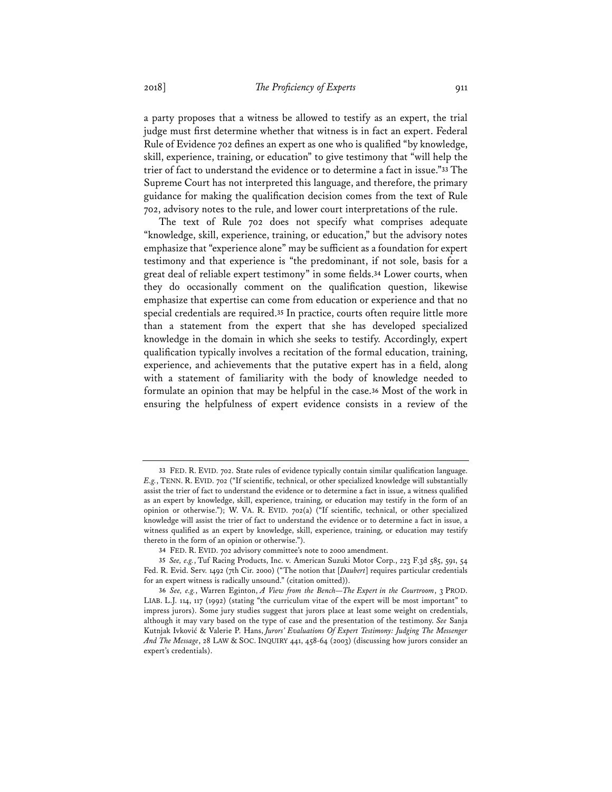a party proposes that a witness be allowed to testify as an expert, the trial judge must first determine whether that witness is in fact an expert. Federal Rule of Evidence 702 defines an expert as one who is qualified "by knowledge, skill, experience, training, or education" to give testimony that "will help the trier of fact to understand the evidence or to determine a fact in issue."**33** The Supreme Court has not interpreted this language, and therefore, the primary guidance for making the qualification decision comes from the text of Rule 702, advisory notes to the rule, and lower court interpretations of the rule.

The text of Rule 702 does not specify what comprises adequate "knowledge, skill, experience, training, or education," but the advisory notes emphasize that "experience alone" may be sufficient as a foundation for expert testimony and that experience is "the predominant, if not sole, basis for a great deal of reliable expert testimony" in some fields.**34** Lower courts, when they do occasionally comment on the qualification question, likewise emphasize that expertise can come from education or experience and that no special credentials are required.**35** In practice, courts often require little more than a statement from the expert that she has developed specialized knowledge in the domain in which she seeks to testify. Accordingly, expert qualification typically involves a recitation of the formal education, training, experience, and achievements that the putative expert has in a field, along with a statement of familiarity with the body of knowledge needed to formulate an opinion that may be helpful in the case.**36** Most of the work in ensuring the helpfulness of expert evidence consists in a review of the

**<sup>33</sup>** FED. R. EVID. 702. State rules of evidence typically contain similar qualification language. *E.g.*, TENN. R. EVID. 702 ("If scientific, technical, or other specialized knowledge will substantially assist the trier of fact to understand the evidence or to determine a fact in issue, a witness qualified as an expert by knowledge, skill, experience, training, or education may testify in the form of an opinion or otherwise."); W. VA. R. EVID. 702(a) ("If scientific, technical, or other specialized knowledge will assist the trier of fact to understand the evidence or to determine a fact in issue, a witness qualified as an expert by knowledge, skill, experience, training, or education may testify thereto in the form of an opinion or otherwise.").

**<sup>34</sup>** FED. R. EVID. 702 advisory committee's note to 2000 amendment.

**<sup>35</sup>** *See, e.g.*, Tuf Racing Products, Inc. v. American Suzuki Motor Corp., 223 F.3d 585, 591, 54 Fed. R. Evid. Serv. 1492 (7th Cir. 2000) ("The notion that [*Daubert*] requires particular credentials for an expert witness is radically unsound." (citation omitted)).

**<sup>36</sup>** *See, e.g.*, Warren Eginton, *A View from the Bench—The Expert in the Courtroom*, 3 PROD. LIAB. L.J. 114, 117 (1992) (stating "the curriculum vitae of the expert will be most important" to impress jurors). Some jury studies suggest that jurors place at least some weight on credentials, although it may vary based on the type of case and the presentation of the testimony. *See* Sanja Kutnjak Ivković & Valerie P. Hans, *Jurors' Evaluations Of Expert Testimony: Judging The Messenger And The Message*, 28 LAW & SOC. INQUIRY 441, 458-64 (2003) (discussing how jurors consider an expert's credentials).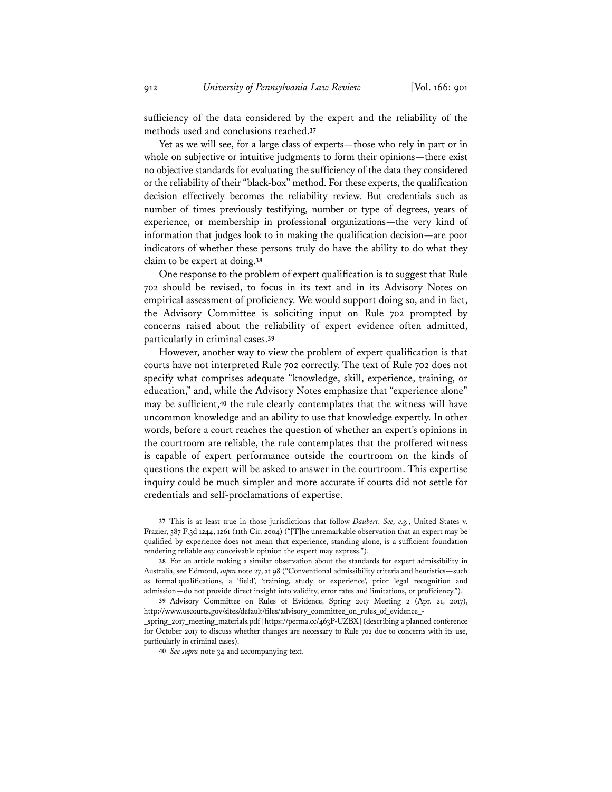sufficiency of the data considered by the expert and the reliability of the methods used and conclusions reached.**37**

Yet as we will see, for a large class of experts—those who rely in part or in whole on subjective or intuitive judgments to form their opinions—there exist no objective standards for evaluating the sufficiency of the data they considered or the reliability of their "black-box" method. For these experts, the qualification decision effectively becomes the reliability review. But credentials such as number of times previously testifying, number or type of degrees, years of experience, or membership in professional organizations—the very kind of information that judges look to in making the qualification decision—are poor indicators of whether these persons truly do have the ability to do what they claim to be expert at doing.**38**

One response to the problem of expert qualification is to suggest that Rule 702 should be revised, to focus in its text and in its Advisory Notes on empirical assessment of proficiency. We would support doing so, and in fact, the Advisory Committee is soliciting input on Rule 702 prompted by concerns raised about the reliability of expert evidence often admitted, particularly in criminal cases.**39**

However, another way to view the problem of expert qualification is that courts have not interpreted Rule 702 correctly. The text of Rule 702 does not specify what comprises adequate "knowledge, skill, experience, training, or education," and, while the Advisory Notes emphasize that "experience alone" may be sufficient,**40** the rule clearly contemplates that the witness will have uncommon knowledge and an ability to use that knowledge expertly. In other words, before a court reaches the question of whether an expert's opinions in the courtroom are reliable, the rule contemplates that the proffered witness is capable of expert performance outside the courtroom on the kinds of questions the expert will be asked to answer in the courtroom. This expertise inquiry could be much simpler and more accurate if courts did not settle for credentials and self-proclamations of expertise.

**<sup>37</sup>** This is at least true in those jurisdictions that follow *Daubert*. *See, e.g.*, United States v. Frazier, 387 F.3d 1244, 1261 (11th Cir. 2004) ("[T]he unremarkable observation that an expert may be qualified by experience does not mean that experience, standing alone, is a sufficient foundation rendering reliable *any* conceivable opinion the expert may express.").

**<sup>38</sup>** For an article making a similar observation about the standards for expert admissibility in Australia, see Edmond, *supra* note 27, at 98 ("Conventional admissibility criteria and heuristics—such as formal qualifications, a 'field', 'training, study or experience', prior legal recognition and admission—do not provide direct insight into validity, error rates and limitations, or proficiency.").

**<sup>39</sup>** Advisory Committee on Rules of Evidence, Spring 2017 Meeting 2 (Apr. 21, 2017), http://www.uscourts.gov/sites/default/files/advisory\_committee\_on\_rules\_of\_evidence\_-

\_spring\_2017\_meeting\_materials.pdf [https://perma.cc/463P-UZBX] (describing a planned conference for October 2017 to discuss whether changes are necessary to Rule 702 due to concerns with its use, particularly in criminal cases).

**<sup>40</sup>** *See supra* note 34 and accompanying text.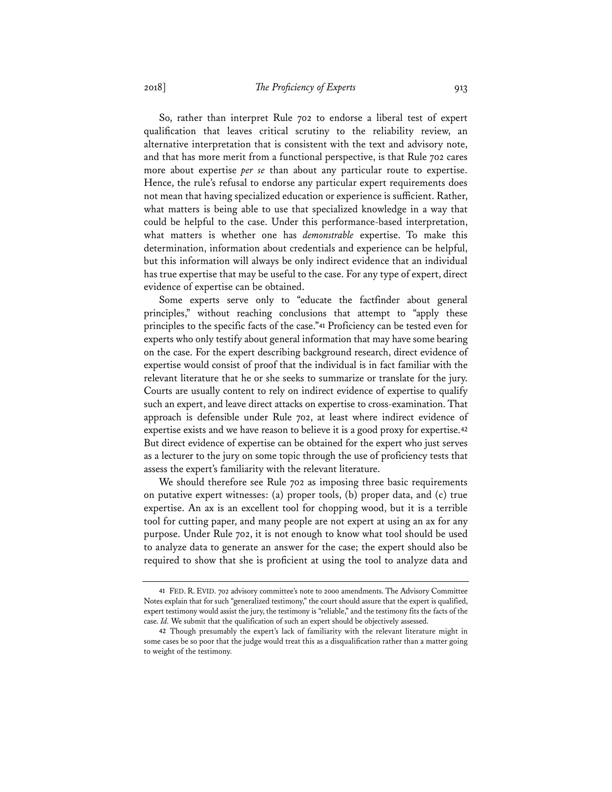So, rather than interpret Rule 702 to endorse a liberal test of expert qualification that leaves critical scrutiny to the reliability review, an alternative interpretation that is consistent with the text and advisory note, and that has more merit from a functional perspective, is that Rule 702 cares more about expertise *per se* than about any particular route to expertise. Hence, the rule's refusal to endorse any particular expert requirements does not mean that having specialized education or experience is sufficient. Rather, what matters is being able to use that specialized knowledge in a way that could be helpful to the case. Under this performance-based interpretation, what matters is whether one has *demonstrable* expertise. To make this determination, information about credentials and experience can be helpful, but this information will always be only indirect evidence that an individual has true expertise that may be useful to the case. For any type of expert, direct evidence of expertise can be obtained.

Some experts serve only to "educate the factfinder about general principles," without reaching conclusions that attempt to "apply these principles to the specific facts of the case."**41** Proficiency can be tested even for experts who only testify about general information that may have some bearing on the case. For the expert describing background research, direct evidence of expertise would consist of proof that the individual is in fact familiar with the relevant literature that he or she seeks to summarize or translate for the jury. Courts are usually content to rely on indirect evidence of expertise to qualify such an expert, and leave direct attacks on expertise to cross-examination. That approach is defensible under Rule 702, at least where indirect evidence of expertise exists and we have reason to believe it is a good proxy for expertise.**42** But direct evidence of expertise can be obtained for the expert who just serves as a lecturer to the jury on some topic through the use of proficiency tests that assess the expert's familiarity with the relevant literature.

We should therefore see Rule 702 as imposing three basic requirements on putative expert witnesses: (a) proper tools, (b) proper data, and (c) true expertise. An ax is an excellent tool for chopping wood, but it is a terrible tool for cutting paper, and many people are not expert at using an ax for any purpose. Under Rule 702, it is not enough to know what tool should be used to analyze data to generate an answer for the case; the expert should also be required to show that she is proficient at using the tool to analyze data and

**<sup>41</sup>** FED. R. EVID. 702 advisory committee's note to 2000 amendments. The Advisory Committee Notes explain that for such "generalized testimony," the court should assure that the expert is qualified, expert testimony would assist the jury, the testimony is "reliable," and the testimony fits the facts of the case. *Id.* We submit that the qualification of such an expert should be objectively assessed.

**<sup>42</sup>** Though presumably the expert's lack of familiarity with the relevant literature might in some cases be so poor that the judge would treat this as a disqualification rather than a matter going to weight of the testimony.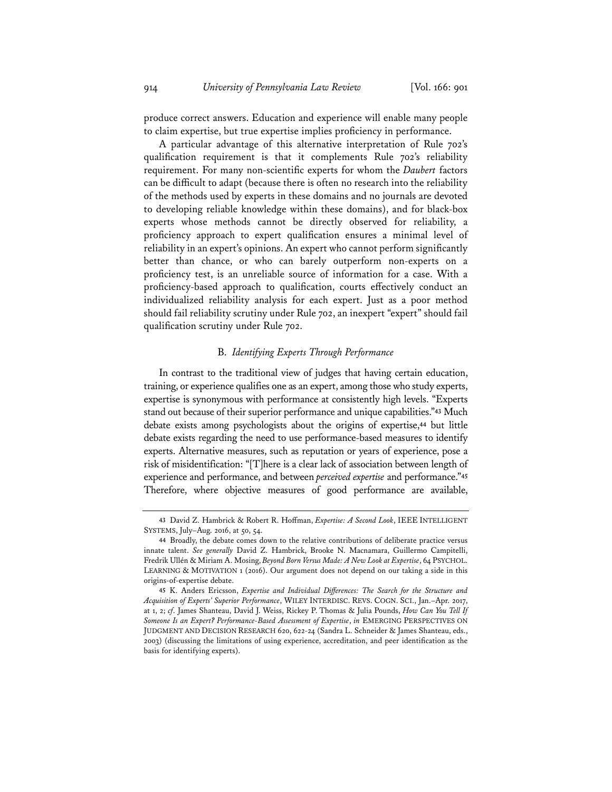produce correct answers. Education and experience will enable many people to claim expertise, but true expertise implies proficiency in performance.

A particular advantage of this alternative interpretation of Rule 702's qualification requirement is that it complements Rule 702's reliability requirement. For many non-scientific experts for whom the *Daubert* factors can be difficult to adapt (because there is often no research into the reliability of the methods used by experts in these domains and no journals are devoted to developing reliable knowledge within these domains), and for black-box experts whose methods cannot be directly observed for reliability, a proficiency approach to expert qualification ensures a minimal level of reliability in an expert's opinions. An expert who cannot perform significantly better than chance, or who can barely outperform non-experts on a proficiency test, is an unreliable source of information for a case. With a proficiency-based approach to qualification, courts effectively conduct an individualized reliability analysis for each expert. Just as a poor method should fail reliability scrutiny under Rule 702, an inexpert "expert" should fail qualification scrutiny under Rule 702.

## B. *Identifying Experts Through Performance*

In contrast to the traditional view of judges that having certain education, training, or experience qualifies one as an expert, among those who study experts, expertise is synonymous with performance at consistently high levels. "Experts stand out because of their superior performance and unique capabilities."**43** Much debate exists among psychologists about the origins of expertise,**44** but little debate exists regarding the need to use performance-based measures to identify experts. Alternative measures, such as reputation or years of experience, pose a risk of misidentification: "[T]here is a clear lack of association between length of experience and performance, and between *perceived expertise* and performance."**45** Therefore, where objective measures of good performance are available,

**<sup>43</sup>** David Z. Hambrick & Robert R. Hoffman, *Expertise: A Second Look*, IEEE INTELLIGENT SYSTEMS, July–Aug. 2016, at 50, 54.

**<sup>44</sup>** Broadly, the debate comes down to the relative contributions of deliberate practice versus innate talent. *See generally* David Z. Hambrick, Brooke N. Macnamara, Guillermo Campitelli, Fredrik Ullén & Miriam A. Mosing, *Beyond Born Versus Made: A New Look at Expertise*, 64 PSYCHOL. LEARNING & MOTIVATION 1 (2016). Our argument does not depend on our taking a side in this origins-of-expertise debate.

**<sup>45</sup>** K. Anders Ericsson, *Expertise and Individual Differences: The Search for the Structure and Acquisition of Experts' Superior Performance*, WILEY INTERDISC. REVS. COGN. SCI., Jan.–Apr. 2017, at 1, 2; *cf*. James Shanteau, David J. Weiss, Rickey P. Thomas & Julia Pounds, *How Can You Tell If Someone Is an Expert? Performance-Based Assessment of Expertise*, *in* EMERGING PERSPECTIVES ON JUDGMENT AND DECISION RESEARCH 620, 622-24 (Sandra L. Schneider & James Shanteau, eds., 2003) (discussing the limitations of using experience, accreditation, and peer identification as the basis for identifying experts).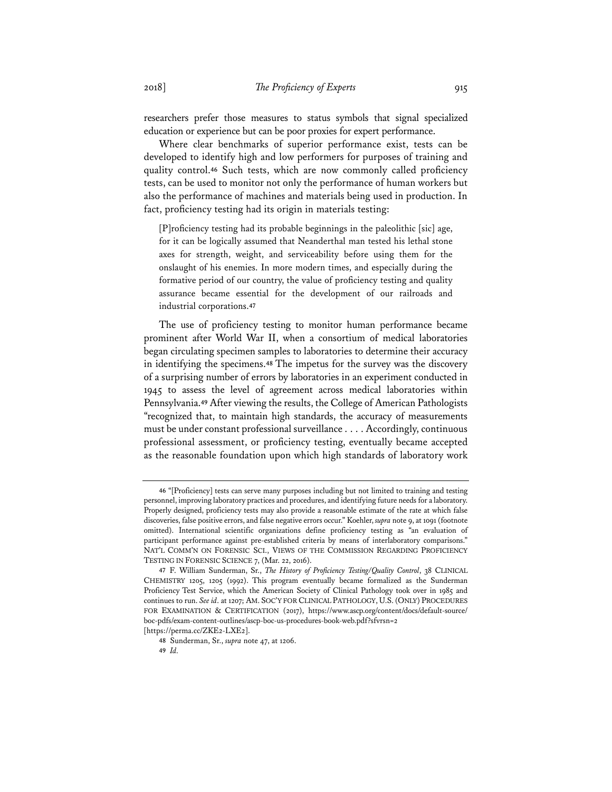researchers prefer those measures to status symbols that signal specialized education or experience but can be poor proxies for expert performance.

Where clear benchmarks of superior performance exist, tests can be developed to identify high and low performers for purposes of training and quality control.**46** Such tests, which are now commonly called proficiency tests, can be used to monitor not only the performance of human workers but also the performance of machines and materials being used in production. In fact, proficiency testing had its origin in materials testing:

[P]roficiency testing had its probable beginnings in the paleolithic [sic] age, for it can be logically assumed that Neanderthal man tested his lethal stone axes for strength, weight, and serviceability before using them for the onslaught of his enemies. In more modern times, and especially during the formative period of our country, the value of proficiency testing and quality assurance became essential for the development of our railroads and industrial corporations.**47**

The use of proficiency testing to monitor human performance became prominent after World War II, when a consortium of medical laboratories began circulating specimen samples to laboratories to determine their accuracy in identifying the specimens.**48** The impetus for the survey was the discovery of a surprising number of errors by laboratories in an experiment conducted in 1945 to assess the level of agreement across medical laboratories within Pennsylvania.**49** After viewing the results, the College of American Pathologists "recognized that, to maintain high standards, the accuracy of measurements must be under constant professional surveillance . . . . Accordingly, continuous professional assessment, or proficiency testing, eventually became accepted as the reasonable foundation upon which high standards of laboratory work

**<sup>46</sup>** "[Proficiency] tests can serve many purposes including but not limited to training and testing personnel, improving laboratory practices and procedures, and identifying future needs for a laboratory. Properly designed, proficiency tests may also provide a reasonable estimate of the rate at which false discoveries, false positive errors, and false negative errors occur." Koehler, *supra* note 9, at 1091 (footnote omitted). International scientific organizations define proficiency testing as "an evaluation of participant performance against pre-established criteria by means of interlaboratory comparisons." NAT'L COMM'N ON FORENSIC SCI., VIEWS OF THE COMMISSION REGARDING PROFICIENCY TESTING IN FORENSIC SCIENCE 7, (Mar. 22, 2016).

**<sup>47</sup>** F. William Sunderman, Sr., *The History of Proficiency Testing/Quality Control*, 38 CLINICAL CHEMISTRY 1205, 1205 (1992). This program eventually became formalized as the Sunderman Proficiency Test Service, which the American Society of Clinical Pathology took over in 1985 and continues to run. *See id*. at 1207; AM. SOC'Y FOR CLINICAL PATHOLOGY, U.S.(ONLY) PROCEDURES FOR EXAMINATION & CERTIFICATION (2017), https://www.ascp.org/content/docs/default-source/ boc-pdfs/exam-content-outlines/ascp-boc-us-procedures-book-web.pdf?sfvrsn=2 [https://perma.cc/ZKE2-LXE2].

**<sup>48</sup>** Sunderman, Sr., *supra* note 47, at 1206.

**<sup>49</sup>** *Id.*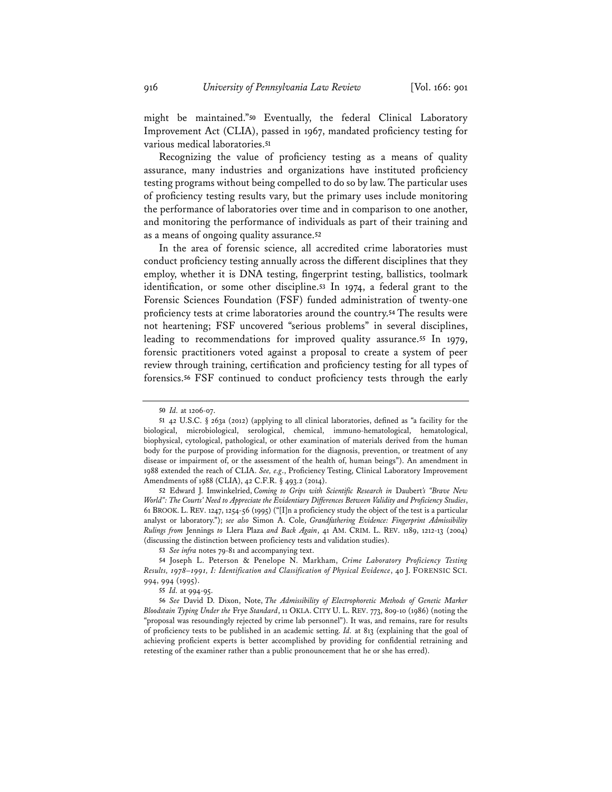might be maintained."**50** Eventually, the federal Clinical Laboratory Improvement Act (CLIA), passed in 1967, mandated proficiency testing for various medical laboratories.**51**

Recognizing the value of proficiency testing as a means of quality assurance, many industries and organizations have instituted proficiency testing programs without being compelled to do so by law. The particular uses of proficiency testing results vary, but the primary uses include monitoring the performance of laboratories over time and in comparison to one another, and monitoring the performance of individuals as part of their training and as a means of ongoing quality assurance.**52**

In the area of forensic science, all accredited crime laboratories must conduct proficiency testing annually across the different disciplines that they employ, whether it is DNA testing, fingerprint testing, ballistics, toolmark identification, or some other discipline.**53** In 1974, a federal grant to the Forensic Sciences Foundation (FSF) funded administration of twenty-one proficiency tests at crime laboratories around the country.**54** The results were not heartening; FSF uncovered "serious problems" in several disciplines, leading to recommendations for improved quality assurance.**55** In 1979, forensic practitioners voted against a proposal to create a system of peer review through training, certification and proficiency testing for all types of forensics.**56** FSF continued to conduct proficiency tests through the early

**<sup>50</sup>** *Id.* at 1206-07.

**<sup>51</sup>** 42 U.S.C. § 263a (2012) (applying to all clinical laboratories, defined as "a facility for the biological, microbiological, serological, chemical, immuno-hematological, hematological, biophysical, cytological, pathological, or other examination of materials derived from the human body for the purpose of providing information for the diagnosis, prevention, or treatment of any disease or impairment of, or the assessment of the health of, human beings"). An amendment in 1988 extended the reach of CLIA. *See, e.g*., Proficiency Testing, Clinical Laboratory Improvement Amendments of 1988 (CLIA), 42 C.F.R. § 493.2 (2014).

**<sup>52</sup>** Edward J. Imwinkelried, *Coming to Grips with Scientific Research in* Daubert*'s "Brave New World": The Courts' Need to Appreciate the Evidentiary Differences Between Validity and Proficiency Studies*, 61 BROOK. L. REV. 1247, 1254-56 (1995) ("[I]n a proficiency study the object of the test is a particular analyst or laboratory."); *see also* Simon A. Cole, *Grandfathering Evidence: Fingerprint Admissibility Rulings from* Jennings *to* Llera Plaza *and Back Again*, 41 AM. CRIM. L. REV. 1189, 1212-13 (2004) (discussing the distinction between proficiency tests and validation studies).

**<sup>53</sup>** *See infra* notes 79-81 and accompanying text.

**<sup>54</sup>** Joseph L. Peterson & Penelope N. Markham, *Crime Laboratory Proficiency Testing Results, 1978–1991, I: Identification and Classification of Physical Evidence*, 40 J. FORENSIC SCI. 994, 994 (1995).

**<sup>55</sup>** *Id.* at 994-95.

**<sup>56</sup>** *See* David D. Dixon, Note, *The Admissibility of Electrophoretic Methods of Genetic Marker Bloodstain Typing Under the* Frye *Standard*, 11 OKLA. CITY U. L. REV. 773, 809-10 (1986) (noting the "proposal was resoundingly rejected by crime lab personnel"). It was, and remains, rare for results of proficiency tests to be published in an academic setting. *Id.* at 813 (explaining that the goal of achieving proficient experts is better accomplished by providing for confidential retraining and retesting of the examiner rather than a public pronouncement that he or she has erred).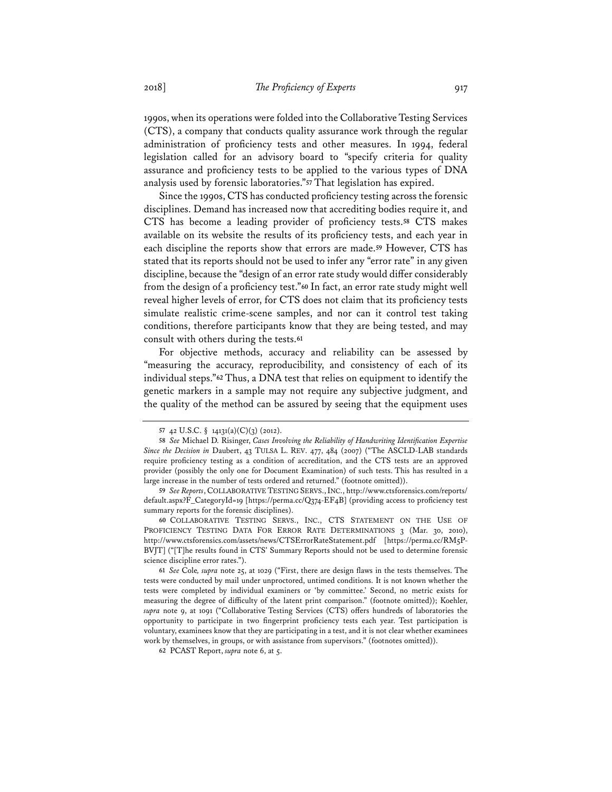1990s, when its operations were folded into the Collaborative Testing Services (CTS), a company that conducts quality assurance work through the regular administration of proficiency tests and other measures. In 1994, federal legislation called for an advisory board to "specify criteria for quality assurance and proficiency tests to be applied to the various types of DNA analysis used by forensic laboratories."**57** That legislation has expired.

Since the 1990s, CTS has conducted proficiency testing across the forensic disciplines. Demand has increased now that accrediting bodies require it, and CTS has become a leading provider of proficiency tests.**58** CTS makes available on its website the results of its proficiency tests, and each year in each discipline the reports show that errors are made.**59** However, CTS has stated that its reports should not be used to infer any "error rate" in any given discipline, because the "design of an error rate study would differ considerably from the design of a proficiency test."**60** In fact, an error rate study might well reveal higher levels of error, for CTS does not claim that its proficiency tests simulate realistic crime-scene samples, and nor can it control test taking conditions, therefore participants know that they are being tested, and may consult with others during the tests.**61**

For objective methods, accuracy and reliability can be assessed by "measuring the accuracy, reproducibility, and consistency of each of its individual steps."**62** Thus, a DNA test that relies on equipment to identify the genetic markers in a sample may not require any subjective judgment, and the quality of the method can be assured by seeing that the equipment uses

**62** PCAST Report, *supra* note 6, at 5.

**<sup>57</sup>** 42 U.S.C. § 14131(a)(C)(3) (2012).

**<sup>58</sup>** *See* Michael D. Risinger, *Cases Involving the Reliability of Handwriting Identification Expertise Since the Decision in* Daubert, 43 TULSA L. REV. 477, 484 (2007) ("The ASCLD-LAB standards require proficiency testing as a condition of accreditation, and the CTS tests are an approved provider (possibly the only one for Document Examination) of such tests. This has resulted in a large increase in the number of tests ordered and returned." (footnote omitted)).

**<sup>59</sup>** *See Reports*, COLLABORATIVE TESTING SERVS.,INC., http://www.ctsforensics.com/reports/ default.aspx?F\_CategoryId=19 [https://perma.cc/Q374-EF4B] (providing access to proficiency test summary reports for the forensic disciplines).

**<sup>60</sup>** COLLABORATIVE TESTING SERVS., INC., CTS STATEMENT ON THE USE OF PROFICIENCY TESTING DATA FOR ERROR RATE DETERMINATIONS 3 (Mar. 30, 2010), http://www.ctsforensics.com/assets/news/CTSErrorRateStatement.pdf [https://perma.cc/RM5P-BVJT] ("[T]he results found in CTS' Summary Reports should not be used to determine forensic science discipline error rates.").

**<sup>61</sup>** *See* Cole*, supra* note 25, at 1029 ("First, there are design flaws in the tests themselves. The tests were conducted by mail under unproctored, untimed conditions. It is not known whether the tests were completed by individual examiners or 'by committee.' Second, no metric exists for measuring the degree of difficulty of the latent print comparison." (footnote omitted)); Koehler, *supra* note 9, at 1091 ("Collaborative Testing Services (CTS) offers hundreds of laboratories the opportunity to participate in two fingerprint proficiency tests each year. Test participation is voluntary, examinees know that they are participating in a test, and it is not clear whether examinees work by themselves, in groups, or with assistance from supervisors." (footnotes omitted)).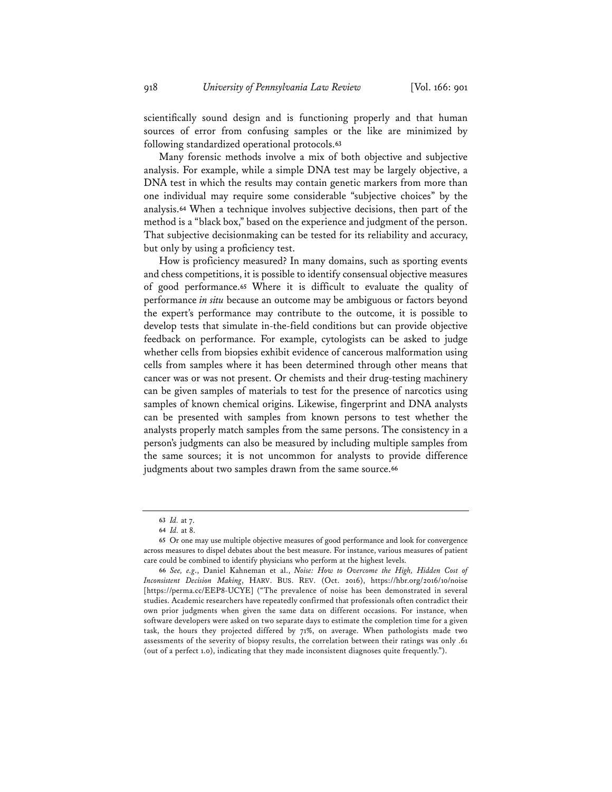scientifically sound design and is functioning properly and that human sources of error from confusing samples or the like are minimized by following standardized operational protocols.**63**

Many forensic methods involve a mix of both objective and subjective analysis. For example, while a simple DNA test may be largely objective, a DNA test in which the results may contain genetic markers from more than one individual may require some considerable "subjective choices" by the analysis.**64** When a technique involves subjective decisions, then part of the method is a "black box," based on the experience and judgment of the person. That subjective decisionmaking can be tested for its reliability and accuracy, but only by using a proficiency test.

How is proficiency measured? In many domains, such as sporting events and chess competitions, it is possible to identify consensual objective measures of good performance.**65** Where it is difficult to evaluate the quality of performance *in situ* because an outcome may be ambiguous or factors beyond the expert's performance may contribute to the outcome, it is possible to develop tests that simulate in-the-field conditions but can provide objective feedback on performance. For example, cytologists can be asked to judge whether cells from biopsies exhibit evidence of cancerous malformation using cells from samples where it has been determined through other means that cancer was or was not present. Or chemists and their drug-testing machinery can be given samples of materials to test for the presence of narcotics using samples of known chemical origins. Likewise, fingerprint and DNA analysts can be presented with samples from known persons to test whether the analysts properly match samples from the same persons. The consistency in a person's judgments can also be measured by including multiple samples from the same sources; it is not uncommon for analysts to provide difference judgments about two samples drawn from the same source.**66**

**<sup>63</sup>** *Id.* at 7.

**<sup>64</sup>** *Id.* at 8.

**<sup>65</sup>** Or one may use multiple objective measures of good performance and look for convergence across measures to dispel debates about the best measure. For instance, various measures of patient care could be combined to identify physicians who perform at the highest levels.

**<sup>66</sup>** *See, e.g*., Daniel Kahneman et al., *Noise: How to Overcome the High, Hidden Cost of Inconsistent Decision Making*, HARV. BUS. REV. (Oct. 2016), https://hbr.org/2016/10/noise [https://perma.cc/EEP8-UCYE] ("The prevalence of noise has been demonstrated in several studies. Academic researchers have repeatedly confirmed that professionals often contradict their own prior judgments when given the same data on different occasions. For instance, when software developers were asked on two separate days to estimate the completion time for a given task, the hours they projected differed by 71%, on average. When pathologists made two assessments of the severity of biopsy results, the correlation between their ratings was only .61 (out of a perfect 1.0), indicating that they made inconsistent diagnoses quite frequently.").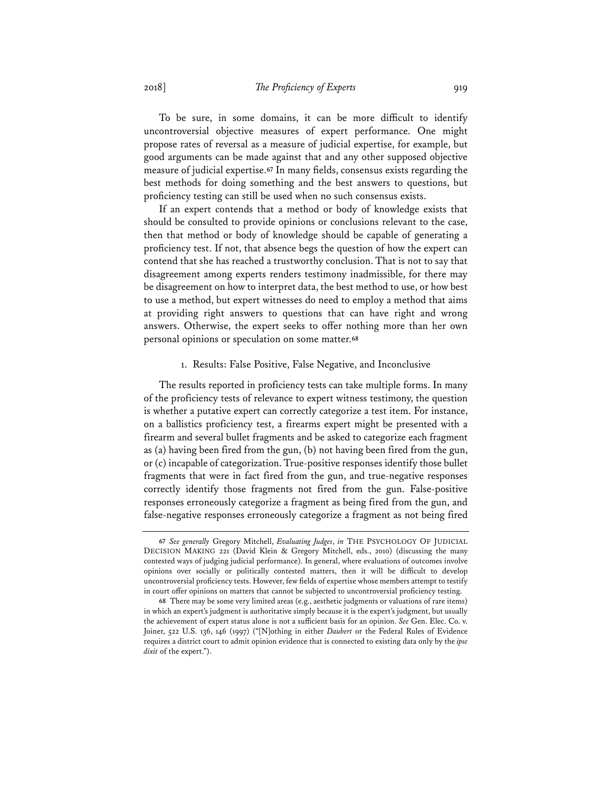To be sure, in some domains, it can be more difficult to identify uncontroversial objective measures of expert performance. One might propose rates of reversal as a measure of judicial expertise, for example, but good arguments can be made against that and any other supposed objective measure of judicial expertise.**67** In many fields, consensus exists regarding the best methods for doing something and the best answers to questions, but proficiency testing can still be used when no such consensus exists.

If an expert contends that a method or body of knowledge exists that should be consulted to provide opinions or conclusions relevant to the case, then that method or body of knowledge should be capable of generating a proficiency test. If not, that absence begs the question of how the expert can contend that she has reached a trustworthy conclusion. That is not to say that disagreement among experts renders testimony inadmissible, for there may be disagreement on how to interpret data, the best method to use, or how best to use a method, but expert witnesses do need to employ a method that aims at providing right answers to questions that can have right and wrong answers. Otherwise, the expert seeks to offer nothing more than her own personal opinions or speculation on some matter.**68**

## 1. Results: False Positive, False Negative, and Inconclusive

The results reported in proficiency tests can take multiple forms. In many of the proficiency tests of relevance to expert witness testimony, the question is whether a putative expert can correctly categorize a test item. For instance, on a ballistics proficiency test, a firearms expert might be presented with a firearm and several bullet fragments and be asked to categorize each fragment as (a) having been fired from the gun, (b) not having been fired from the gun, or (c) incapable of categorization. True-positive responses identify those bullet fragments that were in fact fired from the gun, and true-negative responses correctly identify those fragments not fired from the gun. False-positive responses erroneously categorize a fragment as being fired from the gun, and false-negative responses erroneously categorize a fragment as not being fired

**<sup>67</sup>** *See generally* Gregory Mitchell, *Evaluating Judges*, *in* THE PSYCHOLOGY OF JUDICIAL DECISION MAKING 221 (David Klein & Gregory Mitchell, eds., 2010) (discussing the many contested ways of judging judicial performance). In general, where evaluations of outcomes involve opinions over socially or politically contested matters, then it will be difficult to develop uncontroversial proficiency tests. However, few fields of expertise whose members attempt to testify in court offer opinions on matters that cannot be subjected to uncontroversial proficiency testing.

**<sup>68</sup>** There may be some very limited areas (e.g., aesthetic judgments or valuations of rare items) in which an expert's judgment is authoritative simply because it is the expert's judgment, but usually the achievement of expert status alone is not a sufficient basis for an opinion. *See* Gen. Elec. Co. v. Joiner, 522 U.S. 136, 146 (1997) ("[N]othing in either *Daubert* or the Federal Rules of Evidence requires a district court to admit opinion evidence that is connected to existing data only by the *ipse dixit* of the expert.").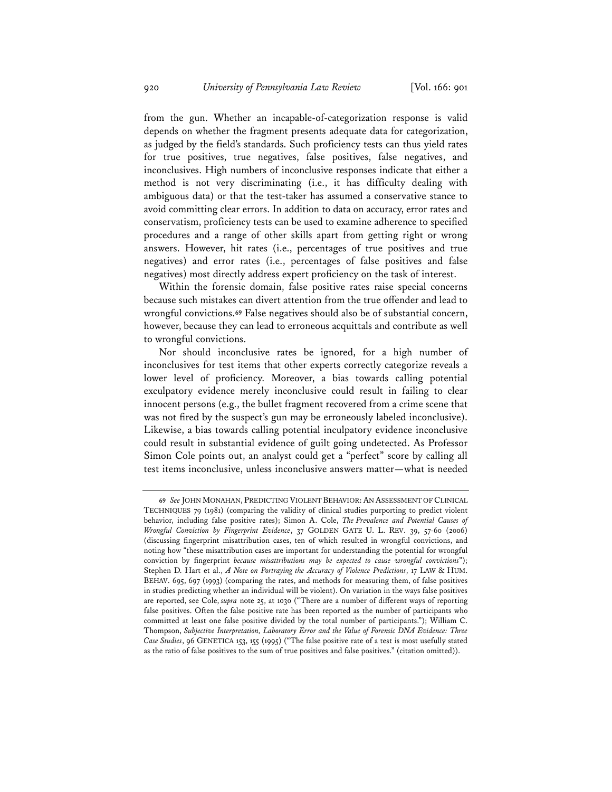from the gun. Whether an incapable-of-categorization response is valid depends on whether the fragment presents adequate data for categorization, as judged by the field's standards. Such proficiency tests can thus yield rates for true positives, true negatives, false positives, false negatives, and inconclusives. High numbers of inconclusive responses indicate that either a method is not very discriminating (i.e., it has difficulty dealing with ambiguous data) or that the test-taker has assumed a conservative stance to avoid committing clear errors. In addition to data on accuracy, error rates and conservatism, proficiency tests can be used to examine adherence to specified procedures and a range of other skills apart from getting right or wrong answers. However, hit rates (i.e., percentages of true positives and true negatives) and error rates (i.e., percentages of false positives and false negatives) most directly address expert proficiency on the task of interest.

Within the forensic domain, false positive rates raise special concerns because such mistakes can divert attention from the true offender and lead to wrongful convictions.**69** False negatives should also be of substantial concern, however, because they can lead to erroneous acquittals and contribute as well to wrongful convictions.

Nor should inconclusive rates be ignored, for a high number of inconclusives for test items that other experts correctly categorize reveals a lower level of proficiency. Moreover, a bias towards calling potential exculpatory evidence merely inconclusive could result in failing to clear innocent persons (e.g., the bullet fragment recovered from a crime scene that was not fired by the suspect's gun may be erroneously labeled inconclusive). Likewise, a bias towards calling potential inculpatory evidence inconclusive could result in substantial evidence of guilt going undetected. As Professor Simon Cole points out, an analyst could get a "perfect" score by calling all test items inconclusive, unless inconclusive answers matter—what is needed

**<sup>69</sup>** *See* JOHN MONAHAN, PREDICTING VIOLENT BEHAVIOR:AN ASSESSMENT OF CLINICAL TECHNIQUES 79 (1981) (comparing the validity of clinical studies purporting to predict violent behavior, including false positive rates); Simon A. Cole, *The Prevalence and Potential Causes of Wrongful Conviction by Fingerprint Evidence*, 37 GOLDEN GATE U. L. REV. 39, 57-60 (2006) (discussing fingerprint misattribution cases, ten of which resulted in wrongful convictions, and noting how "these misattribution cases are important for understanding the potential for wrongful conviction by fingerprint *because misattributions may be expected to cause wrongful convictions*"); Stephen D. Hart et al., *A Note on Portraying the Accuracy of Violence Predictions*, 17 LAW & HUM. BEHAV. 695, 697 (1993) (comparing the rates, and methods for measuring them, of false positives in studies predicting whether an individual will be violent). On variation in the ways false positives are reported, see Cole, *supra* note 25, at 1030 ("There are a number of different ways of reporting false positives. Often the false positive rate has been reported as the number of participants who committed at least one false positive divided by the total number of participants."); William C. Thompson, *Subjective Interpretation, Laboratory Error and the Value of Forensic DNA Evidence: Three Case Studies*, 96 GENETICA 153, 155 (1995) ("The false positive rate of a test is most usefully stated as the ratio of false positives to the sum of true positives and false positives." (citation omitted)).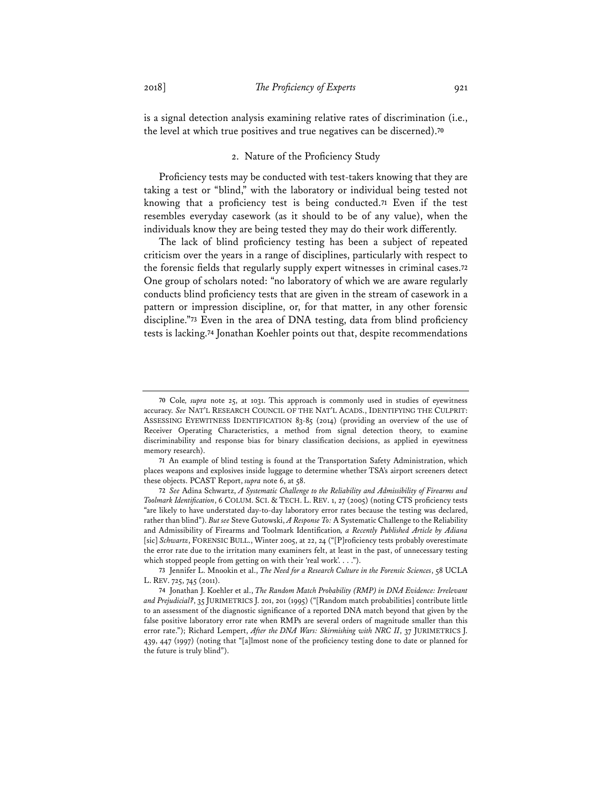is a signal detection analysis examining relative rates of discrimination (i.e., the level at which true positives and true negatives can be discerned).**<sup>70</sup>**

## 2. Nature of the Proficiency Study

Proficiency tests may be conducted with test-takers knowing that they are taking a test or "blind," with the laboratory or individual being tested not knowing that a proficiency test is being conducted.**71** Even if the test resembles everyday casework (as it should to be of any value), when the individuals know they are being tested they may do their work differently.

The lack of blind proficiency testing has been a subject of repeated criticism over the years in a range of disciplines, particularly with respect to the forensic fields that regularly supply expert witnesses in criminal cases.**72** One group of scholars noted: "no laboratory of which we are aware regularly conducts blind proficiency tests that are given in the stream of casework in a pattern or impression discipline, or, for that matter, in any other forensic discipline."**73** Even in the area of DNA testing, data from blind proficiency tests is lacking.**74** Jonathan Koehler points out that, despite recommendations

**<sup>70</sup>** Cole*, supra* note 25, at 1031. This approach is commonly used in studies of eyewitness accuracy. *See* NAT'L RESEARCH COUNCIL OF THE NAT'L ACADS., IDENTIFYING THE CULPRIT: ASSESSING EYEWITNESS IDENTIFICATION 83-85 (2014) (providing an overview of the use of Receiver Operating Characteristics, a method from signal detection theory, to examine discriminability and response bias for binary classification decisions, as applied in eyewitness memory research).

**<sup>71</sup>** An example of blind testing is found at the Transportation Safety Administration, which places weapons and explosives inside luggage to determine whether TSA's airport screeners detect these objects. PCAST Report, *supra* note 6, at 58.

**<sup>72</sup>** *See* Adina Schwartz, *A Systematic Challenge to the Reliability and Admissibility of Firearms and Toolmark Identification*, 6 COLUM. SCI. & TECH. L. REV. 1, 27 (2005) (noting CTS proficiency tests "are likely to have understated day-to-day laboratory error rates because the testing was declared, rather than blind"). *But see* Steve Gutowski, *A Response To:* A Systematic Challenge to the Reliability and Admissibility of Firearms and Toolmark Identification*, a Recently Published Article by Adiana*  [sic] *Schwartz*, FORENSIC BULL., Winter 2005, at 22, 24 ("[P]roficiency tests probably overestimate the error rate due to the irritation many examiners felt, at least in the past, of unnecessary testing which stopped people from getting on with their 'real work'. . . .").

**<sup>73</sup>** Jennifer L. Mnookin et al., *The Need for a Research Culture in the Forensic Sciences*, 58 UCLA L. REV. 725, 745 (2011).

**<sup>74</sup>** Jonathan J. Koehler et al., *The Random Match Probability (RMP) in DNA Evidence: Irrelevant and Prejudicial?*, 35 JURIMETRICS J. 201, 201 (1995) ("[Random match probabilities] contribute little to an assessment of the diagnostic significance of a reported DNA match beyond that given by the false positive laboratory error rate when RMPs are several orders of magnitude smaller than this error rate."); Richard Lempert, *After the DNA Wars: Skirmishing with NRC II*, 37 JURIMETRICS J. 439, 447 (1997) (noting that "[a]lmost none of the proficiency testing done to date or planned for the future is truly blind").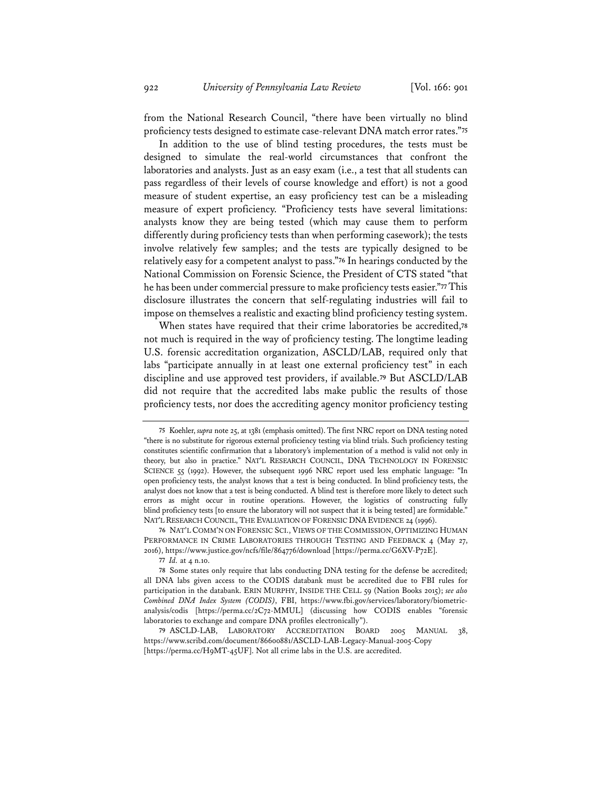from the National Research Council, "there have been virtually no blind proficiency tests designed to estimate case-relevant DNA match error rates."**75**

In addition to the use of blind testing procedures, the tests must be designed to simulate the real-world circumstances that confront the laboratories and analysts. Just as an easy exam (i.e., a test that all students can pass regardless of their levels of course knowledge and effort) is not a good measure of student expertise, an easy proficiency test can be a misleading measure of expert proficiency. "Proficiency tests have several limitations: analysts know they are being tested (which may cause them to perform differently during proficiency tests than when performing casework); the tests involve relatively few samples; and the tests are typically designed to be relatively easy for a competent analyst to pass."**76** In hearings conducted by the National Commission on Forensic Science, the President of CTS stated "that he has been under commercial pressure to make proficiency tests easier."**77** This disclosure illustrates the concern that self-regulating industries will fail to impose on themselves a realistic and exacting blind proficiency testing system.

When states have required that their crime laboratories be accredited,**78** not much is required in the way of proficiency testing. The longtime leading U.S. forensic accreditation organization, ASCLD/LAB, required only that labs "participate annually in at least one external proficiency test" in each discipline and use approved test providers, if available.**79** But ASCLD/LAB did not require that the accredited labs make public the results of those proficiency tests, nor does the accrediting agency monitor proficiency testing

**<sup>77</sup>** *Id.* at 4 n.10.

**<sup>75</sup>** Koehler, *supra* note 25, at 1381 (emphasis omitted). The first NRC report on DNA testing noted "there is no substitute for rigorous external proficiency testing via blind trials. Such proficiency testing constitutes scientific confirmation that a laboratory's implementation of a method is valid not only in theory, but also in practice." NAT'L RESEARCH COUNCIL, DNA TECHNOLOGY IN FORENSIC SCIENCE 55 (1992). However, the subsequent 1996 NRC report used less emphatic language: "In open proficiency tests, the analyst knows that a test is being conducted. In blind proficiency tests, the analyst does not know that a test is being conducted. A blind test is therefore more likely to detect such errors as might occur in routine operations. However, the logistics of constructing fully blind proficiency tests [to ensure the laboratory will not suspect that it is being tested] are formidable." NAT'L RESEARCH COUNCIL, THE EVALUATION OF FORENSIC DNA EVIDENCE 24 (1996).

**<sup>76</sup>** NAT'L COMM'N ON FORENSIC SCI., VIEWS OF THE COMMISSION, OPTIMIZING HUMAN PERFORMANCE IN CRIME LABORATORIES THROUGH TESTING AND FEEDBACK 4 (May 27, 2016), https://www.justice.gov/ncfs/file/864776/download [https://perma.cc/G6XV-P72E].

**<sup>78</sup>** Some states only require that labs conducting DNA testing for the defense be accredited; all DNA labs given access to the CODIS databank must be accredited due to FBI rules for participation in the databank. ERIN MURPHY, INSIDE THE CELL 59 (Nation Books 2015); *see also Combined DNA Index System (CODIS)*, FBI, https://www.fbi.gov/services/laboratory/biometricanalysis/codis [https://perma.cc/2C72-MMUL] (discussing how CODIS enables "forensic laboratories to exchange and compare DNA profiles electronically").

**<sup>79</sup>** ASCLD-LAB, LABORATORY ACCREDITATION BOARD 2005 MANUAL 38, https://www.scribd.com/document/86600881/ASCLD-LAB-Legacy-Manual-2005-Copy [https://perma.cc/H9MT-45UF]. Not all crime labs in the U.S. are accredited.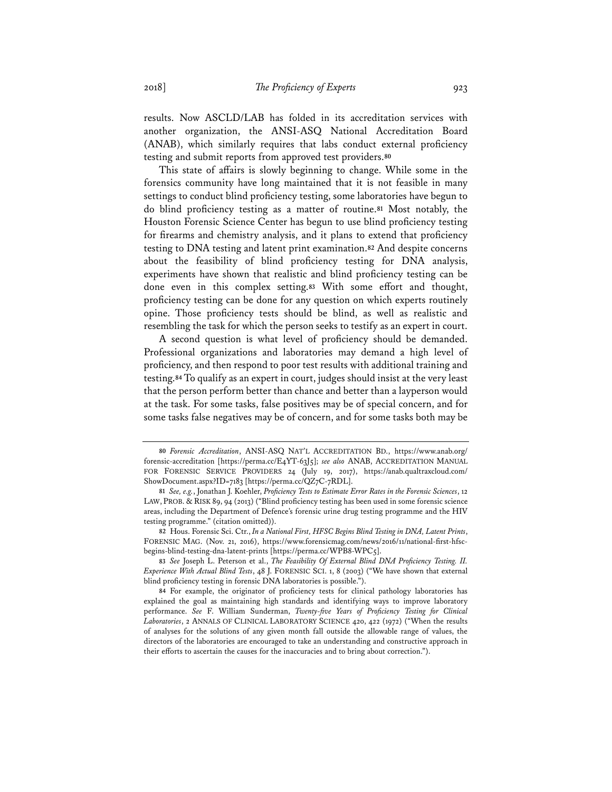results. Now ASCLD/LAB has folded in its accreditation services with another organization, the ANSI-ASQ National Accreditation Board (ANAB), which similarly requires that labs conduct external proficiency testing and submit reports from approved test providers.**80**

This state of affairs is slowly beginning to change. While some in the forensics community have long maintained that it is not feasible in many settings to conduct blind proficiency testing, some laboratories have begun to do blind proficiency testing as a matter of routine.**81** Most notably, the Houston Forensic Science Center has begun to use blind proficiency testing for firearms and chemistry analysis, and it plans to extend that proficiency testing to DNA testing and latent print examination.**82** And despite concerns about the feasibility of blind proficiency testing for DNA analysis, experiments have shown that realistic and blind proficiency testing can be done even in this complex setting.**83** With some effort and thought, proficiency testing can be done for any question on which experts routinely opine. Those proficiency tests should be blind, as well as realistic and resembling the task for which the person seeks to testify as an expert in court.

A second question is what level of proficiency should be demanded. Professional organizations and laboratories may demand a high level of proficiency, and then respond to poor test results with additional training and testing.**84** To qualify as an expert in court, judges should insist at the very least that the person perform better than chance and better than a layperson would at the task. For some tasks, false positives may be of special concern, and for some tasks false negatives may be of concern, and for some tasks both may be

**<sup>82</sup>** Hous. Forensic Sci. Ctr., *In a National First, HFSC Begins Blind Testing in DNA, Latent Prints*, FORENSIC MAG. (Nov. 21, 2016), https://www.forensicmag.com/news/2016/11/national-first-hfscbegins-blind-testing-dna-latent-prints [https://perma.cc/WPB8-WPC5].

**<sup>83</sup>** *See* Joseph L. Peterson et al., *The Feasibility Of External Blind DNA Proficiency Testing. II. Experience With Actual Blind Tests*, 48 J. FORENSIC SCI. 1, 8 (2003) ("We have shown that external blind proficiency testing in forensic DNA laboratories is possible.").

**<sup>80</sup>** *Forensic Accreditation*, ANSI-ASQ NAT'L ACCREDITATION BD., https://www.anab.org/ forensic-accreditation [https://perma.cc/E4YT-63J5]; *see also* ANAB, ACCREDITATION MANUAL FOR FORENSIC SERVICE PROVIDERS 24 (July 19, 2017), https://anab.qualtraxcloud.com/ ShowDocument.aspx?ID=7183 [https://perma.cc/QZ7C-7RDL].

**<sup>81</sup>** *See, e.g.*, Jonathan J. Koehler, *Proficiency Tests to Estimate Error Rates in the Forensic Sciences*, 12 LAW, PROB. & RISK 89, 94 (2013) ("Blind proficiency testing has been used in some forensic science areas, including the Department of Defence's forensic urine drug testing programme and the HIV testing programme." (citation omitted)).

**<sup>84</sup>** For example, the originator of proficiency tests for clinical pathology laboratories has explained the goal as maintaining high standards and identifying ways to improve laboratory performance. *See* F. William Sunderman, *Twenty-five Years of Proficiency Testing for Clinical Laboratories*, 2 ANNALS OF CLINICAL LABORATORY SCIENCE 420, 422 (1972) ("When the results of analyses for the solutions of any given month fall outside the allowable range of values, the directors of the laboratories are encouraged to take an understanding and constructive approach in their efforts to ascertain the causes for the inaccuracies and to bring about correction.").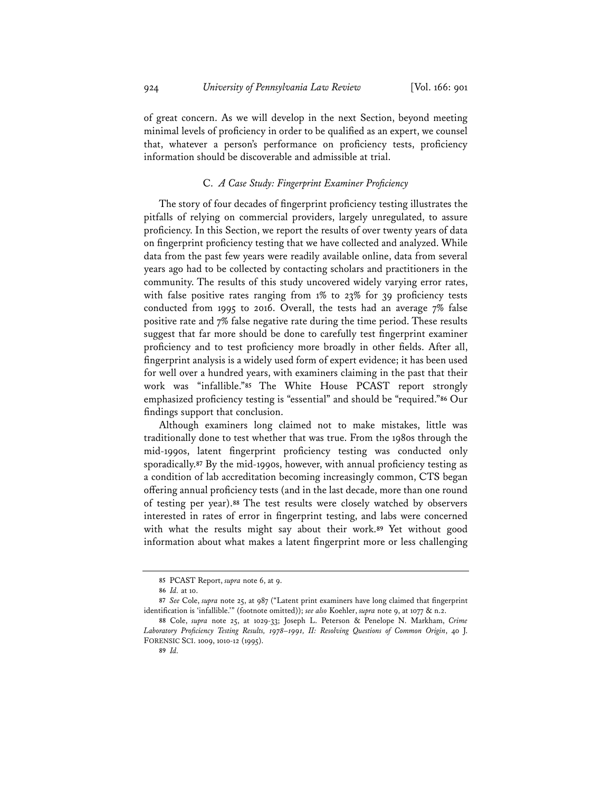of great concern. As we will develop in the next Section, beyond meeting minimal levels of proficiency in order to be qualified as an expert, we counsel that, whatever a person's performance on proficiency tests, proficiency information should be discoverable and admissible at trial.

## C. *A Case Study: Fingerprint Examiner Proficiency*

The story of four decades of fingerprint proficiency testing illustrates the pitfalls of relying on commercial providers, largely unregulated, to assure proficiency. In this Section, we report the results of over twenty years of data on fingerprint proficiency testing that we have collected and analyzed. While data from the past few years were readily available online, data from several years ago had to be collected by contacting scholars and practitioners in the community. The results of this study uncovered widely varying error rates, with false positive rates ranging from 1% to 23% for 39 proficiency tests conducted from 1995 to 2016. Overall, the tests had an average 7% false positive rate and 7% false negative rate during the time period. These results suggest that far more should be done to carefully test fingerprint examiner proficiency and to test proficiency more broadly in other fields. After all, fingerprint analysis is a widely used form of expert evidence; it has been used for well over a hundred years, with examiners claiming in the past that their work was "infallible."**85** The White House PCAST report strongly emphasized proficiency testing is "essential" and should be "required."**86** Our findings support that conclusion.

Although examiners long claimed not to make mistakes, little was traditionally done to test whether that was true. From the 1980s through the mid-1990s, latent fingerprint proficiency testing was conducted only sporadically.**87** By the mid-1990s, however, with annual proficiency testing as a condition of lab accreditation becoming increasingly common, CTS began offering annual proficiency tests (and in the last decade, more than one round of testing per year).**88** The test results were closely watched by observers interested in rates of error in fingerprint testing, and labs were concerned with what the results might say about their work.**89** Yet without good information about what makes a latent fingerprint more or less challenging

**<sup>85</sup>** PCAST Report, *supra* note 6, at 9.

**<sup>86</sup>** *Id.* at 10.

**<sup>87</sup>** *See* Cole, *supra* note 25, at 987 ("Latent print examiners have long claimed that fingerprint identification is 'infallible.'" (footnote omitted)); *see also* Koehler, *supra* note 9, at 1077 & n.2.

**<sup>88</sup>** Cole, *supra* note 25, at 1029-33; Joseph L. Peterson & Penelope N. Markham, *Crime Laboratory Proficiency Testing Results, 1978–1991, II: Resolving Questions of Common Origin*, 40 J. FORENSIC SCI. 1009, 1010-12 (1995).

**<sup>89</sup>** *Id.*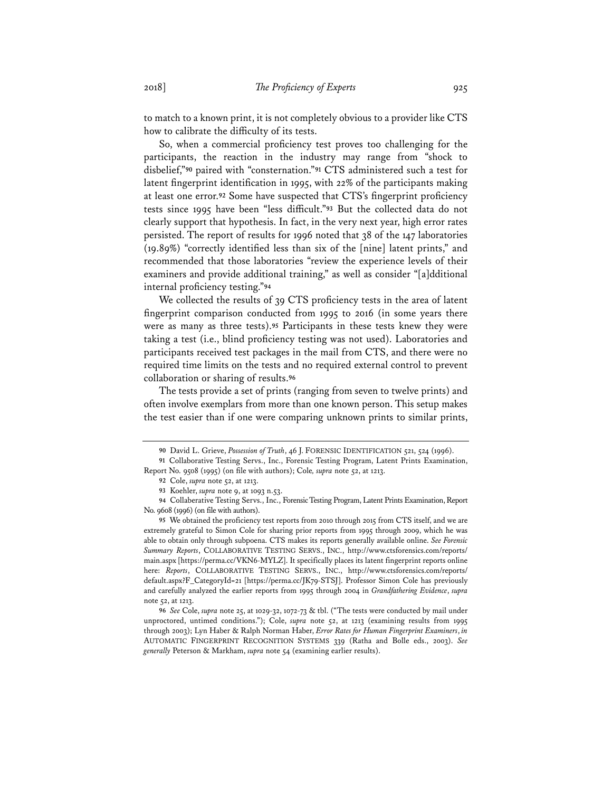to match to a known print, it is not completely obvious to a provider like CTS how to calibrate the difficulty of its tests.

So, when a commercial proficiency test proves too challenging for the participants, the reaction in the industry may range from "shock to disbelief,"**90** paired with "consternation."**91** CTS administered such a test for latent fingerprint identification in 1995, with 22% of the participants making at least one error.**92** Some have suspected that CTS's fingerprint proficiency tests since 1995 have been "less difficult."**93** But the collected data do not clearly support that hypothesis. In fact, in the very next year, high error rates persisted. The report of results for 1996 noted that 38 of the 147 laboratories (19.89%) "correctly identified less than six of the [nine] latent prints," and recommended that those laboratories "review the experience levels of their examiners and provide additional training," as well as consider "[a]dditional internal proficiency testing."**94**

We collected the results of 39 CTS proficiency tests in the area of latent fingerprint comparison conducted from 1995 to 2016 (in some years there were as many as three tests).**95** Participants in these tests knew they were taking a test (i.e., blind proficiency testing was not used). Laboratories and participants received test packages in the mail from CTS, and there were no required time limits on the tests and no required external control to prevent collaboration or sharing of results.**96**

The tests provide a set of prints (ranging from seven to twelve prints) and often involve exemplars from more than one known person. This setup makes the test easier than if one were comparing unknown prints to similar prints,

**<sup>90</sup>** David L. Grieve, *Possession of Truth*, 46 J. FORENSIC IDENTIFICATION 521, 524 (1996).

**<sup>91</sup>** Collaborative Testing Servs., Inc., Forensic Testing Program, Latent Prints Examination, Report No. 9508 (1995) (on file with authors); Cole*, supra* note 52, at 1213.

**<sup>92</sup>** Cole, *supra* note 52, at 1213.

**<sup>93</sup>** Koehler, *supra* note 9, at 1093 n.53.

**<sup>94</sup>** Collaberative Testing Servs., Inc., Forensic Testing Program, Latent Prints Examination, Report No. 9608 (1996) (on file with authors).

**<sup>95</sup>** We obtained the proficiency test reports from 2010 through 2015 from CTS itself, and we are extremely grateful to Simon Cole for sharing prior reports from 1995 through 2009, which he was able to obtain only through subpoena. CTS makes its reports generally available online. *See Forensic Summary Reports*, COLLABORATIVE TESTING SERVS., INC., http://www.ctsforensics.com/reports/ main.aspx [https://perma.cc/VKN6-MYLZ]. It specifically places its latent fingerprint reports online here: *Reports*, COLLABORATIVE TESTING SERVS., INC., http://www.ctsforensics.com/reports/ default.aspx?F\_CategoryId=21 [https://perma.cc/JK79-STSJ]. Professor Simon Cole has previously and carefully analyzed the earlier reports from 1995 through 2004 in *Grandfathering Evidence*, *supra* note 52, at 1213.

**<sup>96</sup>** *See* Cole, *supra* note 25, at 1029-32, 1072-73 & tbl. ("The tests were conducted by mail under unproctored, untimed conditions."); Cole, *supra* note 52, at 1213 (examining results from 1995 through 2003); Lyn Haber & Ralph Norman Haber, *Error Rates for Human Fingerprint Examiners*, *in* AUTOMATIC FINGERPRINT RECOGNITION SYSTEMS 339 (Ratha and Bolle eds., 2003). *See generally* Peterson & Markham, *supra* note 54 (examining earlier results).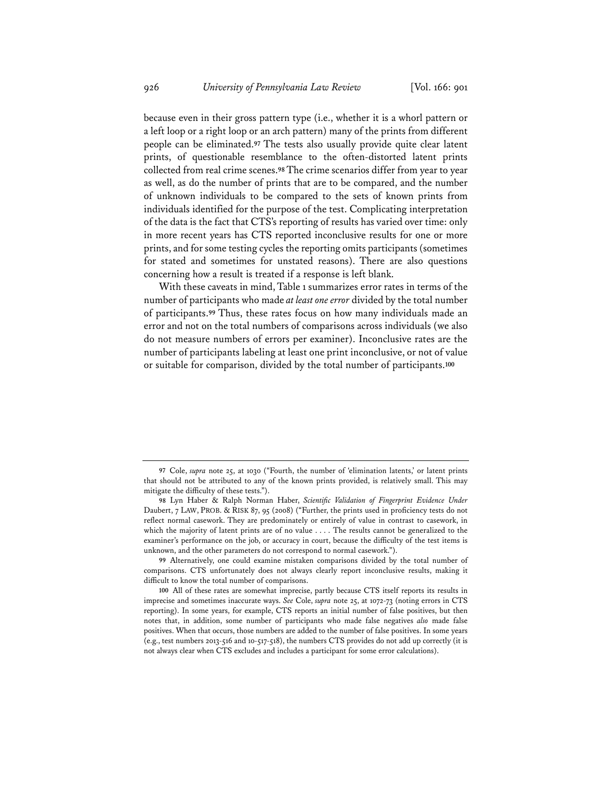because even in their gross pattern type (i.e., whether it is a whorl pattern or a left loop or a right loop or an arch pattern) many of the prints from different people can be eliminated.**97** The tests also usually provide quite clear latent prints, of questionable resemblance to the often-distorted latent prints collected from real crime scenes.**98** The crime scenarios differ from year to year as well, as do the number of prints that are to be compared, and the number of unknown individuals to be compared to the sets of known prints from individuals identified for the purpose of the test. Complicating interpretation of the data is the fact that CTS's reporting of results has varied over time: only in more recent years has CTS reported inconclusive results for one or more prints, and for some testing cycles the reporting omits participants (sometimes for stated and sometimes for unstated reasons). There are also questions concerning how a result is treated if a response is left blank.

With these caveats in mind, Table 1 summarizes error rates in terms of the number of participants who made *at least one error* divided by the total number of participants.**99** Thus, these rates focus on how many individuals made an error and not on the total numbers of comparisons across individuals (we also do not measure numbers of errors per examiner). Inconclusive rates are the number of participants labeling at least one print inconclusive, or not of value or suitable for comparison, divided by the total number of participants.**100**

**<sup>97</sup>** Cole, *supra* note 25, at 1030 ("Fourth, the number of 'elimination latents,' or latent prints that should not be attributed to any of the known prints provided, is relatively small. This may mitigate the difficulty of these tests.").

**<sup>98</sup>** Lyn Haber & Ralph Norman Haber, *Scientific Validation of Fingerprint Evidence Under*  Daubert, 7 LAW, PROB. & RISK 87, 95 (2008) ("Further, the prints used in proficiency tests do not reflect normal casework. They are predominately or entirely of value in contrast to casework, in which the majority of latent prints are of no value . . . . The results cannot be generalized to the examiner's performance on the job, or accuracy in court, because the difficulty of the test items is unknown, and the other parameters do not correspond to normal casework.").

**<sup>99</sup>** Alternatively, one could examine mistaken comparisons divided by the total number of comparisons. CTS unfortunately does not always clearly report inconclusive results, making it difficult to know the total number of comparisons.

**<sup>100</sup>** All of these rates are somewhat imprecise, partly because CTS itself reports its results in imprecise and sometimes inaccurate ways. *See* Cole, *supra* note 25, at 1072-73 (noting errors in CTS reporting). In some years, for example, CTS reports an initial number of false positives, but then notes that, in addition, some number of participants who made false negatives *also* made false positives. When that occurs, those numbers are added to the number of false positives. In some years (e.g., test numbers 2013-516 and 10-517-518), the numbers CTS provides do not add up correctly (it is not always clear when CTS excludes and includes a participant for some error calculations).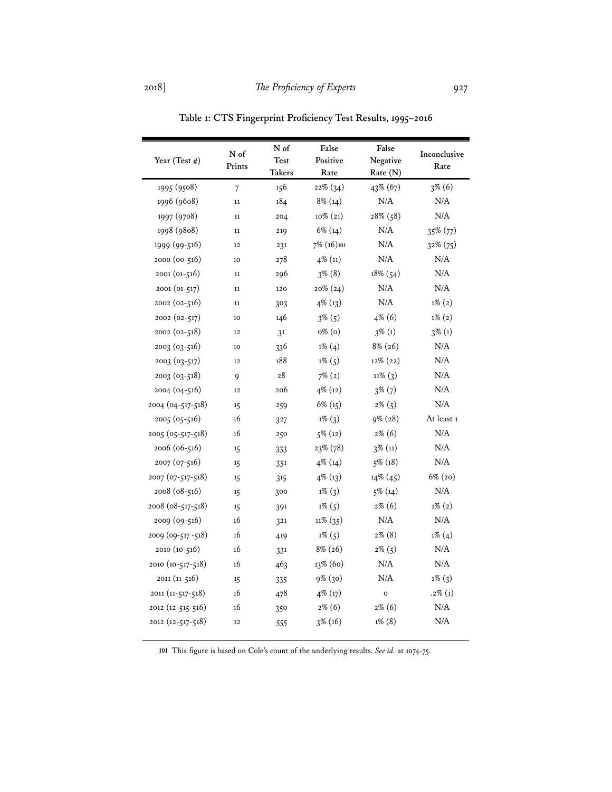| Year (Test #)     | N of<br>Prints | N of   | False                               | False        | Inconclusive |  |
|-------------------|----------------|--------|-------------------------------------|--------------|--------------|--|
|                   |                |        | <b>Test</b><br>Positive<br>Negative |              | Rate         |  |
|                   |                | Takers | Rate                                | Rate (N)     |              |  |
| 1995 (9508)       | $\overline{7}$ | 156    | 22% (34)                            | 43% (67)     | $3\%$ (6)    |  |
| 1996 (9608)       | 11             | 184    | $8\%$ (14)                          | N/A          | N/A          |  |
| 1997 (9708)       | $11\,$         | 204    | $10\%$ $(21)$                       | 28% (58)     | N/A          |  |
| 1998 (9808)       | 11             | 219    | $6\%$ (14)                          | N/A          | 35% (77)     |  |
| 1999 (99-516)     | 12             | 231    | 7% (16)101                          | N/A          | $32\%$ (75)  |  |
| 2000 (00-516)     | 10             | 278    | 4% (11)                             | N/A          | N/A          |  |
| 2001 (01-516)     | 11             | 296    | $3\%$ (8)                           | 18% (54)     | $\rm N/A$    |  |
| 2001 (01-517)     | 11             | 120    | $20\% (24)$                         | N/A          | N/A          |  |
| 2002 (02-516)     | 11             | 303    | 4% (13)                             | N/A          | $1\% (2)$    |  |
| 2002 (02-517)     | 10             | 146    | $3\%$ (5)                           | 4% (6)       | $1\% (2)$    |  |
| 2002 (02-518)     | 12             | 31     | o% (o)                              | $3\%$ (1)    | $3\%$ (1)    |  |
| $2003(03-516)$    | 10             | 336    | $1\%$ (4)                           | 8% (26)      | N/A          |  |
| 2003 (03-517)     | 12             | 188    | $1\%$ (5)                           | 12% (22)     | N/A          |  |
| 2003 (03-518)     | 9              | 28     | $7\%$ (2)                           | $11\%$ (3)   | N/A          |  |
| 2004 (04-516)     | 12             | 206    | 4% (12)                             | $3\%$ (7)    | N/A          |  |
| 2004 (04-517-518) | 15             | 259    | $6\%$ (15)                          | $2\%$ (5)    | N/A          |  |
| 2005 (05-516)     | 16             | 327    | $1\%$ (3)                           | 9% (28)      | At least 1   |  |
| 2005 (05-517-518) | 16             | 250    | $5\%$ (12)                          | $2\%$ (6)    | N/A          |  |
| 2006 (06-516)     | 15             | 333    | 23% (78)                            | $3\%$ (11)   | N/A          |  |
| 2007 (07-516)     | 15             | 351    | $4\%$ (14)                          | $5\%$ (18)   | N/A          |  |
| 2007 (07-517-518) | 15             | 315    | $4\%$ (13)                          | 14% (45)     | $6\%$ (20)   |  |
| 2008 (08-516)     | 15             | 300    | $1\%$ (3)                           | $5\%$ (14)   | N/A          |  |
| 2008 (08-517-518) | 15             | 391    | $1\%$ (5)                           | $2\%$ (6)    | $1\% (2)$    |  |
| 2009 (09-516)     | 16             | 321    | $11\% (35)$                         | N/A          | $\rm N/A$    |  |
| 2009 (09-517-518) | 16             | 419    | $1\% (5)$                           | $2\%$ (8)    | $1\%$ (4)    |  |
| 2010 (10-516)     | 16             | 331    | 8% (26)                             | $2\%$ (5)    | N/A          |  |
| 2010 (10-517-518) | 16             | 463    | 13% (60)                            | N/A          | N/A          |  |
| $2011(11-516)$    | 15             | 335    | $9\%$ (30)                          | N/A          | $1\%$ (3)    |  |
| 2011 (11-517-518) | 16             | 478    | 4% (17)                             | $\mathbf{o}$ | $.2\%$ (1)   |  |
| 2012 (12-515-516) | 16             | 350    | $2\%$ (6)                           | $2\%$ (6)    | $\rm N/A$    |  |
| 2012 (12-517-518) | 12             | 555    | $3\%$ (16)                          | $1\%$ (8)    | $\rm N/A$    |  |

**Table 1: CTS Fingerprint Proficiency Test Results, 1995–2016** 

**<sup>101</sup>** This figure is based on Cole's count of the underlying results. *See id.* at 1074-75.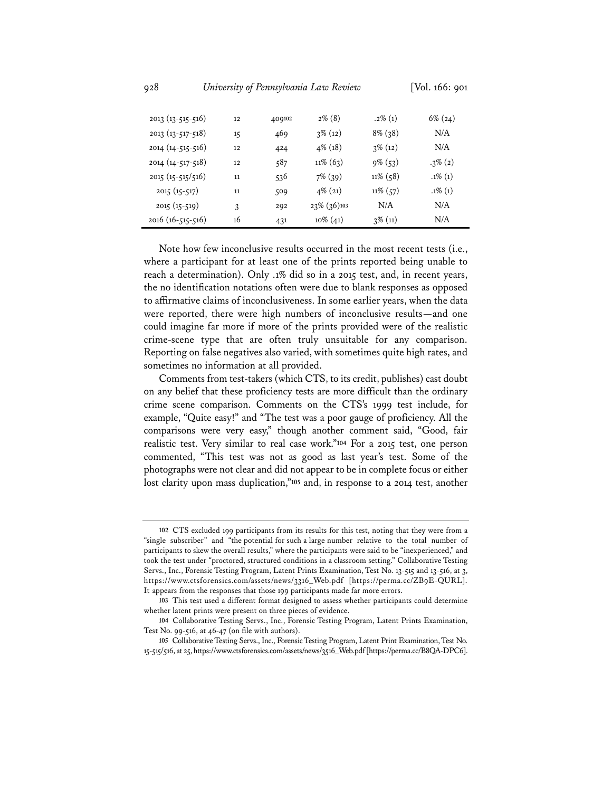| 2013 (13-515-516)      | 12 | 409102 | $2\%$ (8)      | $.2\%$ (1)  | $6\%$ (24) |
|------------------------|----|--------|----------------|-------------|------------|
| $2013(13-517-518)$     | 15 | 469    | $3\%$ (12)     | $8\%$ (38)  | N/A        |
| $2014(14-515-516)$     | 12 | 424    | $4\%$ (18)     | $3\%$ (12)  | N/A        |
| 2014 (14-517-518)      | 12 | 587    | $11\%$ (63)    | $9\%$ (53)  | $.3\%$ (2) |
| $2015 (15 - 515/516)$  | 11 | 536    | $7\%$ (39)     | $11\%$ (58) | $.1\%$ (1) |
| $2015(15-517)$         | 11 | 509    | $4\%$ (21)     | $11\%$ (57) | $.1\%$ (1) |
| $2015(15-519)$         | 3  | 292    | $23\%$ (36)103 | N/A         | N/A        |
| $2016(16 - 515 - 516)$ | 16 | 431    | $10\%$ (41)    | $3\%$ (11)  | N/A        |

Note how few inconclusive results occurred in the most recent tests (i.e., where a participant for at least one of the prints reported being unable to reach a determination). Only .1% did so in a 2015 test, and, in recent years, the no identification notations often were due to blank responses as opposed to affirmative claims of inconclusiveness. In some earlier years, when the data were reported, there were high numbers of inconclusive results—and one could imagine far more if more of the prints provided were of the realistic crime-scene type that are often truly unsuitable for any comparison. Reporting on false negatives also varied, with sometimes quite high rates, and sometimes no information at all provided.

Comments from test-takers (which CTS, to its credit, publishes) cast doubt on any belief that these proficiency tests are more difficult than the ordinary crime scene comparison. Comments on the CTS's 1999 test include, for example, "Quite easy!" and "The test was a poor gauge of proficiency. All the comparisons were very easy," though another comment said, "Good, fair realistic test. Very similar to real case work."**104** For a 2015 test, one person commented, "This test was not as good as last year's test. Some of the photographs were not clear and did not appear to be in complete focus or either lost clarity upon mass duplication,"**105** and, in response to a 2014 test, another

**<sup>102</sup>** CTS excluded 199 participants from its results for this test, noting that they were from a "single subscriber" and "the potential for such a large number relative to the total number of participants to skew the overall results," where the participants were said to be "inexperienced," and took the test under "proctored, structured conditions in a classroom setting." Collaborative Testing Servs., Inc., Forensic Testing Program, Latent Prints Examination, Test No. 13-515 and 13-516, at 3, https://www.ctsforensics.com/assets/news/3316\_Web.pdf [https://perma.cc/ZB9E-QURL]. It appears from the responses that those 199 participants made far more errors.

**<sup>103</sup>** This test used a different format designed to assess whether participants could determine whether latent prints were present on three pieces of evidence.

**<sup>104</sup>** Collaborative Testing Servs., Inc., Forensic Testing Program, Latent Prints Examination, Test No. 99-516, at 46-47 (on file with authors).

**<sup>105</sup>** Collaborative Testing Servs., Inc., Forensic Testing Program, Latent Print Examination, Test No. 15-515/516, at 25, https://www.ctsforensics.com/assets/news/3516\_Web.pdf [https://perma.cc/B8QA-DPC6].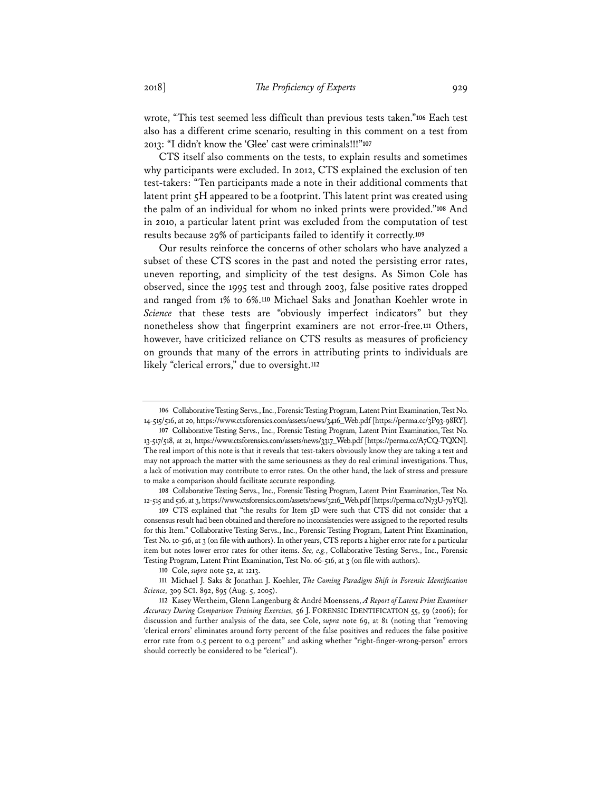wrote, "This test seemed less difficult than previous tests taken."**106** Each test also has a different crime scenario, resulting in this comment on a test from 2013: "I didn't know the 'Glee' cast were criminals!!!"**107**

CTS itself also comments on the tests, to explain results and sometimes why participants were excluded. In 2012, CTS explained the exclusion of ten test-takers: "Ten participants made a note in their additional comments that latent print 5H appeared to be a footprint. This latent print was created using the palm of an individual for whom no inked prints were provided."**108** And in 2010, a particular latent print was excluded from the computation of test results because 29% of participants failed to identify it correctly.**109**

Our results reinforce the concerns of other scholars who have analyzed a subset of these CTS scores in the past and noted the persisting error rates, uneven reporting, and simplicity of the test designs. As Simon Cole has observed, since the 1995 test and through 2003, false positive rates dropped and ranged from 1% to 6%.**110** Michael Saks and Jonathan Koehler wrote in *Science* that these tests are "obviously imperfect indicators" but they nonetheless show that fingerprint examiners are not error-free.**111** Others, however, have criticized reliance on CTS results as measures of proficiency on grounds that many of the errors in attributing prints to individuals are likely "clerical errors," due to oversight.**112**

**<sup>110</sup>** Cole, *supra* note 52, at 1213.

**<sup>106</sup>** Collaborative Testing Servs., Inc., Forensic Testing Program, Latent Print Examination, Test No. 14-515/516, at 20, https://www.ctsforensics.com/assets/news/3416\_Web.pdf [https://perma.cc/3P93-98RY].

**<sup>107</sup>** Collaborative Testing Servs., Inc., Forensic Testing Program, Latent Print Examination, Test No. 13-517/518, at 21, https://www.ctsforensics.com/assets/news/3317\_Web.pdf [https://perma.cc/A7CQ-TQXN]. The real import of this note is that it reveals that test-takers obviously know they are taking a test and may not approach the matter with the same seriousness as they do real criminal investigations. Thus, a lack of motivation may contribute to error rates. On the other hand, the lack of stress and pressure to make a comparison should facilitate accurate responding.

**<sup>108</sup>** Collaborative Testing Servs., Inc., Forensic Testing Program, Latent Print Examination, Test No. 12-515 and 516, at 3, https://www.ctsforensics.com/assets/news/3216\_Web.pdf [https://perma.cc/N73U-79YQ].

**<sup>109</sup>** CTS explained that "the results for Item 5D were such that CTS did not consider that a consensus result had been obtained and therefore no inconsistencies were assigned to the reported results for this Item." Collaborative Testing Servs., Inc., Forensic Testing Program, Latent Print Examination, Test No. 10-516, at 3 (on file with authors). In other years, CTS reports a higher error rate for a particular item but notes lower error rates for other items. *See, e.g.*, Collaborative Testing Servs., Inc., Forensic Testing Program, Latent Print Examination, Test No. 06-516, at 3 (on file with authors).

**<sup>111</sup>** Michael J. Saks & Jonathan J. Koehler, *The Coming Paradigm Shift in Forensic Identification Science,* 309 SCI. 892, 895 (Aug. 5, 2005).

**<sup>112</sup>** Kasey Wertheim, Glenn Langenburg & André Moenssens, *A Report of Latent Print Examiner Accuracy During Comparison Training Exercises,* 56 J. FORENSIC IDENTIFICATION 55, 59 (2006); for discussion and further analysis of the data, see Cole, *supra* note 69, at 81 (noting that "removing 'clerical errors' eliminates around forty percent of the false positives and reduces the false positive error rate from 0.5 percent to 0.3 percent" and asking whether "right-finger-wrong-person" errors should correctly be considered to be "clerical").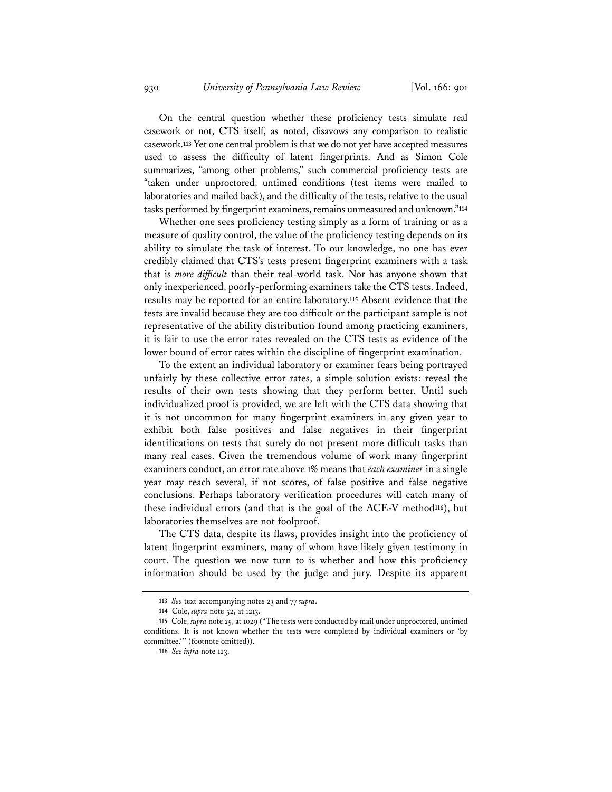On the central question whether these proficiency tests simulate real casework or not, CTS itself, as noted, disavows any comparison to realistic casework.**113** Yet one central problem is that we do not yet have accepted measures used to assess the difficulty of latent fingerprints. And as Simon Cole summarizes, "among other problems," such commercial proficiency tests are "taken under unproctored, untimed conditions (test items were mailed to laboratories and mailed back), and the difficulty of the tests, relative to the usual tasks performed by fingerprint examiners, remains unmeasured and unknown."**114**

Whether one sees proficiency testing simply as a form of training or as a measure of quality control, the value of the proficiency testing depends on its ability to simulate the task of interest. To our knowledge, no one has ever credibly claimed that CTS's tests present fingerprint examiners with a task that is *more difficult* than their real-world task. Nor has anyone shown that only inexperienced, poorly-performing examiners take the CTS tests. Indeed, results may be reported for an entire laboratory.**115** Absent evidence that the tests are invalid because they are too difficult or the participant sample is not representative of the ability distribution found among practicing examiners, it is fair to use the error rates revealed on the CTS tests as evidence of the lower bound of error rates within the discipline of fingerprint examination.

To the extent an individual laboratory or examiner fears being portrayed unfairly by these collective error rates, a simple solution exists: reveal the results of their own tests showing that they perform better. Until such individualized proof is provided, we are left with the CTS data showing that it is not uncommon for many fingerprint examiners in any given year to exhibit both false positives and false negatives in their fingerprint identifications on tests that surely do not present more difficult tasks than many real cases. Given the tremendous volume of work many fingerprint examiners conduct, an error rate above 1% means that *each examiner* in a single year may reach several, if not scores, of false positive and false negative conclusions. Perhaps laboratory verification procedures will catch many of these individual errors (and that is the goal of the ACE-V method**116**), but laboratories themselves are not foolproof.

The CTS data, despite its flaws, provides insight into the proficiency of latent fingerprint examiners, many of whom have likely given testimony in court. The question we now turn to is whether and how this proficiency information should be used by the judge and jury. Despite its apparent

**<sup>113</sup>** *See* text accompanying notes 23 and 77 *supra*.

**<sup>114</sup>** Cole, *supra* note 52, at 1213.

**<sup>115</sup>** Cole, *supra* note 25, at 1029 ("The tests were conducted by mail under unproctored, untimed conditions. It is not known whether the tests were completed by individual examiners or 'by committee.''' (footnote omitted)).

**<sup>116</sup>** *See infra* note 123.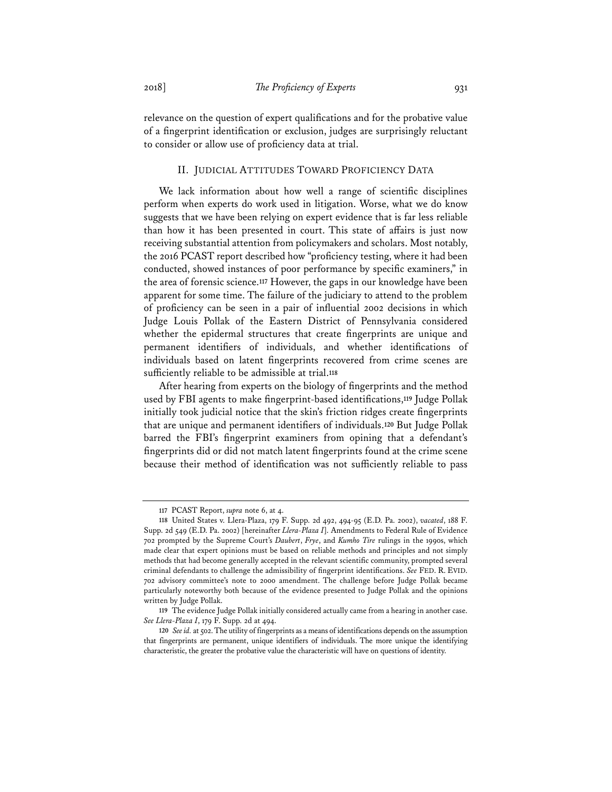relevance on the question of expert qualifications and for the probative value of a fingerprint identification or exclusion, judges are surprisingly reluctant to consider or allow use of proficiency data at trial.

## II. JUDICIAL ATTITUDES TOWARD PROFICIENCY DATA

We lack information about how well a range of scientific disciplines perform when experts do work used in litigation. Worse, what we do know suggests that we have been relying on expert evidence that is far less reliable than how it has been presented in court. This state of affairs is just now receiving substantial attention from policymakers and scholars. Most notably, the 2016 PCAST report described how "proficiency testing, where it had been conducted, showed instances of poor performance by specific examiners," in the area of forensic science.**117** However, the gaps in our knowledge have been apparent for some time. The failure of the judiciary to attend to the problem of proficiency can be seen in a pair of influential 2002 decisions in which Judge Louis Pollak of the Eastern District of Pennsylvania considered whether the epidermal structures that create fingerprints are unique and permanent identifiers of individuals, and whether identifications of individuals based on latent fingerprints recovered from crime scenes are sufficiently reliable to be admissible at trial.**118**

After hearing from experts on the biology of fingerprints and the method used by FBI agents to make fingerprint-based identifications,**119** Judge Pollak initially took judicial notice that the skin's friction ridges create fingerprints that are unique and permanent identifiers of individuals.**120** But Judge Pollak barred the FBI's fingerprint examiners from opining that a defendant's fingerprints did or did not match latent fingerprints found at the crime scene because their method of identification was not sufficiently reliable to pass

**<sup>117</sup>** PCAST Report, *supra* note 6, at 4.

**<sup>118</sup>** United States v. Llera-Plaza, 179 F. Supp. 2d 492, 494-95 (E.D. Pa. 2002), *vacated*, 188 F. Supp. 2d 549 (E.D. Pa. 2002) [hereinafter *Llera-Plaza I*]. Amendments to Federal Rule of Evidence 702 prompted by the Supreme Court's *Daubert*, *Frye*, and *Kumho Tire* rulings in the 1990s, which made clear that expert opinions must be based on reliable methods and principles and not simply methods that had become generally accepted in the relevant scientific community, prompted several criminal defendants to challenge the admissibility of fingerprint identifications. *See* FED. R. EVID. 702 advisory committee's note to 2000 amendment. The challenge before Judge Pollak became particularly noteworthy both because of the evidence presented to Judge Pollak and the opinions written by Judge Pollak.

**<sup>119</sup>** The evidence Judge Pollak initially considered actually came from a hearing in another case. *See Llera-Plaza I*, 179 F. Supp. 2d at 494.

**<sup>120</sup>** *Seeid.* at 502. The utility of fingerprints as a means of identifications depends on the assumption that fingerprints are permanent, unique identifiers of individuals. The more unique the identifying characteristic, the greater the probative value the characteristic will have on questions of identity.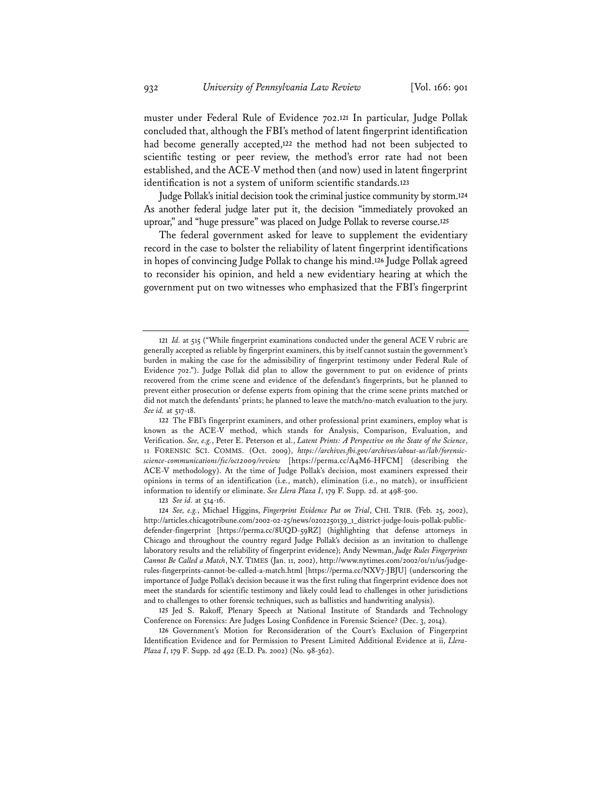muster under Federal Rule of Evidence 702.**121** In particular, Judge Pollak concluded that, although the FBI's method of latent fingerprint identification had become generally accepted,**122** the method had not been subjected to scientific testing or peer review, the method's error rate had not been established, and the ACE-V method then (and now) used in latent fingerprint identification is not a system of uniform scientific standards.**123**

Judge Pollak's initial decision took the criminal justice community by storm.**124** As another federal judge later put it, the decision "immediately provoked an uproar," and "huge pressure" was placed on Judge Pollak to reverse course.**125**

The federal government asked for leave to supplement the evidentiary record in the case to bolster the reliability of latent fingerprint identifications in hopes of convincing Judge Pollak to change his mind.**126** Judge Pollak agreed to reconsider his opinion, and held a new evidentiary hearing at which the government put on two witnesses who emphasized that the FBI's fingerprint

**<sup>123</sup>** *See id.* at 514-16.

**<sup>121</sup>** *Id.* at 515 ("While fingerprint examinations conducted under the general ACE V rubric are generally accepted as reliable by fingerprint examiners, this by itself cannot sustain the government's burden in making the case for the admissibility of fingerprint testimony under Federal Rule of Evidence 702."). Judge Pollak did plan to allow the government to put on evidence of prints recovered from the crime scene and evidence of the defendant's fingerprints, but he planned to prevent either prosecution or defense experts from opining that the crime scene prints matched or did not match the defendants' prints; he planned to leave the match/no-match evaluation to the jury. *See id.* at 517-18.

**<sup>122</sup>** The FBI's fingerprint examiners, and other professional print examiners, employ what is known as the ACE-V method, which stands for Analysis, Comparison, Evaluation, and Verification. *See, e.g.*, Peter E. Peterson et al., *Latent Prints: A Perspective on the State of the Science*, 11 FORENSIC SCI. COMMS. (Oct. 2009), *https://archives.fbi.gov/archives/about-us/lab/forensicscience-communications/fsc/oct2009/review* [https://perma.cc/A4M6-HFCM] (describing the ACE-V methodology). At the time of Judge Pollak's decision, most examiners expressed their opinions in terms of an identification (i.e., match), elimination (i.e., no match), or insufficient information to identify or eliminate. *See Llera Plaza I*, 179 F. Supp. 2d. at 498-500.

**<sup>124</sup>** *See, e.g.*, Michael Higgins, *Fingerprint Evidence Put on Trial*, CHI. TRIB. (Feb. 25, 2002), http://articles.chicagotribune.com/2002-02-25/news/0202250139\_1\_district-judge-louis-pollak-publicdefender-fingerprint [https://perma.cc/8UQD-59RZ] (highlighting that defense attorneys in Chicago and throughout the country regard Judge Pollak's decision as an invitation to challenge laboratory results and the reliability of fingerprint evidence); Andy Newman, *Judge Rules Fingerprints Cannot Be Called a Match*, N.Y. TIMES (Jan. 11, 2002), http://www.nytimes.com/2002/01/11/us/judgerules-fingerprints-cannot-be-called-a-match.html [https://perma.cc/NXV7-JBJU] (underscoring the importance of Judge Pollak's decision because it was the first ruling that fingerprint evidence does not meet the standards for scientific testimony and likely could lead to challenges in other jurisdictions and to challenges to other forensic techniques, such as ballistics and handwriting analysis).

**<sup>125</sup>** Jed S. Rakoff, Plenary Speech at National Institute of Standards and Technology Conference on Forensics: Are Judges Losing Confidence in Forensic Science? (Dec. 3, 2014).

**<sup>126</sup>** Government's Motion for Reconsideration of the Court's Exclusion of Fingerprint Identification Evidence and for Permission to Present Limited Additional Evidence at ii, *Llera-Plaza I*, 179 F. Supp. 2d 492 (E.D. Pa. 2002) (No. 98-362).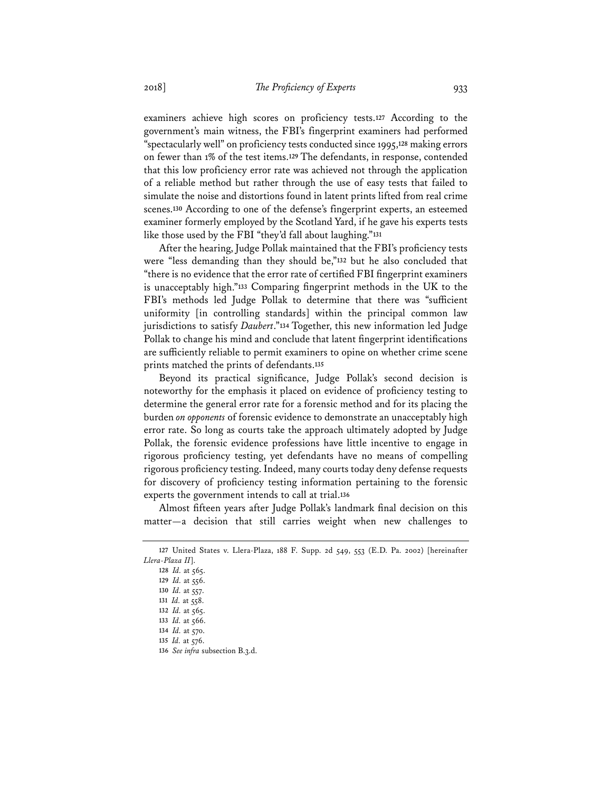examiners achieve high scores on proficiency tests.**127** According to the government's main witness, the FBI's fingerprint examiners had performed "spectacularly well" on proficiency tests conducted since 1995,**128** making errors on fewer than 1% of the test items.**129** The defendants, in response, contended that this low proficiency error rate was achieved not through the application of a reliable method but rather through the use of easy tests that failed to simulate the noise and distortions found in latent prints lifted from real crime scenes.**130** According to one of the defense's fingerprint experts, an esteemed examiner formerly employed by the Scotland Yard, if he gave his experts tests like those used by the FBI "they'd fall about laughing."**131**

After the hearing, Judge Pollak maintained that the FBI's proficiency tests were "less demanding than they should be,"**132** but he also concluded that "there is no evidence that the error rate of certified FBI fingerprint examiners is unacceptably high."**133** Comparing fingerprint methods in the UK to the FBI's methods led Judge Pollak to determine that there was "sufficient uniformity [in controlling standards] within the principal common law jurisdictions to satisfy *Daubert*."**134** Together, this new information led Judge Pollak to change his mind and conclude that latent fingerprint identifications are sufficiently reliable to permit examiners to opine on whether crime scene prints matched the prints of defendants.**135**

Beyond its practical significance, Judge Pollak's second decision is noteworthy for the emphasis it placed on evidence of proficiency testing to determine the general error rate for a forensic method and for its placing the burden *on opponents* of forensic evidence to demonstrate an unacceptably high error rate. So long as courts take the approach ultimately adopted by Judge Pollak, the forensic evidence professions have little incentive to engage in rigorous proficiency testing, yet defendants have no means of compelling rigorous proficiency testing. Indeed, many courts today deny defense requests for discovery of proficiency testing information pertaining to the forensic experts the government intends to call at trial.**136**

Almost fifteen years after Judge Pollak's landmark final decision on this matter—a decision that still carries weight when new challenges to

**<sup>136</sup>** *See infra* subsection B.3.d.

**<sup>127</sup>** United States v. Llera-Plaza, 188 F. Supp. 2d 549, 553 (E.D. Pa. 2002) [hereinafter *Llera-Plaza II*].

**<sup>128</sup>** *Id.* at 565. **<sup>129</sup>** *Id.* at 556. **<sup>130</sup>** *Id.* at 557. **<sup>131</sup>** *Id.* at 558. **<sup>132</sup>** *Id.* at 565. **<sup>133</sup>** *Id.* at 566. **<sup>134</sup>** *Id.* at 570. **<sup>135</sup>** *Id.* at 576.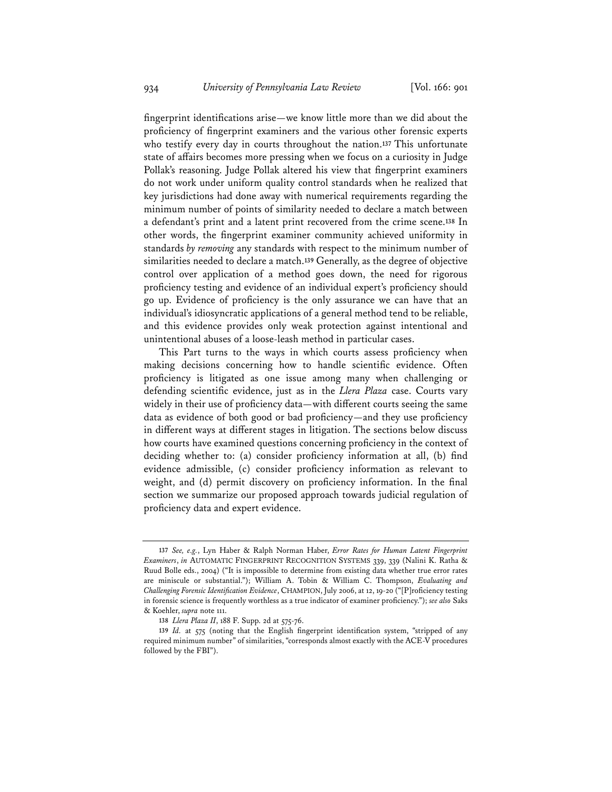fingerprint identifications arise—we know little more than we did about the proficiency of fingerprint examiners and the various other forensic experts who testify every day in courts throughout the nation.**137** This unfortunate state of affairs becomes more pressing when we focus on a curiosity in Judge Pollak's reasoning. Judge Pollak altered his view that fingerprint examiners do not work under uniform quality control standards when he realized that key jurisdictions had done away with numerical requirements regarding the minimum number of points of similarity needed to declare a match between a defendant's print and a latent print recovered from the crime scene.**138** In other words, the fingerprint examiner community achieved uniformity in standards *by removing* any standards with respect to the minimum number of similarities needed to declare a match.**139** Generally, as the degree of objective control over application of a method goes down, the need for rigorous proficiency testing and evidence of an individual expert's proficiency should go up. Evidence of proficiency is the only assurance we can have that an individual's idiosyncratic applications of a general method tend to be reliable, and this evidence provides only weak protection against intentional and unintentional abuses of a loose-leash method in particular cases.

This Part turns to the ways in which courts assess proficiency when making decisions concerning how to handle scientific evidence. Often proficiency is litigated as one issue among many when challenging or defending scientific evidence, just as in the *Llera Plaza* case. Courts vary widely in their use of proficiency data—with different courts seeing the same data as evidence of both good or bad proficiency—and they use proficiency in different ways at different stages in litigation. The sections below discuss how courts have examined questions concerning proficiency in the context of deciding whether to: (a) consider proficiency information at all, (b) find evidence admissible, (c) consider proficiency information as relevant to weight, and (d) permit discovery on proficiency information. In the final section we summarize our proposed approach towards judicial regulation of proficiency data and expert evidence.

**<sup>137</sup>** *See, e.g.*, Lyn Haber & Ralph Norman Haber, *Error Rates for Human Latent Fingerprint Examiners*, *in* AUTOMATIC FINGERPRINT RECOGNITION SYSTEMS 339, 339 (Nalini K. Ratha & Ruud Bolle eds., 2004) ("It is impossible to determine from existing data whether true error rates are miniscule or substantial."); William A. Tobin & William C. Thompson, *Evaluating and Challenging Forensic Identification Evidence*, CHAMPION, July 2006, at 12, 19-20 ("[P]roficiency testing in forensic science is frequently worthless as a true indicator of examiner proficiency."); *see also* Saks & Koehler, *supra* note 111.

**<sup>138</sup>** *Llera Plaza II*, 188 F. Supp. 2d at 575-76.

**<sup>139</sup>** *Id.* at 575 (noting that the English fingerprint identification system, "stripped of any required minimum number" of similarities, "corresponds almost exactly with the ACE-V procedures followed by the FBI").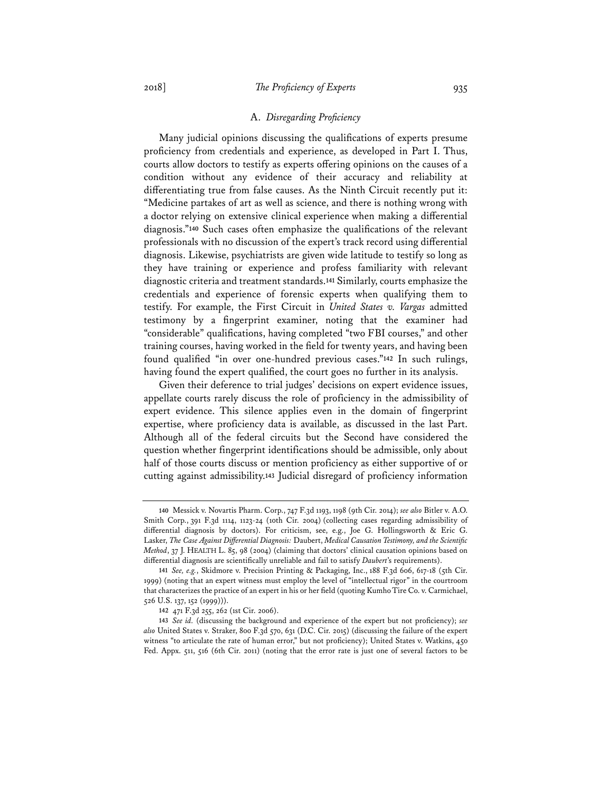#### A. *Disregarding Proficiency*

Many judicial opinions discussing the qualifications of experts presume proficiency from credentials and experience, as developed in Part I. Thus, courts allow doctors to testify as experts offering opinions on the causes of a condition without any evidence of their accuracy and reliability at differentiating true from false causes. As the Ninth Circuit recently put it: "Medicine partakes of art as well as science, and there is nothing wrong with a doctor relying on extensive clinical experience when making a differential diagnosis."**140** Such cases often emphasize the qualifications of the relevant professionals with no discussion of the expert's track record using differential diagnosis. Likewise, psychiatrists are given wide latitude to testify so long as they have training or experience and profess familiarity with relevant diagnostic criteria and treatment standards.**141** Similarly, courts emphasize the credentials and experience of forensic experts when qualifying them to testify. For example, the First Circuit in *United States v. Vargas* admitted testimony by a fingerprint examiner, noting that the examiner had "considerable" qualifications, having completed "two FBI courses," and other training courses, having worked in the field for twenty years, and having been found qualified "in over one-hundred previous cases."**142** In such rulings, having found the expert qualified, the court goes no further in its analysis.

Given their deference to trial judges' decisions on expert evidence issues, appellate courts rarely discuss the role of proficiency in the admissibility of expert evidence. This silence applies even in the domain of fingerprint expertise, where proficiency data is available, as discussed in the last Part. Although all of the federal circuits but the Second have considered the question whether fingerprint identifications should be admissible, only about half of those courts discuss or mention proficiency as either supportive of or cutting against admissibility.**143** Judicial disregard of proficiency information

**<sup>140</sup>** Messick v. Novartis Pharm. Corp., 747 F.3d 1193, 1198 (9th Cir. 2014); *see also* Bitler v. A.O. Smith Corp., 391 F.3d 1114, 1123-24 (10th Cir. 2004) (collecting cases regarding admissibility of differential diagnosis by doctors). For criticism, see, e.g., Joe G. Hollingsworth & Eric G. Lasker, *The Case Against Differential Diagnosis:* Daubert, *Medical Causation Testimony, and the Scientific Method*, 37 J. HEALTH L. 85, 98 (2004) (claiming that doctors' clinical causation opinions based on differential diagnosis are scientifically unreliable and fail to satisfy *Daubert*'s requirements).

**<sup>141</sup>** *See, e.g.*, Skidmore v. Precision Printing & Packaging, Inc., 188 F.3d 606, 617-18 (5th Cir. 1999) (noting that an expert witness must employ the level of "intellectual rigor" in the courtroom that characterizes the practice of an expert in his or her field (quoting Kumho Tire Co. v. Carmichael, 526 U.S. 137, 152 (1999))).

**<sup>142</sup>** 471 F.3d 255, 262 (1st Cir. 2006).

**<sup>143</sup>** *See id.* (discussing the background and experience of the expert but not proficiency); *see also* United States v. Straker, 800 F.3d 570, 631 (D.C. Cir. 2015) (discussing the failure of the expert witness "to articulate the rate of human error," but not proficiency); United States v. Watkins, 450 Fed. Appx. 511, 516 (6th Cir. 2011) (noting that the error rate is just one of several factors to be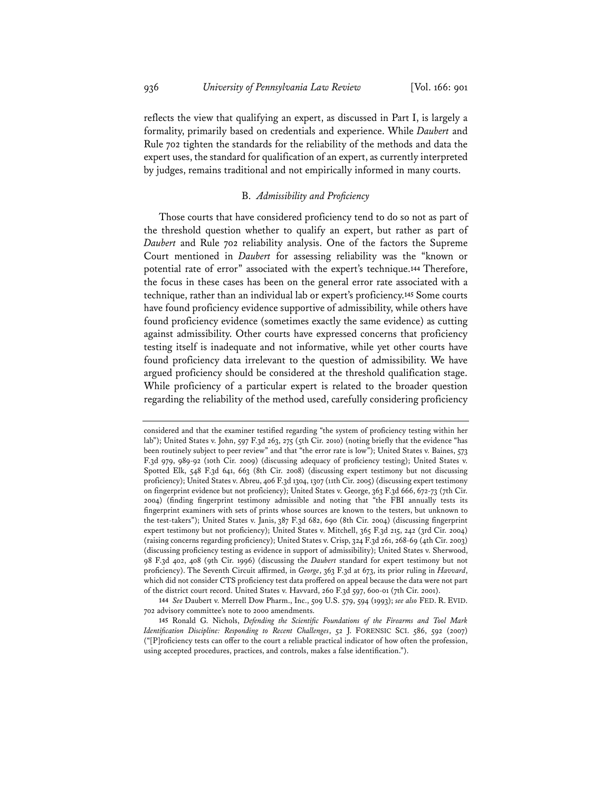reflects the view that qualifying an expert, as discussed in Part I, is largely a formality, primarily based on credentials and experience. While *Daubert* and Rule 702 tighten the standards for the reliability of the methods and data the expert uses, the standard for qualification of an expert, as currently interpreted by judges, remains traditional and not empirically informed in many courts.

## B. *Admissibility and Proficiency*

Those courts that have considered proficiency tend to do so not as part of the threshold question whether to qualify an expert, but rather as part of *Daubert* and Rule 702 reliability analysis. One of the factors the Supreme Court mentioned in *Daubert* for assessing reliability was the "known or potential rate of error" associated with the expert's technique.**144** Therefore, the focus in these cases has been on the general error rate associated with a technique, rather than an individual lab or expert's proficiency.**145** Some courts have found proficiency evidence supportive of admissibility, while others have found proficiency evidence (sometimes exactly the same evidence) as cutting against admissibility. Other courts have expressed concerns that proficiency testing itself is inadequate and not informative, while yet other courts have found proficiency data irrelevant to the question of admissibility. We have argued proficiency should be considered at the threshold qualification stage. While proficiency of a particular expert is related to the broader question regarding the reliability of the method used, carefully considering proficiency

**<sup>144</sup>** *See* Daubert v. Merrell Dow Pharm., Inc., 509 U.S. 579, 594 (1993); *see also* FED. R. EVID. 702 advisory committee's note to 2000 amendments.

considered and that the examiner testified regarding "the system of proficiency testing within her lab"); United States v. John, 597 F.3d 263, 275 (5th Cir. 2010) (noting briefly that the evidence "has been routinely subject to peer review" and that "the error rate is low"); United States v. Baines, 573 F.3d 979, 989-92 (10th Cir. 2009) (discussing adequacy of proficiency testing); United States v. Spotted Elk, 548 F.3d 641, 663 (8th Cir. 2008) (discussing expert testimony but not discussing proficiency); United States v. Abreu, 406 F.3d 1304, 1307 (11th Cir. 2005) (discussing expert testimony on fingerprint evidence but not proficiency); United States v. George, 363 F.3d 666, 672-73 (7th Cir. 2004) (finding fingerprint testimony admissible and noting that "the FBI annually tests its fingerprint examiners with sets of prints whose sources are known to the testers, but unknown to the test-takers"); United States v. Janis, 387 F.3d 682, 690 (8th Cir. 2004) (discussing fingerprint expert testimony but not proficiency); United States v. Mitchell, 365 F.3d 215, 242 (3rd Cir. 2004) (raising concerns regarding proficiency); United States v. Crisp, 324 F.3d 261, 268-69 (4th Cir. 2003) (discussing proficiency testing as evidence in support of admissibility); United States v. Sherwood, 98 F.3d 402, 408 (9th Cir. 1996) (discussing the *Daubert* standard for expert testimony but not proficiency). The Seventh Circuit affirmed, in *George*, 363 F.3d at 673, its prior ruling in *Havvard*, which did not consider CTS proficiency test data proffered on appeal because the data were not part of the district court record. United States v. Havvard, 260 F.3d 597, 600-01 (7th Cir. 2001).

**<sup>145</sup>** Ronald G. Nichols, *Defending the Scientific Foundations of the Firearms and Tool Mark Identification Discipline: Responding to Recent Challenges*, 52 J. FORENSIC SCI. 586, 592 (2007) ("[P]roficiency tests can offer to the court a reliable practical indicator of how often the profession, using accepted procedures, practices, and controls, makes a false identification.").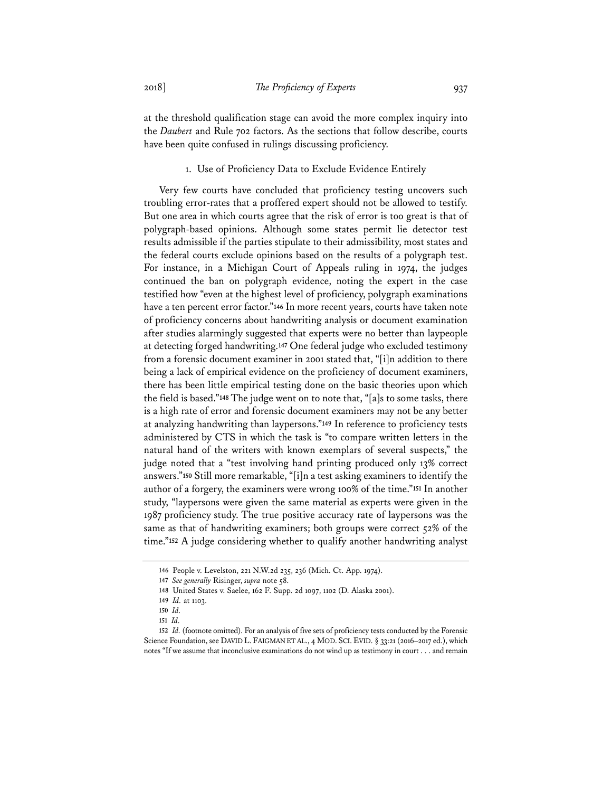at the threshold qualification stage can avoid the more complex inquiry into the *Daubert* and Rule 702 factors. As the sections that follow describe, courts have been quite confused in rulings discussing proficiency.

## 1. Use of Proficiency Data to Exclude Evidence Entirely

Very few courts have concluded that proficiency testing uncovers such troubling error-rates that a proffered expert should not be allowed to testify. But one area in which courts agree that the risk of error is too great is that of polygraph-based opinions. Although some states permit lie detector test results admissible if the parties stipulate to their admissibility, most states and the federal courts exclude opinions based on the results of a polygraph test. For instance, in a Michigan Court of Appeals ruling in 1974, the judges continued the ban on polygraph evidence, noting the expert in the case testified how "even at the highest level of proficiency, polygraph examinations have a ten percent error factor."**146** In more recent years, courts have taken note of proficiency concerns about handwriting analysis or document examination after studies alarmingly suggested that experts were no better than laypeople at detecting forged handwriting.**147** One federal judge who excluded testimony from a forensic document examiner in 2001 stated that, "[i]n addition to there being a lack of empirical evidence on the proficiency of document examiners, there has been little empirical testing done on the basic theories upon which the field is based."**148** The judge went on to note that, "[a]s to some tasks, there is a high rate of error and forensic document examiners may not be any better at analyzing handwriting than laypersons."**149** In reference to proficiency tests administered by CTS in which the task is "to compare written letters in the natural hand of the writers with known exemplars of several suspects," the judge noted that a "test involving hand printing produced only 13% correct answers."**150** Still more remarkable, "[i]n a test asking examiners to identify the author of a forgery, the examiners were wrong 100% of the time."**151** In another study, "laypersons were given the same material as experts were given in the 1987 proficiency study. The true positive accuracy rate of laypersons was the same as that of handwriting examiners; both groups were correct 52% of the time."**152** A judge considering whether to qualify another handwriting analyst

**<sup>146</sup>** People v. Levelston, 221 N.W.2d 235, 236 (Mich. Ct. App. 1974).

**<sup>147</sup>** *See generally* Risinger, *supra* note 58.

**<sup>148</sup>** United States v. Saelee, 162 F. Supp. 2d 1097, 1102 (D. Alaska 2001).

**<sup>149</sup>** *Id.* at 1103.

**<sup>150</sup>** *Id.*

**<sup>151</sup>** *Id.*

**<sup>152</sup>** *Id.* (footnote omitted). For an analysis of five sets of proficiency tests conducted by the Forensic Science Foundation, see DAVID L. FAIGMAN ET AL., 4 MOD. SCI. EVID. § 33:21 (2016–2017 ed.), which notes "If we assume that inconclusive examinations do not wind up as testimony in court . . . and remain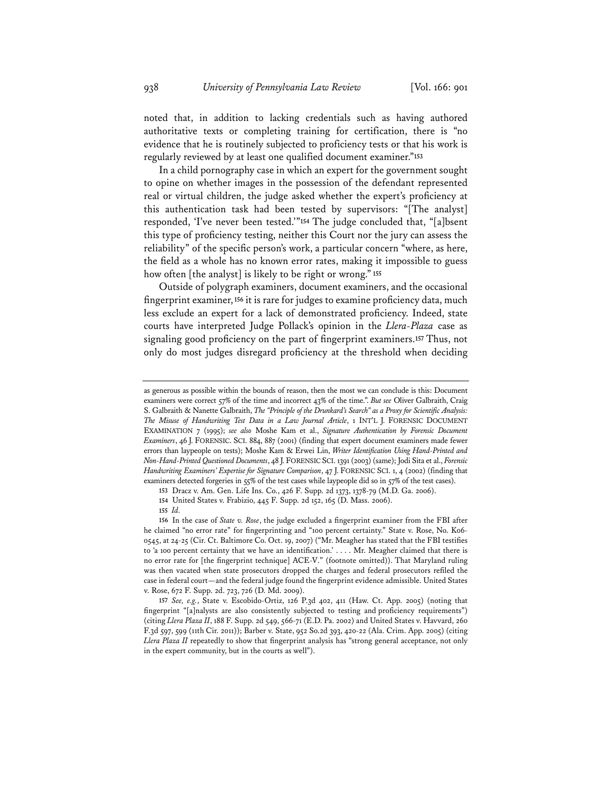noted that, in addition to lacking credentials such as having authored authoritative texts or completing training for certification, there is "no evidence that he is routinely subjected to proficiency tests or that his work is regularly reviewed by at least one qualified document examiner."**153**

In a child pornography case in which an expert for the government sought to opine on whether images in the possession of the defendant represented real or virtual children, the judge asked whether the expert's proficiency at this authentication task had been tested by supervisors: "[The analyst] responded, 'I've never been tested.'"**154** The judge concluded that, "[a]bsent this type of proficiency testing, neither this Court nor the jury can assess the reliability" of the specific person's work, a particular concern "where, as here, the field as a whole has no known error rates, making it impossible to guess how often [the analyst] is likely to be right or wrong." **155**

Outside of polygraph examiners, document examiners, and the occasional fingerprint examiner, **156** it is rare for judges to examine proficiency data, much less exclude an expert for a lack of demonstrated proficiency. Indeed, state courts have interpreted Judge Pollack's opinion in the *Llera-Plaza* case as signaling good proficiency on the part of fingerprint examiners.**157** Thus, not only do most judges disregard proficiency at the threshold when deciding

as generous as possible within the bounds of reason, then the most we can conclude is this: Document examiners were correct 57% of the time and incorrect 43% of the time.". *But see* Oliver Galbraith, Craig S. Galbraith & Nanette Galbraith, *The "Principle of the Drunkard's Search" as a Proxy for Scientific Analysis: The Misuse of Handwriting Test Data in a Law Journal Article*, 1 INT'L J. FORENSIC DOCUMENT EXAMINATION 7 (1995); *see also* Moshe Kam et al., *Signature Authentication by Forensic Document Examiners*, 46 J. FORENSIC. SCI. 884, 887 (2001) (finding that expert document examiners made fewer errors than laypeople on tests); Moshe Kam & Erwei Lin, *Writer Identification Using Hand-Printed and Non-Hand-Printed Questioned Documents*, 48 J.FORENSIC SCI. 1391 (2003) (same); Jodi Sita et al., *Forensic Handwriting Examiners' Expertise for Signature Comparison*, 47 J. FORENSIC SCI. 1, 4 (2002) (finding that examiners detected forgeries in 55% of the test cases while laypeople did so in 57% of the test cases).

**<sup>153</sup>** Dracz v. Am. Gen. Life Ins. Co., 426 F. Supp. 2d 1373, 1378-79 (M.D. Ga. 2006).

**<sup>154</sup>** United States v. Frabizio, 445 F. Supp. 2d 152, 165 (D. Mass. 2006).

**<sup>155</sup>** *Id.*

**<sup>156</sup>** In the case of *State v. Rose*, the judge excluded a fingerprint examiner from the FBI after he claimed "no error rate" for fingerprinting and "100 percent certainty." State v. Rose, No. K06- 0545, at 24-25 (Cir. Ct. Baltimore Co. Oct. 19, 2007) ("Mr. Meagher has stated that the FBI testifies to 'a 100 percent certainty that we have an identification.' . . . . Mr. Meagher claimed that there is no error rate for [the fingerprint technique] ACE-V." (footnote omitted)). That Maryland ruling was then vacated when state prosecutors dropped the charges and federal prosecutors refiled the case in federal court—and the federal judge found the fingerprint evidence admissible. United States v. Rose, 672 F. Supp. 2d. 723, 726 (D. Md. 2009).

**<sup>157</sup>** *See, e.g.*, State v. Escobido-Ortiz, 126 P.3d 402, 411 (Haw. Ct. App. 2005) (noting that fingerprint "[a]nalysts are also consistently subjected to testing and proficiency requirements") (citing *Llera Plaza II*, 188 F. Supp. 2d 549, 566-71 (E.D. Pa. 2002) and United States v. Havvard, 260 F.3d 597, 599 (11th Cir. 2011)); Barber v. State, 952 So.2d 393, 420-22 (Ala. Crim. App. 2005) (citing *Llera Plaza II* repeatedly to show that fingerprint analysis has "strong general acceptance, not only in the expert community, but in the courts as well").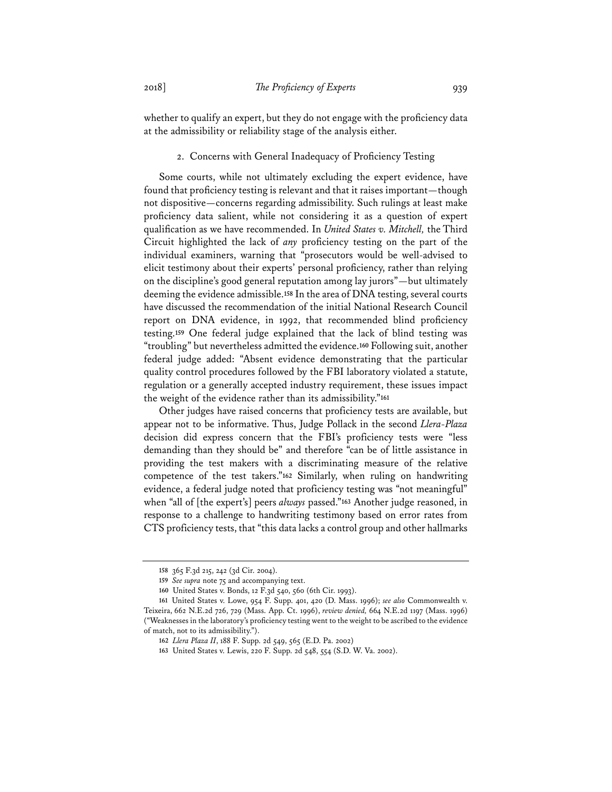whether to qualify an expert, but they do not engage with the proficiency data at the admissibility or reliability stage of the analysis either.

## 2. Concerns with General Inadequacy of Proficiency Testing

Some courts, while not ultimately excluding the expert evidence, have found that proficiency testing is relevant and that it raises important—though not dispositive—concerns regarding admissibility. Such rulings at least make proficiency data salient, while not considering it as a question of expert qualification as we have recommended. In *United States v. Mitchell,* the Third Circuit highlighted the lack of *any* proficiency testing on the part of the individual examiners, warning that "prosecutors would be well-advised to elicit testimony about their experts' personal proficiency, rather than relying on the discipline's good general reputation among lay jurors"—but ultimately deeming the evidence admissible.**158** In the area of DNA testing, several courts have discussed the recommendation of the initial National Research Council report on DNA evidence, in 1992, that recommended blind proficiency testing.**159** One federal judge explained that the lack of blind testing was "troubling" but nevertheless admitted the evidence.**160** Following suit, another federal judge added: "Absent evidence demonstrating that the particular quality control procedures followed by the FBI laboratory violated a statute, regulation or a generally accepted industry requirement, these issues impact the weight of the evidence rather than its admissibility."**161**

Other judges have raised concerns that proficiency tests are available, but appear not to be informative. Thus, Judge Pollack in the second *Llera-Plaza*  decision did express concern that the FBI's proficiency tests were "less demanding than they should be" and therefore "can be of little assistance in providing the test makers with a discriminating measure of the relative competence of the test takers."**162** Similarly, when ruling on handwriting evidence, a federal judge noted that proficiency testing was "not meaningful" when "all of [the expert's] peers *always* passed."**163** Another judge reasoned, in response to a challenge to handwriting testimony based on error rates from CTS proficiency tests, that "this data lacks a control group and other hallmarks

**<sup>158</sup>** 365 F.3d 215, 242 (3d Cir. 2004).

**<sup>159</sup>** *See supra* note 75 and accompanying text.

**<sup>160</sup>** United States v. Bonds, 12 F.3d 540, 560 (6th Cir. 1993).

**<sup>161</sup>** United States v. Lowe, 954 F. Supp. 401, 420 (D. Mass. 1996); *see also* Commonwealth v. Teixeira, 662 N.E.2d 726, 729 (Mass. App. Ct. 1996), *review denied,* 664 N.E.2d 1197 (Mass. 1996) ("Weaknesses in the laboratory's proficiency testing went to the weight to be ascribed to the evidence of match, not to its admissibility.").

**<sup>162</sup>** *Llera Plaza II*, 188 F. Supp. 2d 549, 565 (E.D. Pa. 2002)

**<sup>163</sup>** United States v. Lewis, 220 F. Supp. 2d 548, 554 (S.D. W. Va. 2002).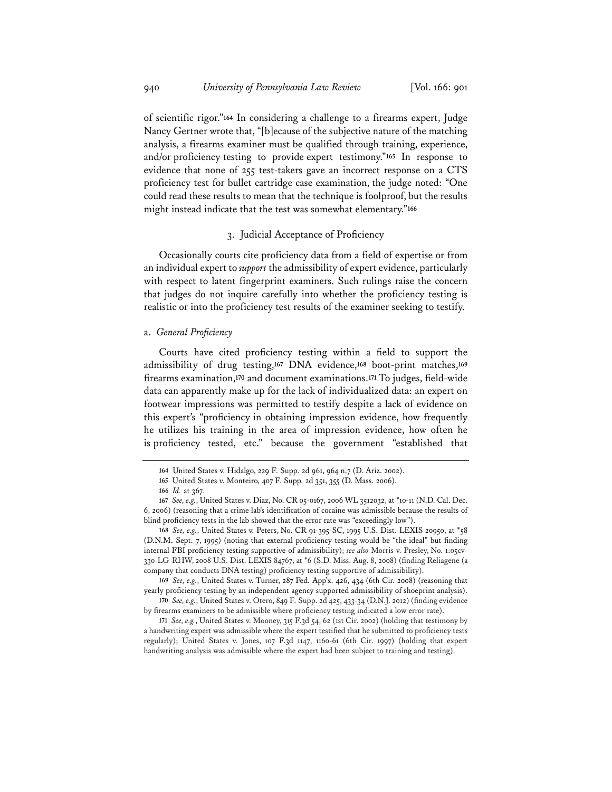of scientific rigor."**164** In considering a challenge to a firearms expert, Judge Nancy Gertner wrote that, "[b]ecause of the subjective nature of the matching analysis, a firearms examiner must be qualified through training, experience, and/or proficiency testing to provide expert testimony."**165** In response to evidence that none of 255 test-takers gave an incorrect response on a CTS proficiency test for bullet cartridge case examination, the judge noted: "One could read these results to mean that the technique is foolproof, but the results might instead indicate that the test was somewhat elementary."**166**

#### 3. Judicial Acceptance of Proficiency

Occasionally courts cite proficiency data from a field of expertise or from an individual expert to *support* the admissibility of expert evidence, particularly with respect to latent fingerprint examiners. Such rulings raise the concern that judges do not inquire carefully into whether the proficiency testing is realistic or into the proficiency test results of the examiner seeking to testify.

## a. *General Proficiency*

Courts have cited proficiency testing within a field to support the admissibility of drug testing,**167** DNA evidence,**168** boot-print matches,**169** firearms examination,**170** and document examinations.**171** To judges, field-wide data can apparently make up for the lack of individualized data: an expert on footwear impressions was permitted to testify despite a lack of evidence on this expert's "proficiency in obtaining impression evidence, how frequently he utilizes his training in the area of impression evidence, how often he is proficiency tested, etc." because the government "established that

**<sup>168</sup>** *See, e.g.*, United States v. Peters, No. CR 91-395-SC, 1995 U.S. Dist. LEXIS 20950, at \*58 (D.N.M. Sept. 7, 1995) (noting that external proficiency testing would be "the ideal" but finding internal FBI proficiency testing supportive of admissibility); *see also* Morris v. Presley, No. 1:05cv-330-LG-RHW, 2008 U.S. Dist. LEXIS 84767, at \*6 (S.D. Miss. Aug. 8, 2008) (finding Reliagene (a company that conducts DNA testing) proficiency testing supportive of admissibility).

**<sup>169</sup>** *See, e.g.*, United States v. Turner, 287 Fed. App'x. 426, 434 (6th Cir. 2008) (reasoning that yearly proficiency testing by an independent agency supported admissibility of shoeprint analysis).

**<sup>170</sup>** *See, e.g.*, United States v. Otero, 849 F. Supp. 2d 425, 433-34 (D.N.J. 2012) (finding evidence by firearms examiners to be admissible where proficiency testing indicated a low error rate).

**<sup>171</sup>** *See, e.g.*, United States v. Mooney, 315 F.3d 54, 62 (1st Cir. 2002) (holding that testimony by a handwriting expert was admissible where the expert testified that he submitted to proficiency tests regularly); United States v. Jones, 107 F.3d 1147, 1160-61 (6th Cir. 1997) (holding that expert handwriting analysis was admissible where the expert had been subject to training and testing).

**<sup>164</sup>** United States v. Hidalgo, 229 F. Supp. 2d 961, 964 n.7 (D. Ariz. 2002).

**<sup>165</sup>** United States v. Monteiro, 407 F. Supp. 2d 351, 355 (D. Mass. 2006).

**<sup>166</sup>** *Id.* at 367.

**<sup>167</sup>** *See, e.g.*, United States v. Diaz, No. CR 05-0167, 2006 WL 3512032, at \*10-11 (N.D. Cal. Dec. 6, 2006) (reasoning that a crime lab's identification of cocaine was admissible because the results of blind proficiency tests in the lab showed that the error rate was "exceedingly low").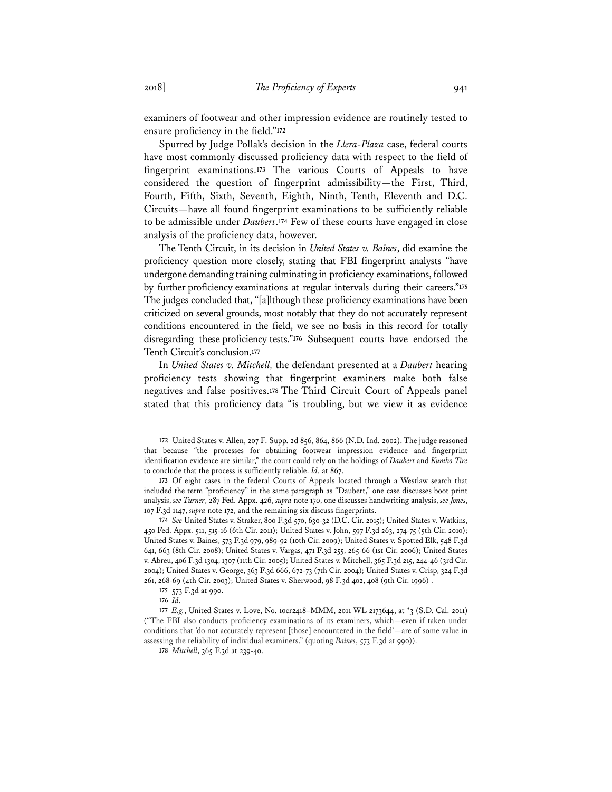examiners of footwear and other impression evidence are routinely tested to ensure proficiency in the field."**172**

Spurred by Judge Pollak's decision in the *Llera-Plaza* case, federal courts have most commonly discussed proficiency data with respect to the field of fingerprint examinations.**173** The various Courts of Appeals to have considered the question of fingerprint admissibility—the First, Third, Fourth, Fifth, Sixth, Seventh, Eighth, Ninth, Tenth, Eleventh and D.C. Circuits—have all found fingerprint examinations to be sufficiently reliable to be admissible under *Daubert*.**174** Few of these courts have engaged in close analysis of the proficiency data, however.

The Tenth Circuit, in its decision in *United States v. Baines*, did examine the proficiency question more closely, stating that FBI fingerprint analysts "have undergone demanding training culminating in proficiency examinations, followed by further proficiency examinations at regular intervals during their careers."**175** The judges concluded that, "[a]lthough these proficiency examinations have been criticized on several grounds, most notably that they do not accurately represent conditions encountered in the field, we see no basis in this record for totally disregarding these proficiency tests."**176** Subsequent courts have endorsed the Tenth Circuit's conclusion.**177**

In *United States v. Mitchell,* the defendant presented at a *Daubert* hearing proficiency tests showing that fingerprint examiners make both false negatives and false positives.**178** The Third Circuit Court of Appeals panel stated that this proficiency data "is troubling, but we view it as evidence

**<sup>172</sup>** United States v. Allen, 207 F. Supp. 2d 856, 864, 866 (N.D. Ind. 2002). The judge reasoned that because "the processes for obtaining footwear impression evidence and fingerprint identification evidence are similar," the court could rely on the holdings of *Daubert* and *Kumho Tire* to conclude that the process is sufficiently reliable. *Id.* at 867.

**<sup>173</sup>** Of eight cases in the federal Courts of Appeals located through a Westlaw search that included the term "proficiency" in the same paragraph as "Daubert," one case discusses boot print analysis, *see Turner*, 287 Fed. Appx. 426, *supra* note 170, one discusses handwriting analysis, *see Jones*, 107 F.3d 1147, *supra* note 172, and the remaining six discuss fingerprints.

**<sup>174</sup>** *See* United States v. Straker, 800 F.3d 570, 630-32 (D.C. Cir. 2015); United States v. Watkins, 450 Fed. Appx. 511, 515-16 (6th Cir. 2011); United States v. John, 597 F.3d 263, 274-75 (5th Cir. 2010); United States v. Baines, 573 F.3d 979, 989-92 (10th Cir. 2009); United States v. Spotted Elk, 548 F.3d 641, 663 (8th Cir. 2008); United States v. Vargas, 471 F.3d 255, 265-66 (1st Cir. 2006); United States v. Abreu, 406 F.3d 1304, 1307 (11th Cir. 2005); United States v. Mitchell, 365 F.3d 215, 244-46 (3rd Cir. 2004); United States v. George, 363 F.3d 666, 672-73 (7th Cir. 2004); United States v. Crisp, 324 F.3d 261, 268-69 (4th Cir. 2003); United States v. Sherwood, 98 F.3d 402, 408 (9th Cir. 1996) .

**<sup>175</sup>** 573 F.3d at 990.

**<sup>176</sup>** *Id.*

**<sup>177</sup>** *E.g.*, United States v. Love, No. 10cr2418–MMM, 2011 WL 2173644, at \*3 (S.D. Cal. 2011) ("The FBI also conducts proficiency examinations of its examiners, which—even if taken under conditions that 'do not accurately represent [those] encountered in the field'—are of some value in assessing the reliability of individual examiners." (quoting *Baines*, 573 F.3d at 990)).

**<sup>178</sup>** *Mitchell*, 365 F.3d at 239-40.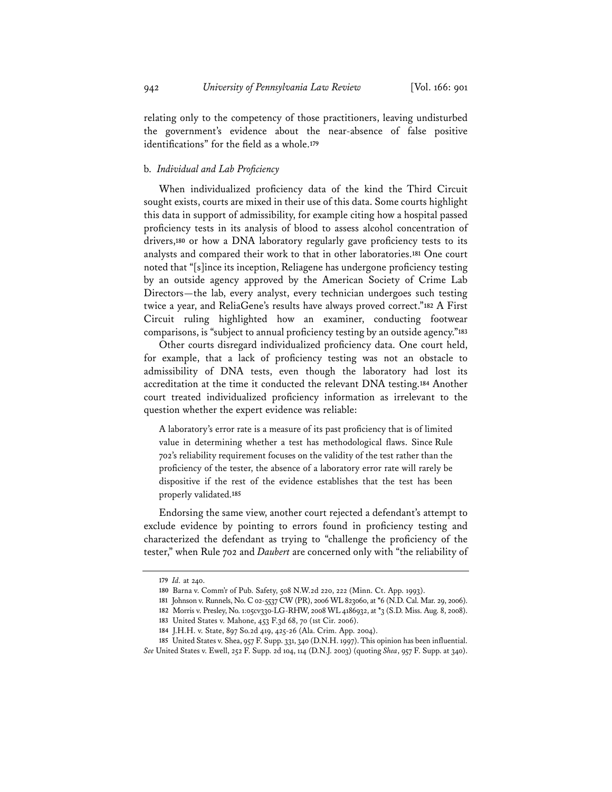relating only to the competency of those practitioners, leaving undisturbed the government's evidence about the near-absence of false positive identifications" for the field as a whole.**179**

## b. *Individual and Lab Proficiency*

When individualized proficiency data of the kind the Third Circuit sought exists, courts are mixed in their use of this data. Some courts highlight this data in support of admissibility, for example citing how a hospital passed proficiency tests in its analysis of blood to assess alcohol concentration of drivers,**180** or how a DNA laboratory regularly gave proficiency tests to its analysts and compared their work to that in other laboratories.**181** One court noted that "[s]ince its inception, Reliagene has undergone proficiency testing by an outside agency approved by the American Society of Crime Lab Directors—the lab, every analyst, every technician undergoes such testing twice a year, and ReliaGene's results have always proved correct."**182** A First Circuit ruling highlighted how an examiner, conducting footwear comparisons, is "subject to annual proficiency testing by an outside agency."**183**

Other courts disregard individualized proficiency data. One court held, for example, that a lack of proficiency testing was not an obstacle to admissibility of DNA tests, even though the laboratory had lost its accreditation at the time it conducted the relevant DNA testing.**184** Another court treated individualized proficiency information as irrelevant to the question whether the expert evidence was reliable:

A laboratory's error rate is a measure of its past proficiency that is of limited value in determining whether a test has methodological flaws. Since Rule 702's reliability requirement focuses on the validity of the test rather than the proficiency of the tester, the absence of a laboratory error rate will rarely be dispositive if the rest of the evidence establishes that the test has been properly validated.**185**

Endorsing the same view, another court rejected a defendant's attempt to exclude evidence by pointing to errors found in proficiency testing and characterized the defendant as trying to "challenge the proficiency of the tester," when Rule 702 and *Daubert* are concerned only with "the reliability of

**<sup>179</sup>** *Id.* at 240.

**<sup>180</sup>** Barna v. Comm'r of Pub. Safety, 508 N.W.2d 220, 222 (Minn. Ct. App. 1993).

**<sup>181</sup>** Johnson v. Runnels, No. C 02-5537 CW (PR), 2006 WL 823060, at \*6 (N.D. Cal. Mar. 29, 2006).

**<sup>182</sup>** Morris v. Presley, No. 1:05cv330-LG-RHW, 2008 WL 4186932, at \*3 (S.D. Miss. Aug. 8, 2008).

**<sup>183</sup>** United States v. Mahone, 453 F.3d 68, 70 (1st Cir. 2006).

**<sup>184</sup>** J.H.H. v. State, 897 So.2d 419, 425-26 (Ala. Crim. App. 2004).

**<sup>185</sup>** United States v. Shea, 957 F. Supp. 331, 340 (D.N.H. 1997). This opinion has been influential. *See* United States v. Ewell, 252 F. Supp. 2d 104, 114 (D.N.J. 2003) (quoting *Shea*, 957 F. Supp. at 340).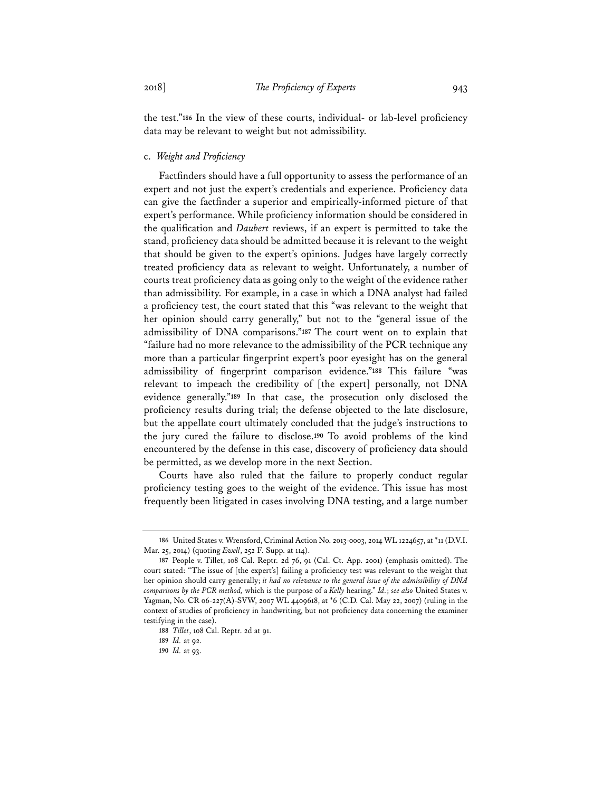the test."**186** In the view of these courts, individual- or lab-level proficiency data may be relevant to weight but not admissibility.

## c. *Weight and Proficiency*

Factfinders should have a full opportunity to assess the performance of an expert and not just the expert's credentials and experience. Proficiency data can give the factfinder a superior and empirically-informed picture of that expert's performance. While proficiency information should be considered in the qualification and *Daubert* reviews, if an expert is permitted to take the stand, proficiency data should be admitted because it is relevant to the weight that should be given to the expert's opinions. Judges have largely correctly treated proficiency data as relevant to weight. Unfortunately, a number of courts treat proficiency data as going only to the weight of the evidence rather than admissibility. For example, in a case in which a DNA analyst had failed a proficiency test, the court stated that this "was relevant to the weight that her opinion should carry generally," but not to the "general issue of the admissibility of DNA comparisons."**187** The court went on to explain that "failure had no more relevance to the admissibility of the PCR technique any more than a particular fingerprint expert's poor eyesight has on the general admissibility of fingerprint comparison evidence."**188** This failure "was relevant to impeach the credibility of [the expert] personally, not DNA evidence generally."**189** In that case, the prosecution only disclosed the proficiency results during trial; the defense objected to the late disclosure, but the appellate court ultimately concluded that the judge's instructions to the jury cured the failure to disclose.**190** To avoid problems of the kind encountered by the defense in this case, discovery of proficiency data should be permitted, as we develop more in the next Section.

Courts have also ruled that the failure to properly conduct regular proficiency testing goes to the weight of the evidence. This issue has most frequently been litigated in cases involving DNA testing, and a large number

**<sup>186</sup>** United States v. Wrensford, Criminal Action No. 2013-0003, 2014 WL 1224657, at \*11 (D.V.I. Mar. 25, 2014) (quoting *Ewell*, 252 F. Supp. at 114).

**<sup>187</sup>** People v. Tillet, 108 Cal. Reptr. 2d 76, 91 (Cal. Ct. App. 2001) (emphasis omitted). The court stated: "The issue of [the expert's] failing a proficiency test was relevant to the weight that her opinion should carry generally; *it had no relevance to the general issue of the admissibility of DNA comparisons by the PCR method,* which is the purpose of a *Kelly* hearing." *Id.*; *see also* United States v. Yagman, No. CR 06-227(A)-SVW, 2007 WL 4409618, at \*6 (C.D. Cal. May 22, 2007) (ruling in the context of studies of proficiency in handwriting, but not proficiency data concerning the examiner testifying in the case).

**<sup>188</sup>** *Tillet*, 108 Cal. Reptr. 2d at 91.

**<sup>189</sup>** *Id.* at 92.

**<sup>190</sup>** *Id.* at 93.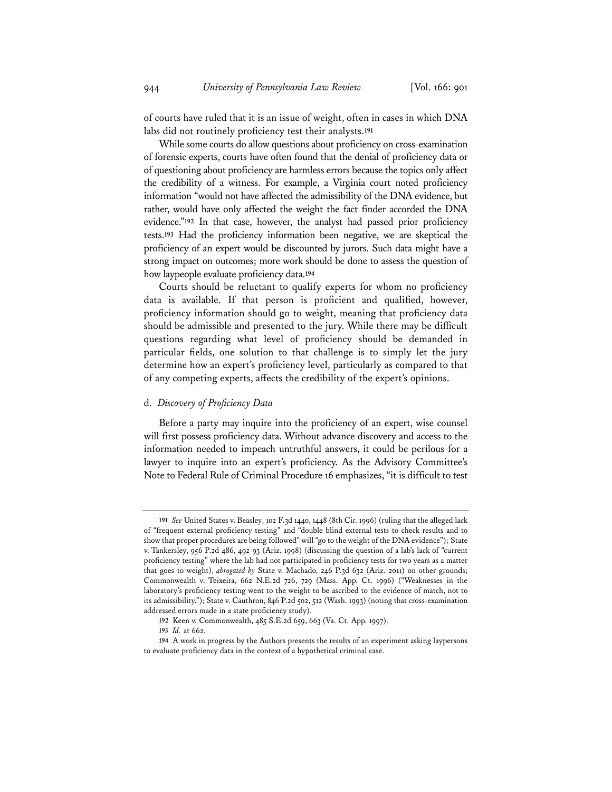of courts have ruled that it is an issue of weight, often in cases in which DNA labs did not routinely proficiency test their analysts.**191**

While some courts do allow questions about proficiency on cross-examination of forensic experts, courts have often found that the denial of proficiency data or of questioning about proficiency are harmless errors because the topics only affect the credibility of a witness. For example, a Virginia court noted proficiency information "would not have affected the admissibility of the DNA evidence, but rather, would have only affected the weight the fact finder accorded the DNA evidence."**192** In that case, however, the analyst had passed prior proficiency tests.**193** Had the proficiency information been negative, we are skeptical the proficiency of an expert would be discounted by jurors. Such data might have a strong impact on outcomes; more work should be done to assess the question of how laypeople evaluate proficiency data.**194**

Courts should be reluctant to qualify experts for whom no proficiency data is available. If that person is proficient and qualified, however, proficiency information should go to weight, meaning that proficiency data should be admissible and presented to the jury. While there may be difficult questions regarding what level of proficiency should be demanded in particular fields, one solution to that challenge is to simply let the jury determine how an expert's proficiency level, particularly as compared to that of any competing experts, affects the credibility of the expert's opinions.

#### d. *Discovery of Proficiency Data*

Before a party may inquire into the proficiency of an expert, wise counsel will first possess proficiency data. Without advance discovery and access to the information needed to impeach untruthful answers, it could be perilous for a lawyer to inquire into an expert's proficiency. As the Advisory Committee's Note to Federal Rule of Criminal Procedure 16 emphasizes, "it is difficult to test

**<sup>191</sup>** *See* United States v. Beasley, 102 F.3d 1440, 1448 (8th Cir. 1996) (ruling that the alleged lack of "frequent external proficiency testing" and "double blind external tests to check results and to show that proper procedures are being followed" will "go to the weight of the DNA evidence"); State v. Tankersley, 956 P.2d 486, 492-93 (Ariz. 1998) (discussing the question of a lab's lack of "current proficiency testing" where the lab had not participated in proficiency tests for two years as a matter that goes to weight), *abrogated by* State v. Machado, 246 P.3d 632 (Ariz. 2011) on other grounds; Commonwealth v. Teixeira, 662 N.E.2d 726, 729 (Mass. App. Ct. 1996) ("Weaknesses in the laboratory's proficiency testing went to the weight to be ascribed to the evidence of match, not to its admissibility."); State v. Cauthron, 846 P.2d 502, 512 (Wash. 1993) (noting that cross-examination addressed errors made in a state proficiency study).

**<sup>192</sup>** Keen v. Commonwealth, 485 S.E.2d 659, 663 (Va. Ct. App. 1997).

**<sup>193</sup>** *Id.* at 662.

**<sup>194</sup>** A work in progress by the Authors presents the results of an experiment asking laypersons to evaluate proficiency data in the context of a hypothetical criminal case.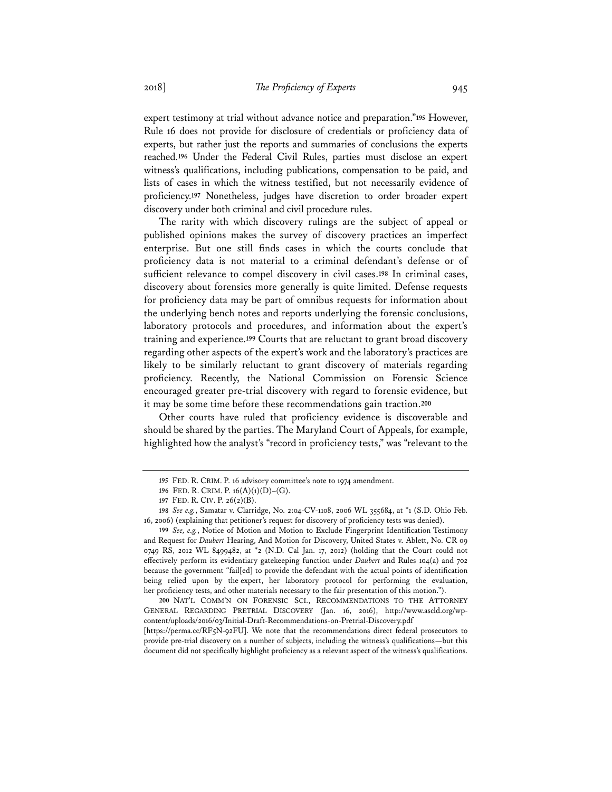expert testimony at trial without advance notice and preparation."**195** However, Rule 16 does not provide for disclosure of credentials or proficiency data of experts, but rather just the reports and summaries of conclusions the experts reached.**196** Under the Federal Civil Rules, parties must disclose an expert witness's qualifications, including publications, compensation to be paid, and lists of cases in which the witness testified, but not necessarily evidence of proficiency.**197** Nonetheless, judges have discretion to order broader expert discovery under both criminal and civil procedure rules.

The rarity with which discovery rulings are the subject of appeal or published opinions makes the survey of discovery practices an imperfect enterprise. But one still finds cases in which the courts conclude that proficiency data is not material to a criminal defendant's defense or of sufficient relevance to compel discovery in civil cases.**198** In criminal cases, discovery about forensics more generally is quite limited. Defense requests for proficiency data may be part of omnibus requests for information about the underlying bench notes and reports underlying the forensic conclusions, laboratory protocols and procedures, and information about the expert's training and experience.**199** Courts that are reluctant to grant broad discovery regarding other aspects of the expert's work and the laboratory's practices are likely to be similarly reluctant to grant discovery of materials regarding proficiency. Recently, the National Commission on Forensic Science encouraged greater pre-trial discovery with regard to forensic evidence, but it may be some time before these recommendations gain traction.**200**

Other courts have ruled that proficiency evidence is discoverable and should be shared by the parties. The Maryland Court of Appeals, for example, highlighted how the analyst's "record in proficiency tests," was "relevant to the

**<sup>200</sup>** NAT'L COMM'N ON FORENSIC SCI., RECOMMENDATIONS TO THE ATTORNEY GENERAL REGARDING PRETRIAL DISCOVERY (Jan. 16, 2016), http://www.ascld.org/wpcontent/uploads/2016/03/Initial-Draft-Recommendations-on-Pretrial-Discovery.pdf [https://perma.cc/RF5N-92FU]. We note that the recommendations direct federal prosecutors to provide pre-trial discovery on a number of subjects, including the witness's qualifications—but this document did not specifically highlight proficiency as a relevant aspect of the witness's qualifications.

**<sup>195</sup>** FED. R. CRIM. P. 16 advisory committee's note to 1974 amendment.

**<sup>196</sup>** FED. R. CRIM. P. 16(A)(1)(D)–(G).

**<sup>197</sup>** FED. R. CIV. P. 26(2)(B).

**<sup>198</sup>** *See e.g.*, Samatar v. Clarridge, No. 2:04-CV-1108, 2006 WL 355684, at \*1 (S.D. Ohio Feb. 16, 2006) (explaining that petitioner's request for discovery of proficiency tests was denied).

**<sup>199</sup>** *See, e.g.*, Notice of Motion and Motion to Exclude Fingerprint Identification Testimony and Request for *Daubert* Hearing, And Motion for Discovery, United States v. Ablett, No. CR 09 0749 RS, 2012 WL 8499482, at \*2 (N.D. Cal Jan. 17, 2012) (holding that the Court could not effectively perform its evidentiary gatekeeping function under *Daubert* and Rules 104(a) and 702 because the government "fail[ed] to provide the defendant with the actual points of identification being relied upon by the expert, her laboratory protocol for performing the evaluation, her proficiency tests, and other materials necessary to the fair presentation of this motion.").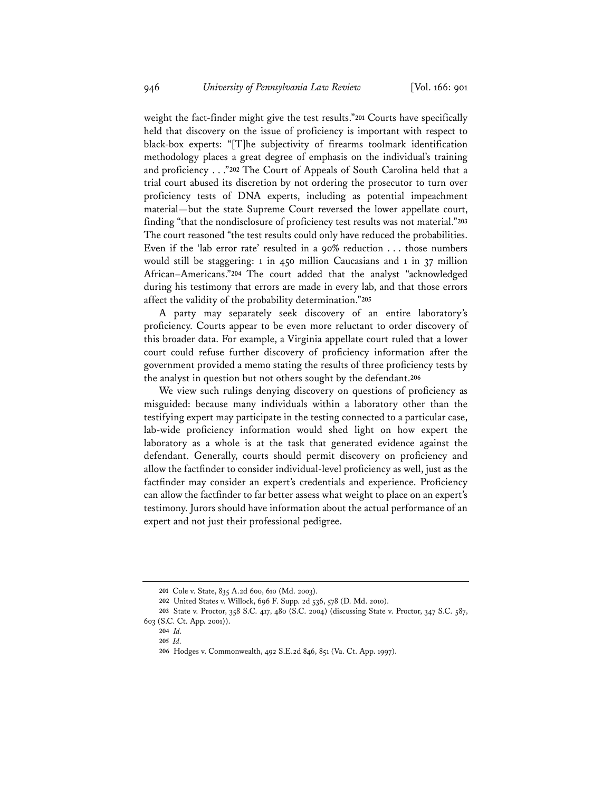weight the fact-finder might give the test results."**201** Courts have specifically held that discovery on the issue of proficiency is important with respect to black-box experts: "[T]he subjectivity of firearms toolmark identification methodology places a great degree of emphasis on the individual's training and proficiency . . ."**202** The Court of Appeals of South Carolina held that a trial court abused its discretion by not ordering the prosecutor to turn over proficiency tests of DNA experts, including as potential impeachment material—but the state Supreme Court reversed the lower appellate court, finding "that the nondisclosure of proficiency test results was not material."**203** The court reasoned "the test results could only have reduced the probabilities. Even if the 'lab error rate' resulted in a 90% reduction . . . those numbers would still be staggering: 1 in 450 million Caucasians and 1 in 37 million African–Americans."**204** The court added that the analyst "acknowledged during his testimony that errors are made in every lab, and that those errors affect the validity of the probability determination."**205**

A party may separately seek discovery of an entire laboratory's proficiency. Courts appear to be even more reluctant to order discovery of this broader data. For example, a Virginia appellate court ruled that a lower court could refuse further discovery of proficiency information after the government provided a memo stating the results of three proficiency tests by the analyst in question but not others sought by the defendant.**206**

We view such rulings denying discovery on questions of proficiency as misguided: because many individuals within a laboratory other than the testifying expert may participate in the testing connected to a particular case, lab-wide proficiency information would shed light on how expert the laboratory as a whole is at the task that generated evidence against the defendant. Generally, courts should permit discovery on proficiency and allow the factfinder to consider individual-level proficiency as well, just as the factfinder may consider an expert's credentials and experience. Proficiency can allow the factfinder to far better assess what weight to place on an expert's testimony. Jurors should have information about the actual performance of an expert and not just their professional pedigree.

**<sup>201</sup>** Cole v. State, 835 A.2d 600, 610 (Md. 2003).

**<sup>202</sup>** United States v. Willock, 696 F. Supp. 2d 536, 578 (D. Md. 2010).

**<sup>203</sup>** State v. Proctor, 358 S.C. 417, 480 (S.C. 2004) (discussing State v. Proctor, 347 S.C. 587, 603 (S.C. Ct. App. 2001)).

**<sup>204</sup>** *Id.*

**<sup>205</sup>** *Id.*

**<sup>206</sup>** Hodges v. Commonwealth, 492 S.E.2d 846, 851 (Va. Ct. App. 1997).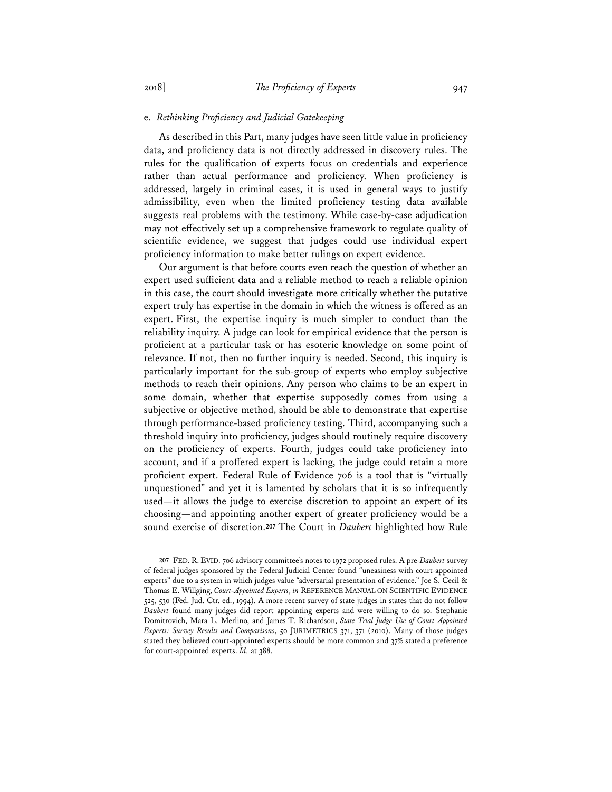#### e. *Rethinking Proficiency and Judicial Gatekeeping*

As described in this Part, many judges have seen little value in proficiency data, and proficiency data is not directly addressed in discovery rules. The rules for the qualification of experts focus on credentials and experience rather than actual performance and proficiency. When proficiency is addressed, largely in criminal cases, it is used in general ways to justify admissibility, even when the limited proficiency testing data available suggests real problems with the testimony. While case-by-case adjudication may not effectively set up a comprehensive framework to regulate quality of scientific evidence, we suggest that judges could use individual expert proficiency information to make better rulings on expert evidence.

Our argument is that before courts even reach the question of whether an expert used sufficient data and a reliable method to reach a reliable opinion in this case, the court should investigate more critically whether the putative expert truly has expertise in the domain in which the witness is offered as an expert. First, the expertise inquiry is much simpler to conduct than the reliability inquiry. A judge can look for empirical evidence that the person is proficient at a particular task or has esoteric knowledge on some point of relevance. If not, then no further inquiry is needed. Second, this inquiry is particularly important for the sub-group of experts who employ subjective methods to reach their opinions. Any person who claims to be an expert in some domain, whether that expertise supposedly comes from using a subjective or objective method, should be able to demonstrate that expertise through performance-based proficiency testing. Third, accompanying such a threshold inquiry into proficiency, judges should routinely require discovery on the proficiency of experts. Fourth, judges could take proficiency into account, and if a proffered expert is lacking, the judge could retain a more proficient expert. Federal Rule of Evidence 706 is a tool that is "virtually unquestioned" and yet it is lamented by scholars that it is so infrequently used—it allows the judge to exercise discretion to appoint an expert of its choosing—and appointing another expert of greater proficiency would be a sound exercise of discretion.**207** The Court in *Daubert* highlighted how Rule

**<sup>207</sup>** FED. R. EVID. 706 advisory committee's notes to 1972 proposed rules. A pre-*Daubert* survey of federal judges sponsored by the Federal Judicial Center found "uneasiness with court-appointed experts" due to a system in which judges value "adversarial presentation of evidence." Joe S. Cecil & Thomas E. Willging, *Court-Appointed Experts*, *in* REFERENCE MANUAL ON SCIENTIFIC EVIDENCE 525, 530 (Fed. Jud. Ctr. ed., 1994). A more recent survey of state judges in states that do not follow *Daubert* found many judges did report appointing experts and were willing to do so. Stephanie Domitrovich, Mara L. Merlino, and James T. Richardson, *State Trial Judge Use of Court Appointed Experts: Survey Results and Comparisons*, 50 JURIMETRICS 371, 371 (2010). Many of those judges stated they believed court-appointed experts should be more common and 37% stated a preference for court-appointed experts. *Id.* at 388.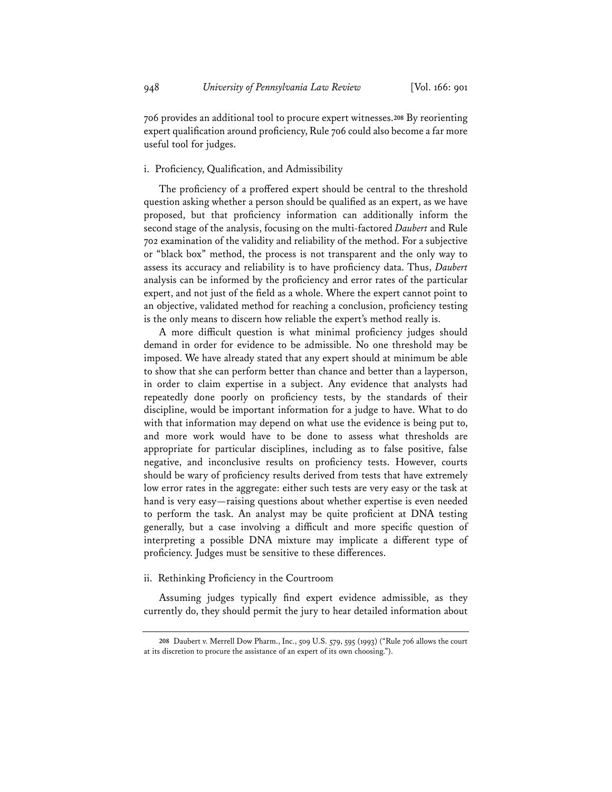706 provides an additional tool to procure expert witnesses.**208** By reorienting expert qualification around proficiency, Rule 706 could also become a far more useful tool for judges.

## i. Proficiency, Qualification, and Admissibility

The proficiency of a proffered expert should be central to the threshold question asking whether a person should be qualified as an expert, as we have proposed, but that proficiency information can additionally inform the second stage of the analysis, focusing on the multi-factored *Daubert* and Rule 702 examination of the validity and reliability of the method. For a subjective or "black box" method, the process is not transparent and the only way to assess its accuracy and reliability is to have proficiency data. Thus, *Daubert*  analysis can be informed by the proficiency and error rates of the particular expert, and not just of the field as a whole. Where the expert cannot point to an objective, validated method for reaching a conclusion, proficiency testing is the only means to discern how reliable the expert's method really is.

A more difficult question is what minimal proficiency judges should demand in order for evidence to be admissible. No one threshold may be imposed. We have already stated that any expert should at minimum be able to show that she can perform better than chance and better than a layperson, in order to claim expertise in a subject. Any evidence that analysts had repeatedly done poorly on proficiency tests, by the standards of their discipline, would be important information for a judge to have. What to do with that information may depend on what use the evidence is being put to, and more work would have to be done to assess what thresholds are appropriate for particular disciplines, including as to false positive, false negative, and inconclusive results on proficiency tests. However, courts should be wary of proficiency results derived from tests that have extremely low error rates in the aggregate: either such tests are very easy or the task at hand is very easy—raising questions about whether expertise is even needed to perform the task. An analyst may be quite proficient at DNA testing generally, but a case involving a difficult and more specific question of interpreting a possible DNA mixture may implicate a different type of proficiency. Judges must be sensitive to these differences.

## ii. Rethinking Proficiency in the Courtroom

Assuming judges typically find expert evidence admissible, as they currently do, they should permit the jury to hear detailed information about

**<sup>208</sup>** Daubert v. Merrell Dow Pharm., Inc., 509 U.S. 579, 595 (1993) ("Rule 706 allows the court at its discretion to procure the assistance of an expert of its own choosing.").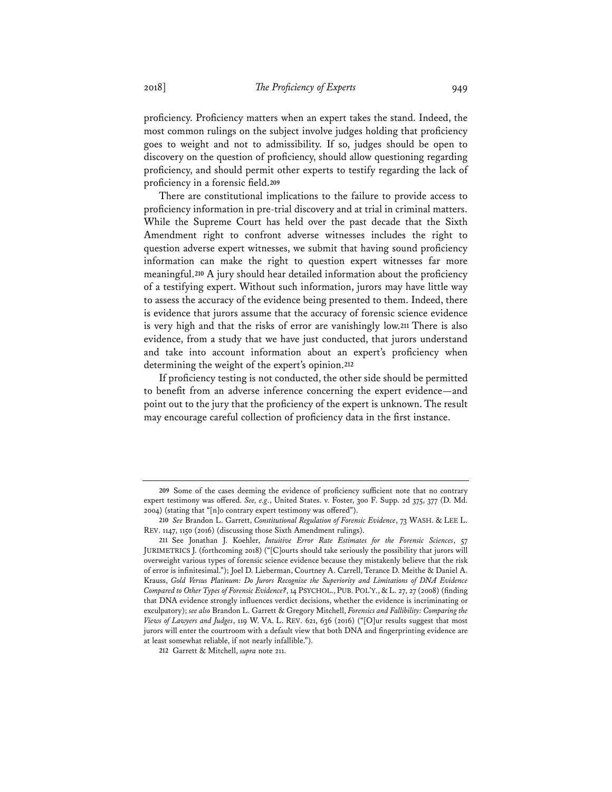proficiency. Proficiency matters when an expert takes the stand. Indeed, the most common rulings on the subject involve judges holding that proficiency goes to weight and not to admissibility. If so, judges should be open to discovery on the question of proficiency, should allow questioning regarding proficiency, and should permit other experts to testify regarding the lack of proficiency in a forensic field.**209**

There are constitutional implications to the failure to provide access to proficiency information in pre-trial discovery and at trial in criminal matters. While the Supreme Court has held over the past decade that the Sixth Amendment right to confront adverse witnesses includes the right to question adverse expert witnesses, we submit that having sound proficiency information can make the right to question expert witnesses far more meaningful.**210** A jury should hear detailed information about the proficiency of a testifying expert. Without such information, jurors may have little way to assess the accuracy of the evidence being presented to them. Indeed, there is evidence that jurors assume that the accuracy of forensic science evidence is very high and that the risks of error are vanishingly low.**211** There is also evidence, from a study that we have just conducted, that jurors understand and take into account information about an expert's proficiency when determining the weight of the expert's opinion.**212**

If proficiency testing is not conducted, the other side should be permitted to benefit from an adverse inference concerning the expert evidence—and point out to the jury that the proficiency of the expert is unknown. The result may encourage careful collection of proficiency data in the first instance.

**<sup>209</sup>** Some of the cases deeming the evidence of proficiency sufficient note that no contrary expert testimony was offered. *See, e.g*., United States. v. Foster, 300 F. Supp. 2d 375, 377 (D. Md. 2004) (stating that "[n]o contrary expert testimony was offered").

**<sup>210</sup>** *See* Brandon L. Garrett, *Constitutional Regulation of Forensic Evidence*, 73 WASH. & LEE L. REV. 1147, 1150 (2016) (discussing those Sixth Amendment rulings).

**<sup>211</sup>** See Jonathan J. Koehler, *Intuitive Error Rate Estimates for the Forensic Sciences*, 57 JURIMETRICS J. (forthcoming 2018) ("[C]ourts should take seriously the possibility that jurors will overweight various types of forensic science evidence because they mistakenly believe that the risk of error is infinitesimal."); Joel D. Lieberman, Courtney A. Carrell, Terance D. Meithe & Daniel A. Krauss, *Gold Versus Platinum: Do Jurors Recognize the Superiority and Limitations of DNA Evidence Compared to Other Types of Forensic Evidence?*, 14 PSYCHOL., PUB. POL'Y., & L. 27, 27 (2008) (finding that DNA evidence strongly influences verdict decisions, whether the evidence is incriminating or exculpatory); *see also* Brandon L. Garrett & Gregory Mitchell, *Forensics and Fallibility: Comparing the Views of Lawyers and Judges*, 119 W. VA. L. REV. 621, 636 (2016) ("[O]ur results suggest that most jurors will enter the courtroom with a default view that both DNA and fingerprinting evidence are at least somewhat reliable, if not nearly infallible.").

**<sup>212</sup>** Garrett & Mitchell, *supra* note 211.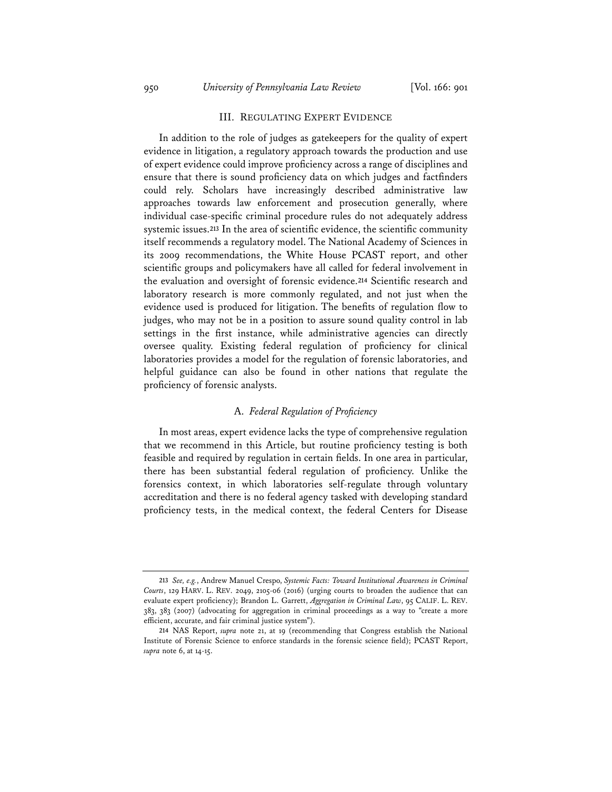## III. REGULATING EXPERT EVIDENCE

In addition to the role of judges as gatekeepers for the quality of expert evidence in litigation, a regulatory approach towards the production and use of expert evidence could improve proficiency across a range of disciplines and ensure that there is sound proficiency data on which judges and factfinders could rely. Scholars have increasingly described administrative law approaches towards law enforcement and prosecution generally, where individual case-specific criminal procedure rules do not adequately address systemic issues.**213** In the area of scientific evidence, the scientific community itself recommends a regulatory model. The National Academy of Sciences in its 2009 recommendations, the White House PCAST report, and other scientific groups and policymakers have all called for federal involvement in the evaluation and oversight of forensic evidence.**214** Scientific research and laboratory research is more commonly regulated, and not just when the evidence used is produced for litigation. The benefits of regulation flow to judges, who may not be in a position to assure sound quality control in lab settings in the first instance, while administrative agencies can directly oversee quality. Existing federal regulation of proficiency for clinical laboratories provides a model for the regulation of forensic laboratories, and helpful guidance can also be found in other nations that regulate the proficiency of forensic analysts.

## A. *Federal Regulation of Proficiency*

In most areas, expert evidence lacks the type of comprehensive regulation that we recommend in this Article, but routine proficiency testing is both feasible and required by regulation in certain fields. In one area in particular, there has been substantial federal regulation of proficiency. Unlike the forensics context, in which laboratories self-regulate through voluntary accreditation and there is no federal agency tasked with developing standard proficiency tests, in the medical context, the federal Centers for Disease

**<sup>213</sup>** *See, e.g.*, Andrew Manuel Crespo, *Systemic Facts: Toward Institutional Awareness in Criminal Courts*, 129 HARV. L. REV. 2049, 2105-06 (2016) (urging courts to broaden the audience that can evaluate expert proficiency); Brandon L. Garrett, *Aggregation in Criminal Law*, 95 CALIF. L. REV. 383, 383 (2007) (advocating for aggregation in criminal proceedings as a way to "create a more efficient, accurate, and fair criminal justice system").

**<sup>214</sup>** NAS Report, *supra* note 21, at 19 (recommending that Congress establish the National Institute of Forensic Science to enforce standards in the forensic science field); PCAST Report, *supra* note 6, at 14-15.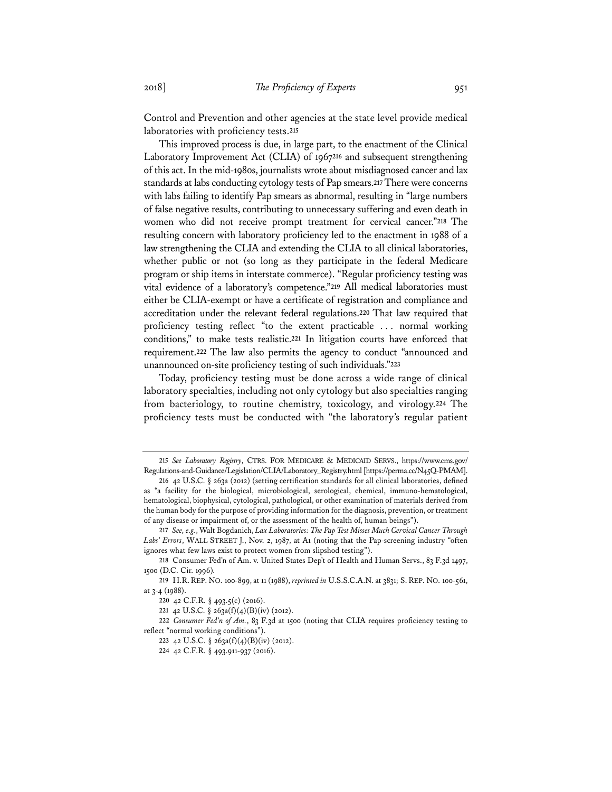Control and Prevention and other agencies at the state level provide medical laboratories with proficiency tests.**<sup>215</sup>**

This improved process is due, in large part, to the enactment of the Clinical Laboratory Improvement Act (CLIA) of 1967**216** and subsequent strengthening of this act. In the mid-1980s, journalists wrote about misdiagnosed cancer and lax standards at labs conducting cytology tests of Pap smears.**217** There were concerns with labs failing to identify Pap smears as abnormal, resulting in "large numbers of false negative results, contributing to unnecessary suffering and even death in women who did not receive prompt treatment for cervical cancer."**218** The resulting concern with laboratory proficiency led to the enactment in 1988 of a law strengthening the CLIA and extending the CLIA to all clinical laboratories, whether public or not (so long as they participate in the federal Medicare program or ship items in interstate commerce). "Regular proficiency testing was vital evidence of a laboratory's competence."**219** All medical laboratories must either be CLIA-exempt or have a certificate of registration and compliance and accreditation under the relevant federal regulations.**220** That law required that proficiency testing reflect "to the extent practicable . . . normal working conditions," to make tests realistic.**221** In litigation courts have enforced that requirement.**222** The law also permits the agency to conduct "announced and unannounced on-site proficiency testing of such individuals."**223**

Today, proficiency testing must be done across a wide range of clinical laboratory specialties, including not only cytology but also specialties ranging from bacteriology, to routine chemistry, toxicology, and virology.**224** The proficiency tests must be conducted with "the laboratory's regular patient

**<sup>223</sup>** 42 U.S.C. § 263a(f)(4)(B)(iv) (2012).

**<sup>215</sup>** *See Laboratory Registry*, CTRS. FOR MEDICARE & MEDICAID SERVS., https://www.cms.gov/ Regulations-and-Guidance/Legislation/CLIA/Laboratory\_Registry.html [https://perma.cc/N45Q-PMAM].

**<sup>216</sup>** 42 U.S.C. § 263a (2012) (setting certification standards for all clinical laboratories, defined as "a facility for the biological, microbiological, serological, chemical, immuno-hematological, hematological, biophysical, cytological, pathological, or other examination of materials derived from the human body for the purpose of providing information for the diagnosis, prevention, or treatment of any disease or impairment of, or the assessment of the health of, human beings").

**<sup>217</sup>** *See, e.g.*, Walt Bogdanich, *Lax Laboratories: The Pap Test Misses Much Cervical Cancer Through Labs' Errors*, WALL STREET J., Nov. 2, 1987, at A1 (noting that the Pap-screening industry "often ignores what few laws exist to protect women from slipshod testing").

**<sup>218</sup>** Consumer Fed'n of Am. v. United States Dep't of Health and Human Servs., 83 F.3d 1497, 1500 (D.C. Cir. 1996)*.*

**<sup>219</sup>** H.R.REP. NO. 100-899, at 11 (1988), *reprinted in* U.S.S.C.A.N. at 3831; S.REP. NO. 100-561, at 3-4 (1988).

**<sup>220</sup>** 42 C.F.R. § 493.5(c) (2016).

**<sup>221</sup>** 42 U.S.C. § 263a(f)(4)(B)(iv) (2012).

**<sup>222</sup>** *Consumer Fed'n of Am.*, 83 F.3d at 1500 (noting that CLIA requires proficiency testing to reflect "normal working conditions").

**<sup>224</sup>** 42 C.F.R. § 493.911-937 (2016).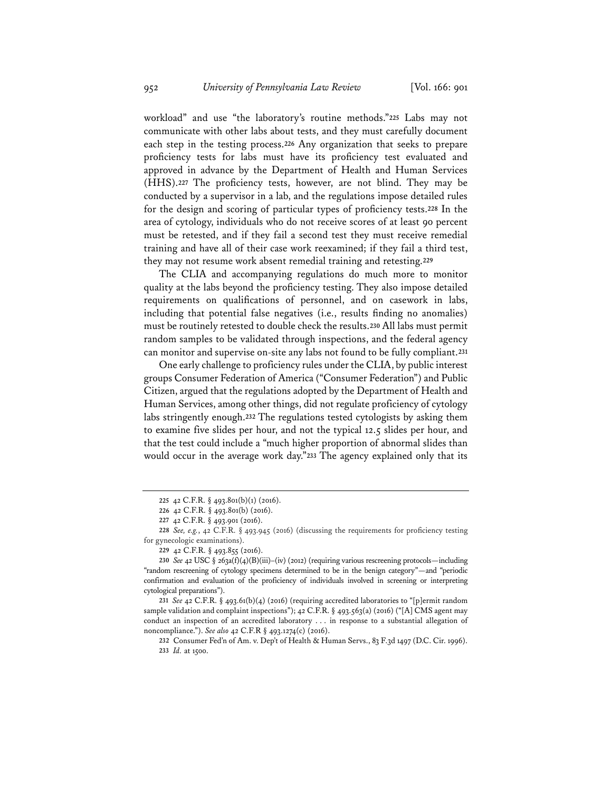workload" and use "the laboratory's routine methods."**225** Labs may not communicate with other labs about tests, and they must carefully document each step in the testing process.**226** Any organization that seeks to prepare proficiency tests for labs must have its proficiency test evaluated and approved in advance by the Department of Health and Human Services (HHS).**227** The proficiency tests, however, are not blind. They may be conducted by a supervisor in a lab, and the regulations impose detailed rules for the design and scoring of particular types of proficiency tests.**228** In the area of cytology, individuals who do not receive scores of at least 90 percent must be retested, and if they fail a second test they must receive remedial training and have all of their case work reexamined; if they fail a third test, they may not resume work absent remedial training and retesting.**229**

The CLIA and accompanying regulations do much more to monitor quality at the labs beyond the proficiency testing. They also impose detailed requirements on qualifications of personnel, and on casework in labs, including that potential false negatives (i.e., results finding no anomalies) must be routinely retested to double check the results.**230** All labs must permit random samples to be validated through inspections, and the federal agency can monitor and supervise on-site any labs not found to be fully compliant.**<sup>231</sup>**

One early challenge to proficiency rules under the CLIA, by public interest groups Consumer Federation of America ("Consumer Federation") and Public Citizen, argued that the regulations adopted by the Department of Health and Human Services, among other things, did not regulate proficiency of cytology labs stringently enough.**232** The regulations tested cytologists by asking them to examine five slides per hour, and not the typical 12.5 slides per hour, and that the test could include a "much higher proportion of abnormal slides than would occur in the average work day."**233** The agency explained only that its

**<sup>231</sup>** *See* 42 C.F.R. § 493.61(b)(4) (2016) (requiring accredited laboratories to "[p]ermit random sample validation and complaint inspections"); 42 C.F.R. § 493.563(a) (2016) ("[A] CMS agent may conduct an inspection of an accredited laboratory . . . in response to a substantial allegation of noncompliance."). *See also* 42 C.F.R § 493.1274(c) (2016).

**<sup>232</sup>** Consumer Fed'n of Am. v. Dep't of Health & Human Servs., 83 F.3d 1497 (D.C. Cir. 1996). **233** *Id.* at 1500.

**<sup>225</sup>** 42 C.F.R. § 493.801(b)(1) (2016).

**<sup>226</sup>** 42 C.F.R. § 493.801(b) (2016).

**<sup>227</sup>** 42 C.F.R. § 493.901 (2016).

**<sup>228</sup>** *See, e.g.*, 42 C.F.R. § 493.945 (2016) (discussing the requirements for proficiency testing for gynecologic examinations).

**<sup>229</sup>** 42 C.F.R. § 493.855 (2016).

**<sup>230</sup>** *See* 42 USC § 263a(f)(4)(B)(iii)–(iv) (2012) (requiring various rescreening protocols—including "random rescreening of cytology specimens determined to be in the benign category"—and "periodic confirmation and evaluation of the proficiency of individuals involved in screening or interpreting cytological preparations").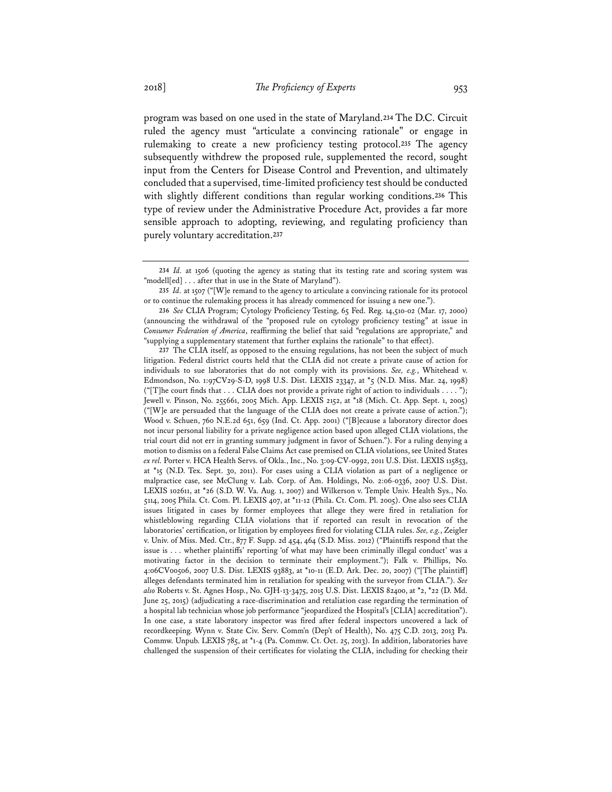program was based on one used in the state of Maryland.**234** The D.C. Circuit ruled the agency must "articulate a convincing rationale" or engage in rulemaking to create a new proficiency testing protocol.**235** The agency subsequently withdrew the proposed rule, supplemented the record, sought input from the Centers for Disease Control and Prevention, and ultimately concluded that a supervised, time-limited proficiency test should be conducted with slightly different conditions than regular working conditions.**236** This type of review under the Administrative Procedure Act, provides a far more sensible approach to adopting, reviewing, and regulating proficiency than purely voluntary accreditation.**237**

**<sup>234</sup>** *Id.* at 1506 (quoting the agency as stating that its testing rate and scoring system was "modell[ed] . . . after that in use in the State of Maryland").

**<sup>235</sup>** *Id.* at 1507 ("[W]e remand to the agency to articulate a convincing rationale for its protocol or to continue the rulemaking process it has already commenced for issuing a new one.").

**<sup>236</sup>** *See* CLIA Program; Cytology Proficiency Testing, 65 Fed. Reg. 14,510-02 (Mar. 17, 2000) (announcing the withdrawal of the "proposed rule on cytology proficiency testing" at issue in *Consumer Federation of America*, reaffirming the belief that said "regulations are appropriate," and "supplying a supplementary statement that further explains the rationale" to that effect).

**<sup>237</sup>** The CLIA itself, as opposed to the ensuing regulations, has not been the subject of much litigation. Federal district courts held that the CLIA did not create a private cause of action for individuals to sue laboratories that do not comply with its provisions. *See, e.g.*, Whitehead v. Edmondson, No. 1:97CV29-S-D, 1998 U.S. Dist. LEXIS 23347, at \*5 (N.D. Miss. Mar. 24, 1998) ("[T]he court finds that . . . CLIA does not provide a private right of action to individuals . . . . "); Jewell v. Pinson, No. 255661, 2005 Mich. App. LEXIS 2152, at \*18 (Mich. Ct. App. Sept. 1, 2005) ("[W]e are persuaded that the language of the CLIA does not create a private cause of action."); Wood v. Schuen, 760 N.E.2d 651, 659 (Ind. Ct. App. 2001) ("[B]ecause a laboratory director does not incur personal liability for a private negligence action based upon alleged CLIA violations, the trial court did not err in granting summary judgment in favor of Schuen."). For a ruling denying a motion to dismiss on a federal False Claims Act case premised on CLIA violations, see United States *ex rel.* Porter v. HCA Health Servs. of Okla., Inc., No. 3:09-CV-0992, 2011 U.S. Dist. LEXIS 115853, at \*15 (N.D. Tex. Sept. 30, 2011). For cases using a CLIA violation as part of a negligence or malpractice case, see McClung v. Lab. Corp. of Am. Holdings, No. 2:06-0336, 2007 U.S. Dist. LEXIS 102611, at \*26 (S.D. W. Va. Aug. 1, 2007) and Wilkerson v. Temple Univ. Health Sys., No. 5114, 2005 Phila. Ct. Com. Pl. LEXIS 407, at \*11-12 (Phila. Ct. Com. Pl. 2005). One also sees CLIA issues litigated in cases by former employees that allege they were fired in retaliation for whistleblowing regarding CLIA violations that if reported can result in revocation of the laboratories' certification, or litigation by employees fired for violating CLIA rules. *See, e.g.*, Zeigler v. Univ. of Miss. Med. Ctr., 877 F. Supp. 2d 454, 464 (S.D. Miss. 2012) ("Plaintiffs respond that the issue is . . . whether plaintiffs' reporting 'of what may have been criminally illegal conduct' was a motivating factor in the decision to terminate their employment."); Falk v. Phillips, No. 4:06CV00506, 2007 U.S. Dist. LEXIS 93883, at \*10-11 (E.D. Ark. Dec. 20, 2007) ("[The plaintiff] alleges defendants terminated him in retaliation for speaking with the surveyor from CLIA."). *See also* Roberts v. St. Agnes Hosp., No. GJH-13-3475, 2015 U.S. Dist. LEXIS 82400, at \*2, \*22 (D. Md. June 25, 2015) (adjudicating a race-discrimination and retaliation case regarding the termination of a hospital lab technician whose job performance "jeopardized the Hospital's [CLIA] accreditation"). In one case, a state laboratory inspector was fired after federal inspectors uncovered a lack of recordkeeping. Wynn v. State Civ. Serv. Comm'n (Dep't of Health), No. 475 C.D. 2013, 2013 Pa. Commw. Unpub. LEXIS 785, at \*1-4 (Pa. Commw. Ct. Oct. 25, 2013). In addition, laboratories have challenged the suspension of their certificates for violating the CLIA, including for checking their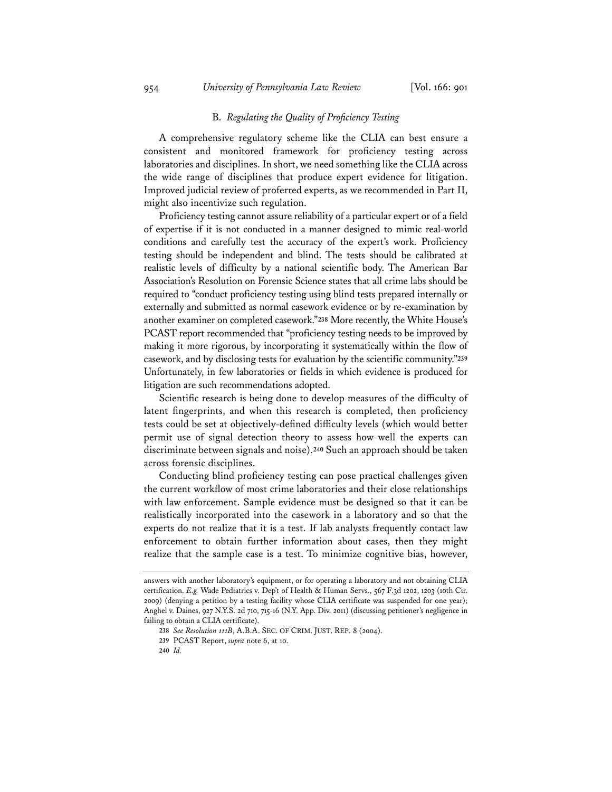## B. *Regulating the Quality of Proficiency Testing*

A comprehensive regulatory scheme like the CLIA can best ensure a consistent and monitored framework for proficiency testing across laboratories and disciplines. In short, we need something like the CLIA across the wide range of disciplines that produce expert evidence for litigation. Improved judicial review of proferred experts, as we recommended in Part II, might also incentivize such regulation.

Proficiency testing cannot assure reliability of a particular expert or of a field of expertise if it is not conducted in a manner designed to mimic real-world conditions and carefully test the accuracy of the expert's work. Proficiency testing should be independent and blind. The tests should be calibrated at realistic levels of difficulty by a national scientific body. The American Bar Association's Resolution on Forensic Science states that all crime labs should be required to "conduct proficiency testing using blind tests prepared internally or externally and submitted as normal casework evidence or by re-examination by another examiner on completed casework."**238** More recently, the White House's PCAST report recommended that "proficiency testing needs to be improved by making it more rigorous, by incorporating it systematically within the flow of casework, and by disclosing tests for evaluation by the scientific community."**239** Unfortunately, in few laboratories or fields in which evidence is produced for litigation are such recommendations adopted.

Scientific research is being done to develop measures of the difficulty of latent fingerprints, and when this research is completed, then proficiency tests could be set at objectively-defined difficulty levels (which would better permit use of signal detection theory to assess how well the experts can discriminate between signals and noise).**240** Such an approach should be taken across forensic disciplines.

Conducting blind proficiency testing can pose practical challenges given the current workflow of most crime laboratories and their close relationships with law enforcement. Sample evidence must be designed so that it can be realistically incorporated into the casework in a laboratory and so that the experts do not realize that it is a test. If lab analysts frequently contact law enforcement to obtain further information about cases, then they might realize that the sample case is a test. To minimize cognitive bias, however,

answers with another laboratory's equipment, or for operating a laboratory and not obtaining CLIA certification. *E.g.* Wade Pediatrics v. Dep't of Health & Human Servs., 567 F.3d 1202, 1203 (10th Cir. 2009) (denying a petition by a testing facility whose CLIA certificate was suspended for one year); Anghel v. Daines, 927 N.Y.S. 2d 710, 715-16 (N.Y. App. Div. 2011) (discussing petitioner's negligence in failing to obtain a CLIA certificate).

**<sup>238</sup>** *See Resolution 111B*, A.B.A. SEC. OF CRIM. JUST. REP. 8 (2004).

**<sup>239</sup>** PCAST Report, *supra* note 6, at 10.

**<sup>240</sup>** *Id.*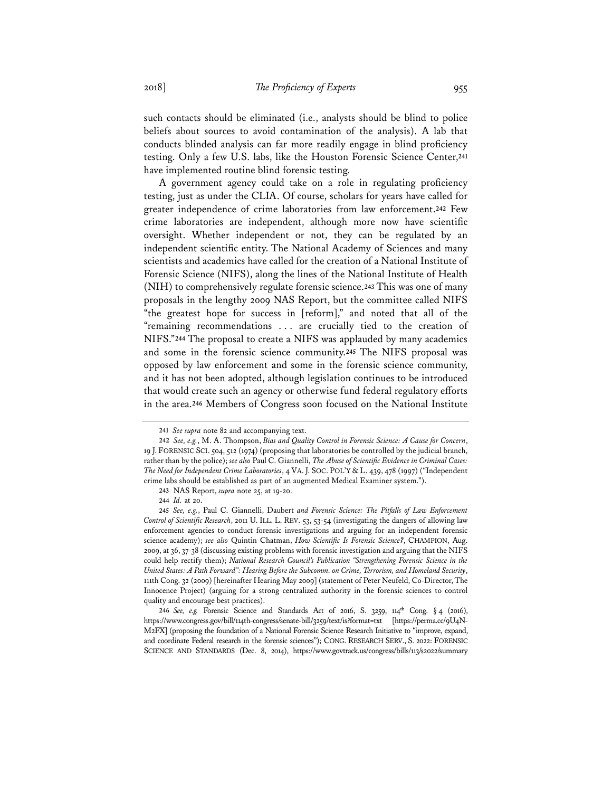such contacts should be eliminated (i.e., analysts should be blind to police beliefs about sources to avoid contamination of the analysis). A lab that conducts blinded analysis can far more readily engage in blind proficiency testing. Only a few U.S. labs, like the Houston Forensic Science Center,**241** have implemented routine blind forensic testing.

A government agency could take on a role in regulating proficiency testing, just as under the CLIA. Of course, scholars for years have called for greater independence of crime laboratories from law enforcement.**242** Few crime laboratories are independent, although more now have scientific oversight. Whether independent or not, they can be regulated by an independent scientific entity. The National Academy of Sciences and many scientists and academics have called for the creation of a National Institute of Forensic Science (NIFS), along the lines of the National Institute of Health (NIH) to comprehensively regulate forensic science.**243** This was one of many proposals in the lengthy 2009 NAS Report, but the committee called NIFS "the greatest hope for success in [reform]," and noted that all of the "remaining recommendations . . . are crucially tied to the creation of NIFS."**244** The proposal to create a NIFS was applauded by many academics and some in the forensic science community.**245** The NIFS proposal was opposed by law enforcement and some in the forensic science community, and it has not been adopted, although legislation continues to be introduced that would create such an agency or otherwise fund federal regulatory efforts in the area.**246** Members of Congress soon focused on the National Institute

**<sup>241</sup>** *See supra* note 82 and accompanying text.

**<sup>242</sup>** *See, e.g.*, M. A. Thompson, *Bias and Quality Control in Forensic Science: A Cause for Concern*, 19 J. FORENSIC SCI. 504, 512 (1974) (proposing that laboratories be controlled by the judicial branch, rather than by the police); *see also* Paul C. Giannelli, *The Abuse of Scientific Evidence in Criminal Cases: The Need for Independent Crime Laboratories*, 4 VA. J. SOC. POL'Y & L. 439, 478 (1997) ("Independent crime labs should be established as part of an augmented Medical Examiner system.").

**<sup>243</sup>** NAS Report, *supra* note 25, at 19-20.

**<sup>244</sup>** *Id.* at 20.

**<sup>245</sup>** *See, e.g.*, Paul C. Giannelli, Daubert *and Forensic Science: The Pitfalls of Law Enforcement Control of Scientific Research*, 2011 U. ILL. L. REV. 53, 53-54 (investigating the dangers of allowing law enforcement agencies to conduct forensic investigations and arguing for an independent forensic science academy); *see also* Quintin Chatman, *How Scientific Is Forensic Science?*, CHAMPION, Aug. 2009, at 36, 37-38 (discussing existing problems with forensic investigation and arguing that the NIFS could help rectify them); *National Research Council's Publication "Strengthening Forensic Science in the United States: A Path Forward": Hearing Before the Subcomm. on Crime, Terrorism, and Homeland Security*, 111th Cong. 32 (2009) [hereinafter Hearing May 2009] (statement of Peter Neufeld, Co-Director, The Innocence Project) (arguing for a strong centralized authority in the forensic sciences to control quality and encourage best practices).

**<sup>246</sup>** *See, e.g.* Forensic Science and Standards Act of 2016, S. 3259, 114**th** Cong. § 4 (2016), https://www.congress.gov/bill/114th-congress/senate-bill/3259/text/is?format=txt [https://perma.cc/9U4N-M2FX] (proposing the foundation of a National Forensic Science Research Initiative to "improve, expand, and coordinate Federal research in the forensic sciences"); CONG. RESEARCH SERV., S. 2022: FORENSIC SCIENCE AND STANDARDS (Dec. 8, 2014), https://www.govtrack.us/congress/bills/113/s2022/summary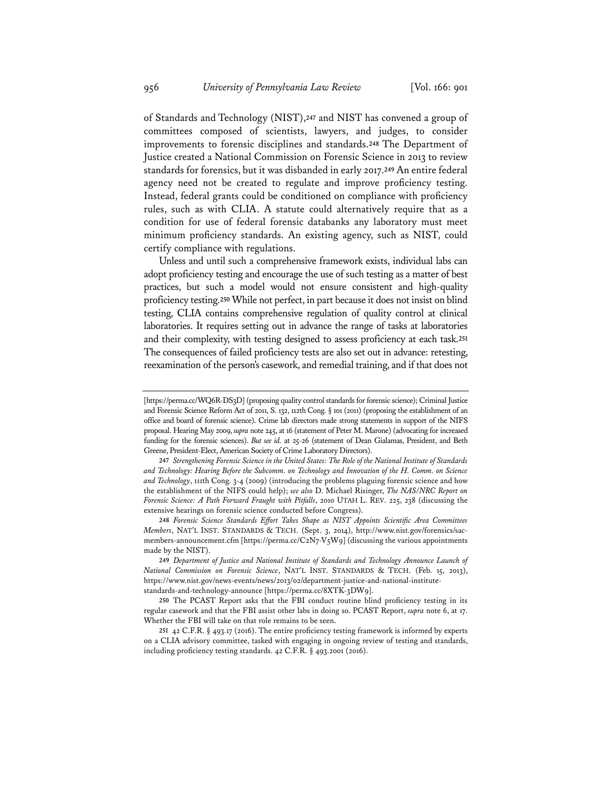of Standards and Technology (NIST),**247** and NIST has convened a group of committees composed of scientists, lawyers, and judges, to consider improvements to forensic disciplines and standards.**248** The Department of Justice created a National Commission on Forensic Science in 2013 to review standards for forensics, but it was disbanded in early 2017.**249** An entire federal agency need not be created to regulate and improve proficiency testing. Instead, federal grants could be conditioned on compliance with proficiency rules, such as with CLIA. A statute could alternatively require that as a condition for use of federal forensic databanks any laboratory must meet minimum proficiency standards. An existing agency, such as NIST, could certify compliance with regulations.

Unless and until such a comprehensive framework exists, individual labs can adopt proficiency testing and encourage the use of such testing as a matter of best practices, but such a model would not ensure consistent and high-quality proficiency testing.**250** While not perfect, in part because it does not insist on blind testing, CLIA contains comprehensive regulation of quality control at clinical laboratories. It requires setting out in advance the range of tasks at laboratories and their complexity, with testing designed to assess proficiency at each task.**251** The consequences of failed proficiency tests are also set out in advance: retesting, reexamination of the person's casework, and remedial training, and if that does not

<sup>[</sup>https://perma.cc/WQ6R-DS3D] (proposing quality control standards for forensic science); Criminal Justice and Forensic Science Reform Act of 2011, S. 132, 112th Cong. § 101 (2011) (proposing the establishment of an office and board of forensic science). Crime lab directors made strong statements in support of the NIFS proposal. Hearing May 2009, *supra* note 245, at 16 (statement of Peter M. Marone) (advocating for increased funding for the forensic sciences). *But see id.* at 25-26 (statement of Dean Gialamas, President, and Beth Greene, President-Elect, American Society of Crime Laboratory Directors).

**<sup>247</sup>** *Strengthening Forensic Science in the United States: The Role of the National Institute of Standards and Technology: Hearing Before the Subcomm. on Technology and Innovation of the H. Comm. on Science and Technology*, 111th Cong. 3-4 (2009) (introducing the problems plaguing forensic science and how the establishment of the NIFS could help); *see also* D. Michael Risinger, *The NAS/NRC Report on Forensic Science: A Path Forward Fraught with Pitfalls*, 2010 UTAH L. REV. 225, 238 (discussing the extensive hearings on forensic science conducted before Congress).

**<sup>248</sup>** *Forensic Science Standards Effort Takes Shape as NIST Appoints Scientific Area Committees Members*, NAT'L INST. STANDARDS & TECH. (Sept. 3, 2014), http://www.nist.gov/forensics/sacmembers-announcement.cfm [https://perma.cc/C2N7-V5W9] (discussing the various appointments made by the NIST).

**<sup>249</sup>** *Department of Justice and National Institute of Standards and Technology Announce Launch of National Commission on Forensic Science*, NAT'L INST. STANDARDS & TECH. (Feb. 15, 2013), https://www.nist.gov/news-events/news/2013/02/department-justice-and-national-institutestandards-and-technology-announce [https://perma.cc/8XTK-3DW9].

**<sup>250</sup>** The PCAST Report asks that the FBI conduct routine blind proficiency testing in its regular casework and that the FBI assist other labs in doing so. PCAST Report, *supra* note 6, at 17. Whether the FBI will take on that role remains to be seen.

**<sup>251</sup>** 42 C.F.R. § 493.17 (2016). The entire proficiency testing framework is informed by experts on a CLIA advisory committee, tasked with engaging in ongoing review of testing and standards, including proficiency testing standards. 42 C.F.R. § 493.2001 (2016).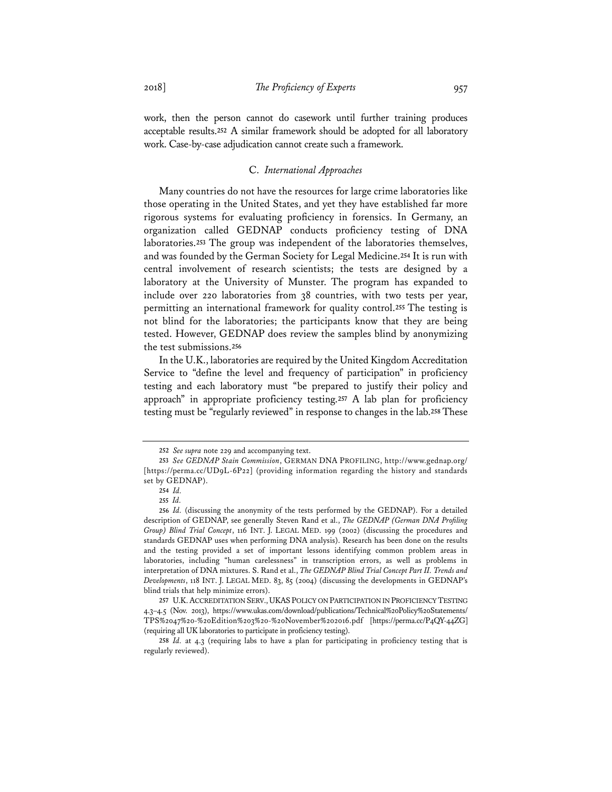work, then the person cannot do casework until further training produces acceptable results.**252** A similar framework should be adopted for all laboratory work. Case-by-case adjudication cannot create such a framework.

## C. *International Approaches*

Many countries do not have the resources for large crime laboratories like those operating in the United States, and yet they have established far more rigorous systems for evaluating proficiency in forensics. In Germany, an organization called GEDNAP conducts proficiency testing of DNA laboratories.**253** The group was independent of the laboratories themselves, and was founded by the German Society for Legal Medicine.**254** It is run with central involvement of research scientists; the tests are designed by a laboratory at the University of Munster. The program has expanded to include over 220 laboratories from 38 countries, with two tests per year, permitting an international framework for quality control.**255** The testing is not blind for the laboratories; the participants know that they are being tested. However, GEDNAP does review the samples blind by anonymizing the test submissions.**256**

In the U.K., laboratories are required by the United Kingdom Accreditation Service to "define the level and frequency of participation" in proficiency testing and each laboratory must "be prepared to justify their policy and approach" in appropriate proficiency testing.**257** A lab plan for proficiency testing must be "regularly reviewed" in response to changes in the lab.**258** These

**<sup>252</sup>** *See supra* note 229 and accompanying text.

**<sup>253</sup>** *See GEDNAP Stain Commission*, GERMAN DNA PROFILING, http://www.gednap.org/ [https://perma.cc/UD9L-6P22] (providing information regarding the history and standards set by GEDNAP).

**<sup>254</sup>** *Id.*

**<sup>255</sup>** *Id.* 

**<sup>256</sup>** *Id.* (discussing the anonymity of the tests performed by the GEDNAP). For a detailed description of GEDNAP, see generally Steven Rand et al., *The GEDNAP (German DNA Profiling Group) Blind Trial Concept*, 116 INT. J. LEGAL MED. 199 (2002) (discussing the procedures and standards GEDNAP uses when performing DNA analysis). Research has been done on the results and the testing provided a set of important lessons identifying common problem areas in laboratories, including "human carelessness" in transcription errors, as well as problems in interpretation of DNA mixtures. S. Rand et al., *The GEDNAP Blind Trial Concept Part II. Trends and Developments*, 118 INT. J. LEGAL MED. 83, 85 (2004) (discussing the developments in GEDNAP's blind trials that help minimize errors).

**<sup>257</sup>** U.K.ACCREDITATION SERV., UKAS POLICY ON PARTICIPATION IN PROFICIENCY TESTING 4.3–4.5 (Nov. 2013), https://www.ukas.com/download/publications/Technical%20Policy%20Statements/ TPS%2047%20-%20Edition%203%20-%20November%202016.pdf [https://perma.cc/P4QY-44ZG] (requiring all UK laboratories to participate in proficiency testing).

**<sup>258</sup>** *Id.* at 4.3 (requiring labs to have a plan for participating in proficiency testing that is regularly reviewed).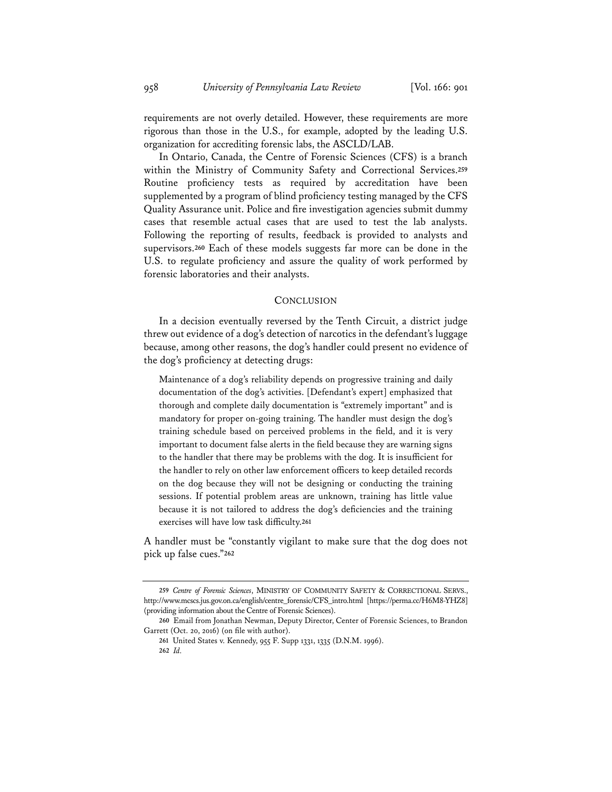requirements are not overly detailed. However, these requirements are more rigorous than those in the U.S., for example, adopted by the leading U.S. organization for accrediting forensic labs, the ASCLD/LAB.

In Ontario, Canada, the Centre of Forensic Sciences (CFS) is a branch within the Ministry of Community Safety and Correctional Services.**259** Routine proficiency tests as required by accreditation have been supplemented by a program of blind proficiency testing managed by the CFS Quality Assurance unit. Police and fire investigation agencies submit dummy cases that resemble actual cases that are used to test the lab analysts. Following the reporting of results, feedback is provided to analysts and supervisors.**260** Each of these models suggests far more can be done in the U.S. to regulate proficiency and assure the quality of work performed by forensic laboratories and their analysts.

#### **CONCLUSION**

In a decision eventually reversed by the Tenth Circuit, a district judge threw out evidence of a dog's detection of narcotics in the defendant's luggage because, among other reasons, the dog's handler could present no evidence of the dog's proficiency at detecting drugs:

Maintenance of a dog's reliability depends on progressive training and daily documentation of the dog's activities. [Defendant's expert] emphasized that thorough and complete daily documentation is "extremely important" and is mandatory for proper on-going training. The handler must design the dog's training schedule based on perceived problems in the field, and it is very important to document false alerts in the field because they are warning signs to the handler that there may be problems with the dog. It is insufficient for the handler to rely on other law enforcement officers to keep detailed records on the dog because they will not be designing or conducting the training sessions. If potential problem areas are unknown, training has little value because it is not tailored to address the dog's deficiencies and the training exercises will have low task difficulty.**<sup>261</sup>**

A handler must be "constantly vigilant to make sure that the dog does not pick up false cues."**262**

**<sup>259</sup>** *Centre of Forensic Sciences*, MINISTRY OF COMMUNITY SAFETY & CORRECTIONAL SERVS., http://www.mcscs.jus.gov.on.ca/english/centre\_forensic/CFS\_intro.html [https://perma.cc/H6M8-YHZ8] (providing information about the Centre of Forensic Sciences).

**<sup>260</sup>** Email from Jonathan Newman, Deputy Director, Center of Forensic Sciences, to Brandon Garrett (Oct. 20, 2016) (on file with author).

**<sup>261</sup>** United States v. Kennedy, 955 F. Supp 1331, 1335 (D.N.M. 1996).

**<sup>262</sup>** *Id.*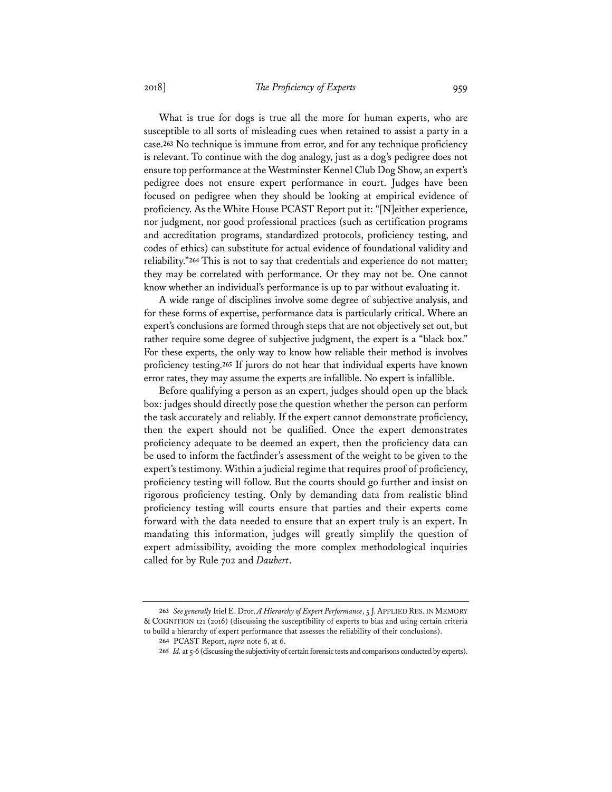What is true for dogs is true all the more for human experts, who are susceptible to all sorts of misleading cues when retained to assist a party in a case.**263** No technique is immune from error, and for any technique proficiency is relevant. To continue with the dog analogy, just as a dog's pedigree does not ensure top performance at the Westminster Kennel Club Dog Show, an expert's pedigree does not ensure expert performance in court. Judges have been focused on pedigree when they should be looking at empirical evidence of proficiency. As the White House PCAST Report put it: "[N]either experience, nor judgment, nor good professional practices (such as certification programs and accreditation programs, standardized protocols, proficiency testing, and codes of ethics) can substitute for actual evidence of foundational validity and reliability."**264** This is not to say that credentials and experience do not matter; they may be correlated with performance. Or they may not be. One cannot know whether an individual's performance is up to par without evaluating it.

A wide range of disciplines involve some degree of subjective analysis, and for these forms of expertise, performance data is particularly critical. Where an expert's conclusions are formed through steps that are not objectively set out, but rather require some degree of subjective judgment, the expert is a "black box." For these experts, the only way to know how reliable their method is involves proficiency testing.**265** If jurors do not hear that individual experts have known error rates, they may assume the experts are infallible. No expert is infallible.

Before qualifying a person as an expert, judges should open up the black box: judges should directly pose the question whether the person can perform the task accurately and reliably. If the expert cannot demonstrate proficiency, then the expert should not be qualified. Once the expert demonstrates proficiency adequate to be deemed an expert, then the proficiency data can be used to inform the factfinder's assessment of the weight to be given to the expert's testimony. Within a judicial regime that requires proof of proficiency, proficiency testing will follow. But the courts should go further and insist on rigorous proficiency testing. Only by demanding data from realistic blind proficiency testing will courts ensure that parties and their experts come forward with the data needed to ensure that an expert truly is an expert. In mandating this information, judges will greatly simplify the question of expert admissibility, avoiding the more complex methodological inquiries called for by Rule 702 and *Daubert*.

**<sup>263</sup>** *See generally* Itiel E. Dror, *A Hierarchy of Expert Performance*, 5 J.APPLIED RES. IN MEMORY & COGNITION 121 (2016) (discussing the susceptibility of experts to bias and using certain criteria to build a hierarchy of expert performance that assesses the reliability of their conclusions).

**<sup>264</sup>** PCAST Report, *supra* note 6, at 6.

**<sup>265</sup>** *Id.* at 5-6 (discussing the subjectivity of certain forensic tests and comparisons conducted by experts).